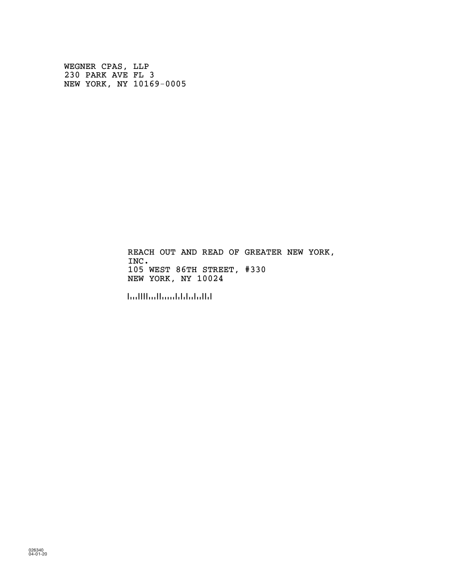WEGNER CPAS, LLP 230 PARK AVE FL 3 NEW YORK, NY 10169-0005

> REACH OUT AND READ OF GREATER NEW YORK, INC. 105 WEST 86TH STREET, #330 NEW YORK, NY 10024

!100243!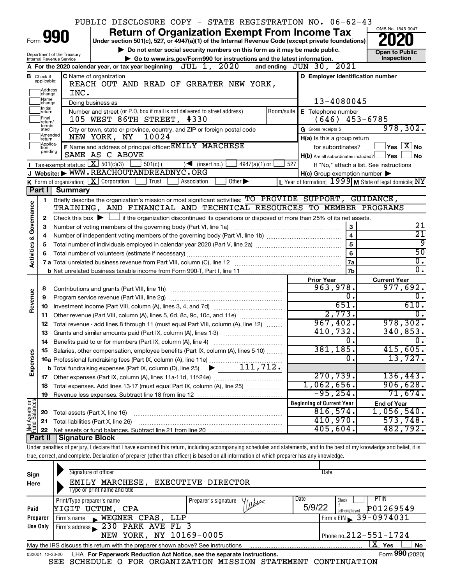|                                                                                                                                            |                             |                                             | PUBLIC DISCLOSURE COPY - STATE REGISTRATION NO. 06-62-43                                                                                                                   |     |                                                     |                                                         |  |  |  |  |  |
|--------------------------------------------------------------------------------------------------------------------------------------------|-----------------------------|---------------------------------------------|----------------------------------------------------------------------------------------------------------------------------------------------------------------------------|-----|-----------------------------------------------------|---------------------------------------------------------|--|--|--|--|--|
|                                                                                                                                            |                             | Form 990                                    | <b>Return of Organization Exempt From Income Tax</b>                                                                                                                       |     |                                                     | OMB No. 1545-0047                                       |  |  |  |  |  |
|                                                                                                                                            |                             |                                             | Under section 501(c), 527, or 4947(a)(1) of the Internal Revenue Code (except private foundations)                                                                         |     |                                                     |                                                         |  |  |  |  |  |
|                                                                                                                                            |                             | Department of the Treasury                  | Do not enter social security numbers on this form as it may be made public.                                                                                                |     |                                                     | <b>Open to Public</b>                                   |  |  |  |  |  |
|                                                                                                                                            |                             | Internal Revenue Service                    | Go to www.irs.gov/Form990 for instructions and the latest information.<br>A For the 2020 calendar year, or tax year beginning $JUL$ 1, $2020$                              |     | and ending $JUN 30, 2021$                           | Inspection                                              |  |  |  |  |  |
|                                                                                                                                            | <b>B</b> Check if           |                                             | C Name of organization                                                                                                                                                     |     | D Employer identification number                    |                                                         |  |  |  |  |  |
|                                                                                                                                            | applicable:                 |                                             | REACH OUT AND READ OF GREATER NEW YORK,                                                                                                                                    |     |                                                     |                                                         |  |  |  |  |  |
|                                                                                                                                            | Address<br> change          | INC.                                        |                                                                                                                                                                            |     |                                                     |                                                         |  |  |  |  |  |
| Name<br>13-4080045<br>Doing business as<br>change                                                                                          |                             |                                             |                                                                                                                                                                            |     |                                                     |                                                         |  |  |  |  |  |
| Initial<br>Number and street (or P.O. box if mail is not delivered to street address)<br>Room/suite<br><b>E</b> Telephone number<br>return |                             |                                             |                                                                                                                                                                            |     |                                                     |                                                         |  |  |  |  |  |
| Final<br>105 WEST 86TH STREET, #330<br>(646)<br>$453 - 6785$<br>return/                                                                    |                             |                                             |                                                                                                                                                                            |     |                                                     |                                                         |  |  |  |  |  |
|                                                                                                                                            | termin-<br>ated             |                                             | City or town, state or province, country, and ZIP or foreign postal code                                                                                                   |     | G Gross receipts \$                                 | 978, 302.                                               |  |  |  |  |  |
|                                                                                                                                            | Amended<br>return           |                                             | NEW YORK, NY<br>10024                                                                                                                                                      |     | H(a) Is this a group return                         |                                                         |  |  |  |  |  |
|                                                                                                                                            | Applica-<br>tion<br>pending |                                             | F Name and address of principal officer: EMILY MARCHESE                                                                                                                    |     | for subordinates?                                   | $\,$ Yes $\,$ $\,$ $\rm X$ $\,$ No $\,$                 |  |  |  |  |  |
|                                                                                                                                            |                             |                                             | SAME AS C ABOVE                                                                                                                                                            |     | $H(b)$ Are all subordinates included? $\Box$ Yes    | No                                                      |  |  |  |  |  |
|                                                                                                                                            |                             | <b>I</b> Tax-exempt status: $X \ 501(c)(3)$ | $501(c)$ (<br>$4947(a)(1)$ or<br>$\sqrt{\frac{1}{1}}$ (insert no.)<br>J Website: WWW.REACHOUTANDREADNYC.ORG                                                                | 527 |                                                     | If "No," attach a list. See instructions                |  |  |  |  |  |
|                                                                                                                                            |                             |                                             | K Form of organization: $X$ Corporation<br>Trust<br>Other $\blacktriangleright$<br>Association                                                                             |     | $H(c)$ Group exemption number $\blacktriangleright$ | L Year of formation: 1999 M State of legal domicile: NY |  |  |  |  |  |
|                                                                                                                                            | Part I                      | Summary                                     |                                                                                                                                                                            |     |                                                     |                                                         |  |  |  |  |  |
|                                                                                                                                            | 1.                          |                                             | Briefly describe the organization's mission or most significant activities: TO PROVIDE SUPPORT, GUIDANCE,                                                                  |     |                                                     |                                                         |  |  |  |  |  |
| Governance                                                                                                                                 |                             |                                             | TRAINING, AND FINANCIAL AND TECHNICAL RESOURCES TO MEMBER PROGRAMS                                                                                                         |     |                                                     |                                                         |  |  |  |  |  |
|                                                                                                                                            | 2                           |                                             | Check this box $\blacktriangleright$ $\Box$ if the organization discontinued its operations or disposed of more than 25% of its net assets.                                |     |                                                     |                                                         |  |  |  |  |  |
|                                                                                                                                            | з                           |                                             | Number of voting members of the governing body (Part VI, line 1a)                                                                                                          |     | 3                                                   | 21                                                      |  |  |  |  |  |
|                                                                                                                                            | 4                           |                                             |                                                                                                                                                                            |     | $\overline{\mathbf{4}}$                             | $\overline{21}$                                         |  |  |  |  |  |
|                                                                                                                                            | 5                           |                                             |                                                                                                                                                                            |     | $\overline{5}$                                      | ७                                                       |  |  |  |  |  |
| <b>Activities &amp;</b>                                                                                                                    | 6                           |                                             |                                                                                                                                                                            |     | 6                                                   | 50                                                      |  |  |  |  |  |
|                                                                                                                                            |                             |                                             |                                                                                                                                                                            |     | 7a                                                  | $\overline{\mathfrak{o}}$ .                             |  |  |  |  |  |
|                                                                                                                                            |                             |                                             |                                                                                                                                                                            |     | 7 <sub>b</sub>                                      | σ.                                                      |  |  |  |  |  |
|                                                                                                                                            |                             |                                             |                                                                                                                                                                            |     | <b>Prior Year</b><br>963,978.                       | <b>Current Year</b><br>977,692.                         |  |  |  |  |  |
|                                                                                                                                            | 8                           |                                             | Contributions and grants (Part VIII, line 1h)                                                                                                                              |     | Ο.                                                  | О.                                                      |  |  |  |  |  |
| Revenue                                                                                                                                    | 9<br>10                     |                                             | Program service revenue (Part VIII, line 2g)                                                                                                                               |     | 651.                                                | 610.                                                    |  |  |  |  |  |
|                                                                                                                                            |                             |                                             | 11 Other revenue (Part VIII, column (A), lines 5, 6d, 8c, 9c, 10c, and 11e)                                                                                                |     | 2,773.                                              | 0.                                                      |  |  |  |  |  |
|                                                                                                                                            | 12                          |                                             | Total revenue - add lines 8 through 11 (must equal Part VIII, column (A), line 12)                                                                                         |     | 967,402.                                            | 978, 302.                                               |  |  |  |  |  |
|                                                                                                                                            | 13                          |                                             | Grants and similar amounts paid (Part IX, column (A), lines 1-3)                                                                                                           |     | 410,732.                                            | 340,853.                                                |  |  |  |  |  |
|                                                                                                                                            |                             |                                             | 14 Benefits paid to or for members (Part IX, column (A), line 4)                                                                                                           |     | 0.                                                  | о.                                                      |  |  |  |  |  |
|                                                                                                                                            |                             |                                             | 15 Salaries, other compensation, employee benefits (Part IX, column (A), lines 5-10)                                                                                       |     | 381, 185.                                           | 415,605.                                                |  |  |  |  |  |
| Expenses                                                                                                                                   |                             |                                             |                                                                                                                                                                            |     | 0                                                   | 13,727.                                                 |  |  |  |  |  |
|                                                                                                                                            |                             |                                             |                                                                                                                                                                            |     |                                                     |                                                         |  |  |  |  |  |
|                                                                                                                                            |                             |                                             |                                                                                                                                                                            |     | 270,739.                                            | 136, 443.                                               |  |  |  |  |  |
|                                                                                                                                            | 18                          |                                             | Total expenses. Add lines 13-17 (must equal Part IX, column (A), line 25)                                                                                                  |     | $1,062,656$ .                                       | 906,628.<br>71,674.                                     |  |  |  |  |  |
|                                                                                                                                            | 19                          |                                             |                                                                                                                                                                            |     | $-95,254$ .                                         |                                                         |  |  |  |  |  |
| Net Assets or<br>Fund Balances                                                                                                             |                             |                                             |                                                                                                                                                                            |     | <b>Beginning of Current Year</b><br>816,574.        | <b>End of Year</b><br>$1,056,540$ .                     |  |  |  |  |  |
|                                                                                                                                            | 20<br>21                    | Total assets (Part X, line 16)              | Total liabilities (Part X, line 26)                                                                                                                                        |     | 410,970.                                            | 573,748.                                                |  |  |  |  |  |
|                                                                                                                                            | 22                          |                                             |                                                                                                                                                                            |     | $405,604$ .                                         | 482,792.                                                |  |  |  |  |  |
|                                                                                                                                            | Part II                     | <b>Signature Block</b>                      |                                                                                                                                                                            |     |                                                     |                                                         |  |  |  |  |  |
|                                                                                                                                            |                             |                                             | Under penalties of perjury, I declare that I have examined this return, including accompanying schedules and statements, and to the best of my knowledge and belief, it is |     |                                                     |                                                         |  |  |  |  |  |
|                                                                                                                                            |                             |                                             | true, correct, and complete. Declaration of preparer (other than officer) is based on all information of which preparer has any knowledge.                                 |     |                                                     |                                                         |  |  |  |  |  |
|                                                                                                                                            |                             |                                             |                                                                                                                                                                            |     |                                                     |                                                         |  |  |  |  |  |
| Sign                                                                                                                                       |                             |                                             | Signature of officer                                                                                                                                                       |     | Date                                                |                                                         |  |  |  |  |  |
| Here                                                                                                                                       |                             |                                             | EMILY MARCHESE, EXECUTIVE DIRECTOR                                                                                                                                         |     |                                                     |                                                         |  |  |  |  |  |

| Here     | EMILI MARCAESE, EAECUIIVE DIRECTUR                                                                           |                                              |                                      |  |  |  |  |  |  |  |  |
|----------|--------------------------------------------------------------------------------------------------------------|----------------------------------------------|--------------------------------------|--|--|--|--|--|--|--|--|
|          | Type or print name and title                                                                                 |                                              |                                      |  |  |  |  |  |  |  |  |
|          | Print/Type preparer's name                                                                                   | Preparer's signature<br>$\frac{y}{\sqrt{u}}$ | Date<br>PTIN<br>Check                |  |  |  |  |  |  |  |  |
| Paid     | YIGIT UCTUM, CPA                                                                                             |                                              | 5/9/22<br>P01269549<br>self-employed |  |  |  |  |  |  |  |  |
| Preparer | WEGNER CPAS, LLP<br>Firm's name                                                                              |                                              | $Firm's EIN \ 39 - 0974031$          |  |  |  |  |  |  |  |  |
| Use Only | Firm's address 230 PARK AVE FL 3                                                                             |                                              |                                      |  |  |  |  |  |  |  |  |
|          | NEW YORK, NY 10169-0005                                                                                      |                                              | Phone no. $212 - 551 - 1724$         |  |  |  |  |  |  |  |  |
|          | X.<br><b>No</b><br>Yes<br>May the IRS discuss this return with the preparer shown above? See instructions    |                                              |                                      |  |  |  |  |  |  |  |  |
|          | Form 990 (2020)<br>LHA For Paperwork Reduction Act Notice, see the separate instructions.<br>032001 12-23-20 |                                              |                                      |  |  |  |  |  |  |  |  |

SEE SCHEDULE O FOR ORGANIZATION MISSION STATEMENT CONTINUATION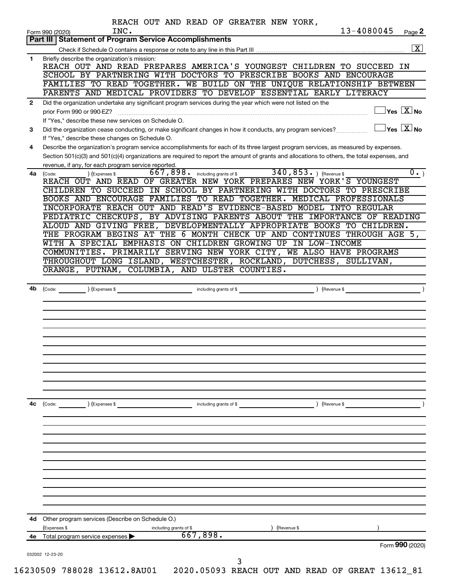|              | REACH OUT AND READ OF GREATER NEW YORK,<br>13-4080045<br>INC.<br>Page 2<br>Form 990 (2020)                                                                                           |
|--------------|--------------------------------------------------------------------------------------------------------------------------------------------------------------------------------------|
|              | Part III   Statement of Program Service Accomplishments                                                                                                                              |
|              | $\boxed{\text{X}}$                                                                                                                                                                   |
| $\mathbf{1}$ | Briefly describe the organization's mission:<br>REACH OUT AND READ PREPARES AMERICA'S YOUNGEST CHILDREN TO SUCCEED IN                                                                |
|              | SCHOOL BY PARTNERING WITH DOCTORS TO PRESCRIBE BOOKS AND ENCOURAGE                                                                                                                   |
|              | FAMILIES TO READ TOGETHER. WE BUILD ON THE UNIQUE RELATIONSHIP BETWEEN                                                                                                               |
|              | PARENTS AND MEDICAL PROVIDERS TO DEVELOP ESSENTIAL EARLY LITERACY                                                                                                                    |
| $\mathbf{2}$ | Did the organization undertake any significant program services during the year which were not listed on the<br>$\Box$ Yes $[\overline{\mathrm{X}}]$ No<br>prior Form 990 or 990-EZ? |
|              | If "Yes," describe these new services on Schedule O.<br>$\Box$ Yes $\boxed{\text{X}}$ No                                                                                             |
| 3            | Did the organization cease conducting, or make significant changes in how it conducts, any program services?<br>If "Yes," describe these changes on Schedule O.                      |
| 4            | Describe the organization's program service accomplishments for each of its three largest program services, as measured by expenses.                                                 |
|              | Section 501(c)(3) and 501(c)(4) organizations are required to report the amount of grants and allocations to others, the total expenses, and                                         |
|              | revenue, if any, for each program service reported.<br>667,898. including grants of \$340,853. ) (Revenue \$<br>$\overline{0.}$<br>) (Expenses \$                                    |
|              | 4a (Code:<br>REACH OUT AND READ OF GREATER NEW YORK PREPARES NEW YORK'S YOUNGEST                                                                                                     |
|              | CHILDREN TO SUCCEED IN SCHOOL BY PARTNERING WITH DOCTORS TO PRESCRIBE                                                                                                                |
|              | BOOKS AND ENCOURAGE FAMILIES TO READ TOGETHER. MEDICAL PROFESSIONALS                                                                                                                 |
|              | INCORPORATE REACH OUT AND READ'S EVIDENCE-BASED MODEL INTO REGULAR                                                                                                                   |
|              | PEDIATRIC CHECKUPS, BY ADVISING PARENTS ABOUT THE IMPORTANCE OF READING                                                                                                              |
|              | ALOUD AND GIVING FREE, DEVELOPMENTALLY APPROPRIATE BOOKS TO CHILDREN.                                                                                                                |
|              | THE PROGRAM BEGINS AT THE 6 MONTH CHECK UP AND CONTINUES THROUGH AGE 5,                                                                                                              |
|              | WITH A SPECIAL EMPHASIS ON CHILDREN GROWING UP IN LOW-INCOME                                                                                                                         |
|              | COMMUNITIES. PRIMARILY SERVING NEW YORK CITY, WE ALSO HAVE PROGRAMS                                                                                                                  |
|              | THROUGHOUT LONG ISLAND, WESTCHESTER, ROCKLAND, DUTCHESS, SULLIVAN,                                                                                                                   |
|              | ORANGE, PUTNAM, COLUMBIA, AND ULSTER COUNTIES.                                                                                                                                       |
|              |                                                                                                                                                                                      |
|              |                                                                                                                                                                                      |
|              |                                                                                                                                                                                      |
|              |                                                                                                                                                                                      |
|              |                                                                                                                                                                                      |
|              |                                                                                                                                                                                      |
|              |                                                                                                                                                                                      |
|              |                                                                                                                                                                                      |
|              |                                                                                                                                                                                      |
|              |                                                                                                                                                                                      |
|              |                                                                                                                                                                                      |
|              |                                                                                                                                                                                      |
|              |                                                                                                                                                                                      |
| 4c           | (Expenses \$<br>(Revenue \$<br>(Code:<br>including grants of \$                                                                                                                      |
|              |                                                                                                                                                                                      |
|              |                                                                                                                                                                                      |
|              |                                                                                                                                                                                      |
|              |                                                                                                                                                                                      |
|              |                                                                                                                                                                                      |
|              |                                                                                                                                                                                      |
|              |                                                                                                                                                                                      |
|              |                                                                                                                                                                                      |
|              |                                                                                                                                                                                      |
|              |                                                                                                                                                                                      |
|              |                                                                                                                                                                                      |
|              |                                                                                                                                                                                      |
| 4d           | Other program services (Describe on Schedule O.)                                                                                                                                     |
|              | (Revenue \$<br>(Expenses \$<br>including grants of \$                                                                                                                                |
| 4e           | 667,898.<br>Total program service expenses >                                                                                                                                         |
|              | Form 990 (2020)                                                                                                                                                                      |
|              | 032002 12-23-20<br>3                                                                                                                                                                 |
|              | 16230509 788028 13612.8AU01  2020.05093 REACH OUT AND READ OF GREAT 13612_81                                                                                                         |
|              |                                                                                                                                                                                      |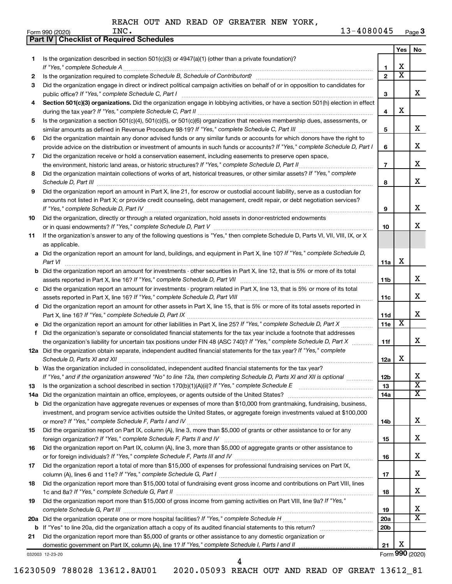|    | <b>Checklist of Required Schedules</b><br><b>Part IV</b>                                                                                                                                                                            |                 |                         |                         |
|----|-------------------------------------------------------------------------------------------------------------------------------------------------------------------------------------------------------------------------------------|-----------------|-------------------------|-------------------------|
|    |                                                                                                                                                                                                                                     |                 | Yes                     | No                      |
| 1. | Is the organization described in section $501(c)(3)$ or $4947(a)(1)$ (other than a private foundation)?                                                                                                                             |                 |                         |                         |
|    |                                                                                                                                                                                                                                     | 1               | х                       |                         |
| 2  | Is the organization required to complete Schedule B, Schedule of Contributors? [11] The organization required to complete Schedule B, Schedule of Contributors?                                                                     | $\mathbf{2}$    | $\overline{\textbf{x}}$ |                         |
| З  | Did the organization engage in direct or indirect political campaign activities on behalf of or in opposition to candidates for                                                                                                     |                 |                         |                         |
|    |                                                                                                                                                                                                                                     | 3               |                         | x                       |
| 4  | Section 501(c)(3) organizations. Did the organization engage in lobbying activities, or have a section 501(h) election in effect                                                                                                    |                 |                         |                         |
|    |                                                                                                                                                                                                                                     | 4               | x                       |                         |
| 5  | Is the organization a section 501(c)(4), 501(c)(5), or 501(c)(6) organization that receives membership dues, assessments, or                                                                                                        |                 |                         |                         |
|    |                                                                                                                                                                                                                                     | 5               |                         | x                       |
| 6  | Did the organization maintain any donor advised funds or any similar funds or accounts for which donors have the right to                                                                                                           |                 |                         |                         |
|    | provide advice on the distribution or investment of amounts in such funds or accounts? If "Yes," complete Schedule D, Part I                                                                                                        | 6               |                         | х                       |
| 7  | Did the organization receive or hold a conservation easement, including easements to preserve open space,                                                                                                                           |                 |                         |                         |
|    |                                                                                                                                                                                                                                     | 7               |                         | X                       |
| 8  | Did the organization maintain collections of works of art, historical treasures, or other similar assets? If "Yes," complete                                                                                                        |                 |                         |                         |
|    | Schedule D, Part III <b>Process Construction Construction Construction</b> Construction Construction Construction Construction Construction Construction Construction Construction Construction Construction Construction Construct | 8               |                         | X                       |
| 9  | Did the organization report an amount in Part X, line 21, for escrow or custodial account liability, serve as a custodian for                                                                                                       |                 |                         |                         |
|    | amounts not listed in Part X; or provide credit counseling, debt management, credit repair, or debt negotiation services?                                                                                                           |                 |                         |                         |
|    |                                                                                                                                                                                                                                     | 9               |                         | х                       |
| 10 | Did the organization, directly or through a related organization, hold assets in donor-restricted endowments                                                                                                                        |                 |                         |                         |
|    |                                                                                                                                                                                                                                     | 10              |                         | х                       |
| 11 | If the organization's answer to any of the following questions is "Yes," then complete Schedule D, Parts VI, VII, VIII, IX, or X                                                                                                    |                 |                         |                         |
|    | as applicable.                                                                                                                                                                                                                      |                 |                         |                         |
|    | a Did the organization report an amount for land, buildings, and equipment in Part X, line 10? If "Yes," complete Schedule D,                                                                                                       |                 |                         |                         |
|    | Part VI                                                                                                                                                                                                                             | 11a             | x                       |                         |
|    | <b>b</b> Did the organization report an amount for investments - other securities in Part X, line 12, that is 5% or more of its total                                                                                               |                 |                         |                         |
|    | assets reported in Part X, line 16? If "Yes," complete Schedule D, Part VII [11] [11] [12] [12] [12] [12] [13] [                                                                                                                    | 11b             |                         | x                       |
|    | c Did the organization report an amount for investments - program related in Part X, line 13, that is 5% or more of its total                                                                                                       |                 |                         |                         |
|    |                                                                                                                                                                                                                                     | 11c             |                         | х                       |
|    | d Did the organization report an amount for other assets in Part X, line 15, that is 5% or more of its total assets reported in                                                                                                     |                 |                         |                         |
|    |                                                                                                                                                                                                                                     | <b>11d</b>      |                         | х                       |
|    |                                                                                                                                                                                                                                     | <b>11e</b>      | X                       |                         |
| f  | Did the organization's separate or consolidated financial statements for the tax year include a footnote that addresses                                                                                                             |                 |                         |                         |
|    | the organization's liability for uncertain tax positions under FIN 48 (ASC 740)? If "Yes," complete Schedule D, Part X                                                                                                              | 11f             |                         | x                       |
|    | 12a Did the organization obtain separate, independent audited financial statements for the tax year? If "Yes," complete                                                                                                             |                 |                         |                         |
|    |                                                                                                                                                                                                                                     | 12a             | х                       |                         |
|    | <b>b</b> Was the organization included in consolidated, independent audited financial statements for the tax year?                                                                                                                  |                 |                         |                         |
|    | If "Yes," and if the organization answered "No" to line 12a, then completing Schedule D, Parts XI and XII is optional <i>manum</i>                                                                                                  | 12 <sub>b</sub> |                         | х                       |
| 13 |                                                                                                                                                                                                                                     | 13              |                         | $\overline{\text{x}}$   |
|    |                                                                                                                                                                                                                                     | 14a             |                         | $\overline{\textbf{x}}$ |
|    | <b>b</b> Did the organization have aggregate revenues or expenses of more than \$10,000 from grantmaking, fundraising, business,                                                                                                    |                 |                         |                         |
|    | investment, and program service activities outside the United States, or aggregate foreign investments valued at \$100,000                                                                                                          |                 |                         |                         |
|    |                                                                                                                                                                                                                                     | 14b             |                         | X                       |
| 15 | Did the organization report on Part IX, column (A), line 3, more than \$5,000 of grants or other assistance to or for any                                                                                                           |                 |                         | X                       |
|    |                                                                                                                                                                                                                                     | 15              |                         |                         |
| 16 | Did the organization report on Part IX, column (A), line 3, more than \$5,000 of aggregate grants or other assistance to                                                                                                            |                 |                         | х                       |
|    |                                                                                                                                                                                                                                     | 16              |                         |                         |
| 17 | Did the organization report a total of more than \$15,000 of expenses for professional fundraising services on Part IX,                                                                                                             | 17              |                         | х                       |
|    | Did the organization report more than \$15,000 total of fundraising event gross income and contributions on Part VIII, lines                                                                                                        |                 |                         |                         |
| 18 |                                                                                                                                                                                                                                     | 18              |                         | х                       |
| 19 | Did the organization report more than \$15,000 of gross income from gaming activities on Part VIII, line 9a? If "Yes,"                                                                                                              |                 |                         |                         |
|    |                                                                                                                                                                                                                                     | 19              |                         | х                       |
|    |                                                                                                                                                                                                                                     | 20a             |                         | $\overline{\text{X}}$   |
|    |                                                                                                                                                                                                                                     | 20 <sub>b</sub> |                         |                         |
| 21 | Did the organization report more than \$5,000 of grants or other assistance to any domestic organization or                                                                                                                         |                 |                         |                         |
|    | domestic government on Part IX, column (A), line 1? If "Yes," complete Schedule I, Parts I and II                                                                                                                                   | 21              | х                       |                         |
|    | 032003 12-23-20                                                                                                                                                                                                                     |                 |                         | Form 990 (2020)         |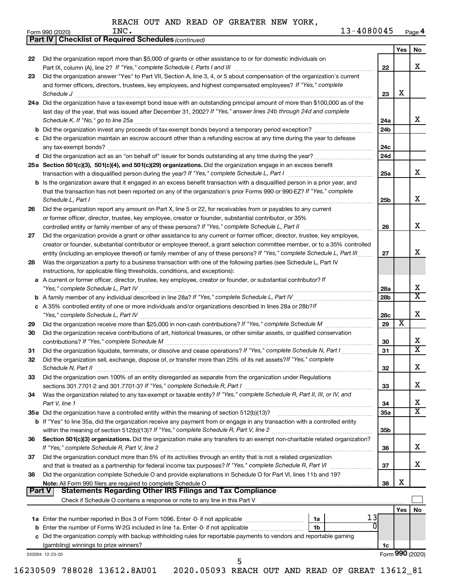|    |                                                                                                                                                                                                                                                                                    |            | Yes                     | No                      |
|----|------------------------------------------------------------------------------------------------------------------------------------------------------------------------------------------------------------------------------------------------------------------------------------|------------|-------------------------|-------------------------|
| 22 | Did the organization report more than \$5,000 of grants or other assistance to or for domestic individuals on                                                                                                                                                                      | 22         |                         | X                       |
| 23 | Did the organization answer "Yes" to Part VII, Section A, line 3, 4, or 5 about compensation of the organization's current<br>and former officers, directors, trustees, key employees, and highest compensated employees? If "Yes," complete<br>Schedule J                         | 23         | X                       |                         |
|    | 24a Did the organization have a tax-exempt bond issue with an outstanding principal amount of more than \$100,000 as of the<br>last day of the year, that was issued after December 31, 2002? If "Yes," answer lines 24b through 24d and complete                                  |            |                         |                         |
|    |                                                                                                                                                                                                                                                                                    | 24a        |                         | x                       |
|    |                                                                                                                                                                                                                                                                                    | 24b        |                         |                         |
|    | c Did the organization maintain an escrow account other than a refunding escrow at any time during the year to defease                                                                                                                                                             | 24с        |                         |                         |
|    |                                                                                                                                                                                                                                                                                    | 24d        |                         |                         |
|    | 25a Section 501(c)(3), 501(c)(4), and 501(c)(29) organizations. Did the organization engage in an excess benefit                                                                                                                                                                   | 25a        |                         | x                       |
|    | <b>b</b> Is the organization aware that it engaged in an excess benefit transaction with a disqualified person in a prior year, and<br>that the transaction has not been reported on any of the organization's prior Forms 990 or 990-EZ? If "Yes," complete<br>Schedule L. Part I | 25b        |                         | X                       |
| 26 | Did the organization report any amount on Part X, line 5 or 22, for receivables from or payables to any current<br>or former officer, director, trustee, key employee, creator or founder, substantial contributor, or 35%                                                         |            |                         |                         |
|    |                                                                                                                                                                                                                                                                                    | 26         |                         | X                       |
| 27 | Did the organization provide a grant or other assistance to any current or former officer, director, trustee, key employee,                                                                                                                                                        |            |                         |                         |
|    | creator or founder, substantial contributor or employee thereof, a grant selection committee member, or to a 35% controlled                                                                                                                                                        |            |                         |                         |
|    | entity (including an employee thereof) or family member of any of these persons? If "Yes," complete Schedule L, Part III                                                                                                                                                           | 27         |                         | X                       |
| 28 | Was the organization a party to a business transaction with one of the following parties (see Schedule L, Part IV                                                                                                                                                                  |            |                         |                         |
|    | instructions, for applicable filing thresholds, conditions, and exceptions):<br>a A current or former officer, director, trustee, key employee, creator or founder, or substantial contributor? If                                                                                 |            |                         |                         |
|    |                                                                                                                                                                                                                                                                                    | 28a        |                         | х                       |
|    |                                                                                                                                                                                                                                                                                    | 28b        |                         | $\overline{\mathbf{x}}$ |
|    | c A 35% controlled entity of one or more individuals and/or organizations described in lines 28a or 28b?/f                                                                                                                                                                         |            |                         |                         |
|    |                                                                                                                                                                                                                                                                                    | 28c        |                         | X                       |
| 29 |                                                                                                                                                                                                                                                                                    | 29         | $\overline{\textbf{x}}$ |                         |
| 30 | Did the organization receive contributions of art, historical treasures, or other similar assets, or qualified conservation                                                                                                                                                        | 30         |                         | х                       |
| 31 | Did the organization liquidate, terminate, or dissolve and cease operations? If "Yes," complete Schedule N, Part I                                                                                                                                                                 | 31         |                         | X                       |
| 32 | Did the organization sell, exchange, dispose of, or transfer more than 25% of its net assets? If "Yes," complete                                                                                                                                                                   | 32         |                         | ᅀ                       |
| 33 | Did the organization own 100% of an entity disregarded as separate from the organization under Regulations                                                                                                                                                                         | 33         |                         | x                       |
| 34 | Was the organization related to any tax-exempt or taxable entity? If "Yes," complete Schedule R, Part II, III, or IV, and                                                                                                                                                          |            |                         |                         |
|    | Part V, line 1                                                                                                                                                                                                                                                                     | 34         |                         | x                       |
|    |                                                                                                                                                                                                                                                                                    | <b>35a</b> |                         | $\overline{\mathbf{X}}$ |
|    | b If "Yes" to line 35a, did the organization receive any payment from or engage in any transaction with a controlled entity                                                                                                                                                        | 35b        |                         |                         |
| 36 | Section 501(c)(3) organizations. Did the organization make any transfers to an exempt non-charitable related organization?                                                                                                                                                         |            |                         | х                       |
| 37 | Did the organization conduct more than 5% of its activities through an entity that is not a related organization                                                                                                                                                                   | 36         |                         |                         |
|    |                                                                                                                                                                                                                                                                                    | 37         |                         | x                       |
| 38 | Did the organization complete Schedule O and provide explanations in Schedule O for Part VI, lines 11b and 19?                                                                                                                                                                     |            | X                       |                         |
|    | <b>Statements Regarding Other IRS Filings and Tax Compliance</b><br><b>Part V</b>                                                                                                                                                                                                  | 38         |                         |                         |
|    |                                                                                                                                                                                                                                                                                    |            |                         |                         |
|    |                                                                                                                                                                                                                                                                                    |            | Yes I                   | No                      |
|    | 13                                                                                                                                                                                                                                                                                 |            |                         |                         |
|    | 1 <sub>b</sub>                                                                                                                                                                                                                                                                     |            |                         |                         |
|    |                                                                                                                                                                                                                                                                                    |            |                         |                         |
|    | c Did the organization comply with backup withholding rules for reportable payments to vendors and reportable gaming                                                                                                                                                               | 1c         |                         |                         |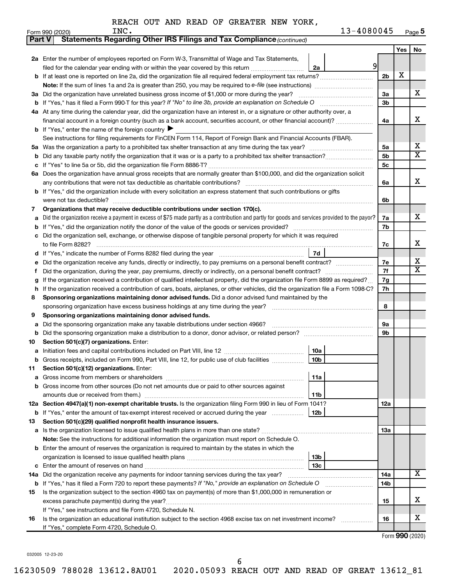| <b>Part V</b> | Statements Regarding Other IRS Filings and Tax Compliance (continued)                                                                           |                 |     |    |  |  |  |  |  |  |
|---------------|-------------------------------------------------------------------------------------------------------------------------------------------------|-----------------|-----|----|--|--|--|--|--|--|
|               |                                                                                                                                                 |                 | Yes | No |  |  |  |  |  |  |
|               | 2a Enter the number of employees reported on Form W-3, Transmittal of Wage and Tax Statements,                                                  |                 |     |    |  |  |  |  |  |  |
|               | 9<br>filed for the calendar year ending with or within the year covered by this return<br>2a                                                    |                 |     |    |  |  |  |  |  |  |
|               | b If at least one is reported on line 2a, did the organization file all required federal employment tax returns?                                | 2 <sub>b</sub>  | X   |    |  |  |  |  |  |  |
|               |                                                                                                                                                 |                 |     |    |  |  |  |  |  |  |
|               | 3a Did the organization have unrelated business gross income of \$1,000 or more during the year?                                                | За              |     | х  |  |  |  |  |  |  |
|               |                                                                                                                                                 |                 |     |    |  |  |  |  |  |  |
|               | 4a At any time during the calendar year, did the organization have an interest in, or a signature or other authority over, a                    |                 |     |    |  |  |  |  |  |  |
|               | financial account in a foreign country (such as a bank account, securities account, or other financial account)?                                | 4a              |     | х  |  |  |  |  |  |  |
|               | <b>b</b> If "Yes," enter the name of the foreign country                                                                                        |                 |     |    |  |  |  |  |  |  |
|               | See instructions for filing requirements for FinCEN Form 114, Report of Foreign Bank and Financial Accounts (FBAR).                             |                 |     |    |  |  |  |  |  |  |
|               |                                                                                                                                                 |                 |     |    |  |  |  |  |  |  |
| b             |                                                                                                                                                 | 5b              |     | х  |  |  |  |  |  |  |
|               |                                                                                                                                                 | 5c              |     |    |  |  |  |  |  |  |
|               | 6a Does the organization have annual gross receipts that are normally greater than \$100,000, and did the organization solicit                  |                 |     |    |  |  |  |  |  |  |
|               |                                                                                                                                                 | 6a              |     | х  |  |  |  |  |  |  |
|               | <b>b</b> If "Yes," did the organization include with every solicitation an express statement that such contributions or gifts                   |                 |     |    |  |  |  |  |  |  |
|               |                                                                                                                                                 | 6b              |     |    |  |  |  |  |  |  |
| 7             | Organizations that may receive deductible contributions under section 170(c).                                                                   |                 |     |    |  |  |  |  |  |  |
| a             | Did the organization receive a payment in excess of \$75 made partly as a contribution and partly for goods and services provided to the payor? | 7a              |     | х  |  |  |  |  |  |  |
| b             |                                                                                                                                                 | 7b              |     |    |  |  |  |  |  |  |
|               | c Did the organization sell, exchange, or otherwise dispose of tangible personal property for which it was required                             |                 |     |    |  |  |  |  |  |  |
|               |                                                                                                                                                 | 7с              |     | х  |  |  |  |  |  |  |
|               | 7d                                                                                                                                              |                 |     | х  |  |  |  |  |  |  |
| е             |                                                                                                                                                 |                 |     |    |  |  |  |  |  |  |
| Ť.            |                                                                                                                                                 |                 |     |    |  |  |  |  |  |  |
| g             | If the organization received a contribution of qualified intellectual property, did the organization file Form 8899 as required?                |                 |     |    |  |  |  |  |  |  |
| h             | If the organization received a contribution of cars, boats, airplanes, or other vehicles, did the organization file a Form 1098-C?              |                 |     |    |  |  |  |  |  |  |
| 8             | Sponsoring organizations maintaining donor advised funds. Did a donor advised fund maintained by the                                            |                 |     |    |  |  |  |  |  |  |
|               |                                                                                                                                                 |                 |     |    |  |  |  |  |  |  |
| 9             | Sponsoring organizations maintaining donor advised funds.                                                                                       |                 |     |    |  |  |  |  |  |  |
| а             | Did the sponsoring organization make any taxable distributions under section 4966?                                                              | 9а              |     |    |  |  |  |  |  |  |
| b             |                                                                                                                                                 | 9b              |     |    |  |  |  |  |  |  |
| 10            | Section 501(c)(7) organizations. Enter:                                                                                                         |                 |     |    |  |  |  |  |  |  |
| a             | 10a<br>10 <sub>b</sub>                                                                                                                          |                 |     |    |  |  |  |  |  |  |
|               | b Gross receipts, included on Form 990, Part VIII, line 12, for public use of club facilities<br>Section 501(c)(12) organizations. Enter:       |                 |     |    |  |  |  |  |  |  |
| 11<br>a       | 11a                                                                                                                                             |                 |     |    |  |  |  |  |  |  |
|               | b Gross income from other sources (Do not net amounts due or paid to other sources against                                                      |                 |     |    |  |  |  |  |  |  |
|               | 11b                                                                                                                                             |                 |     |    |  |  |  |  |  |  |
|               | 12a Section 4947(a)(1) non-exempt charitable trusts. Is the organization filing Form 990 in lieu of Form 1041?                                  | 12a             |     |    |  |  |  |  |  |  |
|               | <b>b</b> If "Yes," enter the amount of tax-exempt interest received or accrued during the year<br>12b                                           |                 |     |    |  |  |  |  |  |  |
| 13            | Section 501(c)(29) qualified nonprofit health insurance issuers.                                                                                |                 |     |    |  |  |  |  |  |  |
|               |                                                                                                                                                 | 1За             |     |    |  |  |  |  |  |  |
|               | Note: See the instructions for additional information the organization must report on Schedule O.                                               |                 |     |    |  |  |  |  |  |  |
|               | <b>b</b> Enter the amount of reserves the organization is required to maintain by the states in which the                                       |                 |     |    |  |  |  |  |  |  |
|               | 13b                                                                                                                                             |                 |     |    |  |  |  |  |  |  |
|               | 13с                                                                                                                                             |                 |     |    |  |  |  |  |  |  |
|               | 14a Did the organization receive any payments for indoor tanning services during the tax year?                                                  | 14a             |     | x  |  |  |  |  |  |  |
|               | <b>b</b> If "Yes," has it filed a Form 720 to report these payments? If "No," provide an explanation on Schedule O                              | 14 <sub>b</sub> |     |    |  |  |  |  |  |  |
| 15            | Is the organization subject to the section 4960 tax on payment(s) of more than \$1,000,000 in remuneration or                                   |                 |     |    |  |  |  |  |  |  |
|               |                                                                                                                                                 | 15              |     | х  |  |  |  |  |  |  |
|               | If "Yes," see instructions and file Form 4720, Schedule N.                                                                                      |                 |     |    |  |  |  |  |  |  |
| 16            | Is the organization an educational institution subject to the section 4968 excise tax on net investment income?                                 | 16              |     | x  |  |  |  |  |  |  |
|               | If "Yes," complete Form 4720, Schedule O.                                                                                                       |                 |     |    |  |  |  |  |  |  |

Form (2020) **990**

032005 12-23-20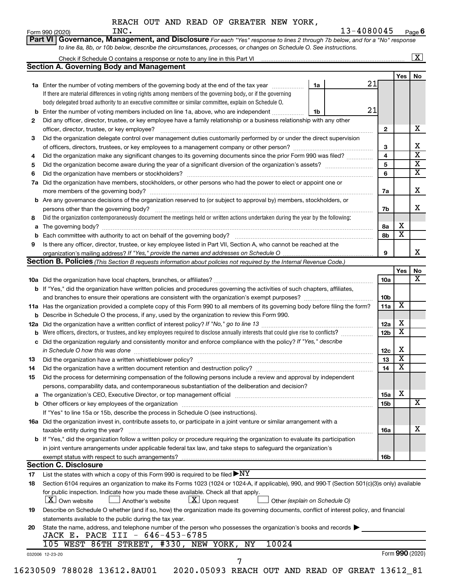|  |  | REACH OUT AND READ OF GREATER NEW YORK, |  |  |
|--|--|-----------------------------------------|--|--|
|  |  |                                         |  |  |

|     | <b>Section A. Governing Body and Management</b>                                                                                                  |    |    |                         |                         |  |
|-----|--------------------------------------------------------------------------------------------------------------------------------------------------|----|----|-------------------------|-------------------------|--|
|     |                                                                                                                                                  |    |    |                         | Yes                     |  |
|     | 1a Enter the number of voting members of the governing body at the end of the tax year                                                           | 1a | 21 |                         |                         |  |
|     | If there are material differences in voting rights among members of the governing body, or if the governing                                      |    |    |                         |                         |  |
|     | body delegated broad authority to an executive committee or similar committee, explain on Schedule O.                                            |    |    |                         |                         |  |
|     | Enter the number of voting members included on line 1a, above, who are independent                                                               | 1b | 21 |                         |                         |  |
| 2   | Did any officer, director, trustee, or key employee have a family relationship or a business relationship with any other                         |    |    |                         |                         |  |
|     | officer, director, trustee, or key employee?                                                                                                     |    |    | $\mathbf{2}$            |                         |  |
| З   | Did the organization delegate control over management duties customarily performed by or under the direct supervision                            |    |    |                         |                         |  |
|     |                                                                                                                                                  |    |    | 3                       |                         |  |
| 4   | Did the organization make any significant changes to its governing documents since the prior Form 990 was filed?                                 |    |    | $\overline{\mathbf{4}}$ |                         |  |
| 5   |                                                                                                                                                  |    |    | 5                       |                         |  |
| 6   |                                                                                                                                                  |    |    | 6                       |                         |  |
| 7a  | Did the organization have members, stockholders, or other persons who had the power to elect or appoint one or                                   |    |    |                         |                         |  |
|     |                                                                                                                                                  |    |    | 7a                      |                         |  |
|     | <b>b</b> Are any governance decisions of the organization reserved to (or subject to approval by) members, stockholders, or                      |    |    |                         |                         |  |
|     | persons other than the governing body?                                                                                                           |    |    | 7b                      |                         |  |
| 8   | Did the organization contemporaneously document the meetings held or written actions undertaken during the year by the following:                |    |    |                         |                         |  |
|     |                                                                                                                                                  |    |    | 8а                      | х                       |  |
|     |                                                                                                                                                  |    |    | 8b                      | $\overline{\textbf{x}}$ |  |
| 9   |                                                                                                                                                  |    |    |                         |                         |  |
|     | Is there any officer, director, trustee, or key employee listed in Part VII, Section A, who cannot be reached at the                             |    |    | 9                       |                         |  |
|     | Section B. Policies (This Section B requests information about policies not required by the Internal Revenue Code.)                              |    |    |                         |                         |  |
|     |                                                                                                                                                  |    |    |                         | Yes                     |  |
|     |                                                                                                                                                  |    |    | 10a                     |                         |  |
|     | b If "Yes," did the organization have written policies and procedures governing the activities of such chapters, affiliates,                     |    |    |                         |                         |  |
|     |                                                                                                                                                  |    |    | 10b                     |                         |  |
|     | 11a Has the organization provided a complete copy of this Form 990 to all members of its governing body before filing the form?                  |    |    | 11a                     | X                       |  |
|     | <b>b</b> Describe in Schedule O the process, if any, used by the organization to review this Form 990.                                           |    |    |                         |                         |  |
|     |                                                                                                                                                  |    |    | 12a                     | х                       |  |
| 12a |                                                                                                                                                  |    |    | 12 <sub>b</sub>         | $\overline{\textbf{x}}$ |  |
|     | Did the organization regularly and consistently monitor and enforce compliance with the policy? If "Yes," describe                               |    |    |                         |                         |  |
|     |                                                                                                                                                  |    |    |                         | Х                       |  |
|     | in Schedule O how this was done manufactured and continuum and contact the was done manufactured and contact t                                   |    |    | 12c<br>13               | $\overline{\text{X}}$   |  |
| 13  |                                                                                                                                                  |    |    |                         | $\overline{\textbf{x}}$ |  |
| 14  | Did the organization have a written document retention and destruction policy? [11] manufaction manufaction in                                   |    |    | 14                      |                         |  |
| 15  | Did the process for determining compensation of the following persons include a review and approval by independent                               |    |    |                         |                         |  |
|     | persons, comparability data, and contemporaneous substantiation of the deliberation and decision?                                                |    |    |                         | X                       |  |
|     |                                                                                                                                                  |    |    | 15a                     |                         |  |
|     |                                                                                                                                                  |    |    | 15b                     |                         |  |
|     | If "Yes" to line 15a or 15b, describe the process in Schedule O (see instructions).                                                              |    |    |                         |                         |  |
|     | 16a Did the organization invest in, contribute assets to, or participate in a joint venture or similar arrangement with a                        |    |    |                         |                         |  |
|     | taxable entity during the year?                                                                                                                  |    |    | 16a                     |                         |  |
|     | b If "Yes," did the organization follow a written policy or procedure requiring the organization to evaluate its participation                   |    |    |                         |                         |  |
|     | in joint venture arrangements under applicable federal tax law, and take steps to safeguard the organization's                                   |    |    |                         |                         |  |
|     |                                                                                                                                                  |    |    | 16b                     |                         |  |
|     | <b>Section C. Disclosure</b>                                                                                                                     |    |    |                         |                         |  |
| 17  | List the states with which a copy of this Form 990 is required to be filed $\blacktriangleright\text{NY}$                                        |    |    |                         |                         |  |
| 18  | Section 6104 requires an organization to make its Forms 1023 (1024 or 1024-A, if applicable), 990, and 990-T (Section 501(c)(3)s only) available |    |    |                         |                         |  |
|     | for public inspection. Indicate how you made these available. Check all that apply.                                                              |    |    |                         |                         |  |
|     | $\lfloor x \rfloor$ Upon request<br>  X   Own website<br>Another's website<br>Other (explain on Schedule O)                                      |    |    |                         |                         |  |
| 19  | Describe on Schedule O whether (and if so, how) the organization made its governing documents, conflict of interest policy, and financial        |    |    |                         |                         |  |
|     | statements available to the public during the tax year.                                                                                          |    |    |                         |                         |  |
| 20  | State the name, address, and telephone number of the person who possesses the organization's books and records $\blacktriangleright$             |    |    |                         |                         |  |
|     | JACK E. PACE III - 646-453-6785                                                                                                                  |    |    |                         |                         |  |
|     | 105 WEST 86TH STREET, #330, NEW YORK, NY<br>10024                                                                                                |    |    |                         |                         |  |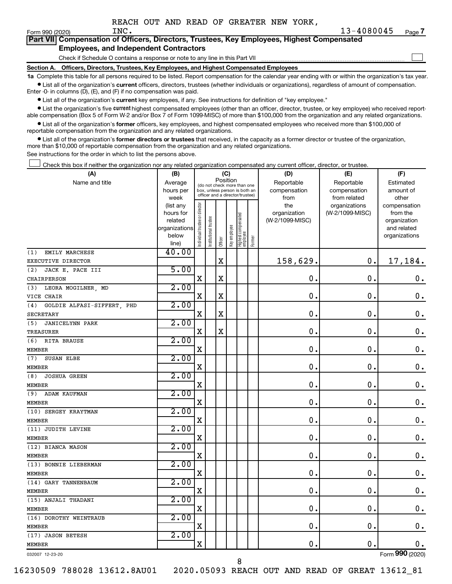$\Box$ 

| Form 990 (2020) |                                               | INC. |  | $13 - 40$                                                                                  |
|-----------------|-----------------------------------------------|------|--|--------------------------------------------------------------------------------------------|
|                 |                                               |      |  | Part VII Compensation of Officers, Directors, Trustees, Key Employees, Highest Compensated |
|                 | <b>Employees, and Independent Contractors</b> |      |  |                                                                                            |

Check if Schedule O contains a response or note to any line in this Part VII

**Section A. Officers, Directors, Trustees, Key Employees, and Highest Compensated Employees**

**1a**  Complete this table for all persons required to be listed. Report compensation for the calendar year ending with or within the organization's tax year.  $\bullet$  List all of the organization's current officers, directors, trustees (whether individuals or organizations), regardless of amount of compensation.

Enter -0- in columns (D), (E), and (F) if no compensation was paid.

**•** List all of the organization's current key employees, if any. See instructions for definition of "key employee."

• List the organization's five *current* highest compensated employees (other than an officer, director, trustee, or key employee) who received reportable compensation (Box 5 of Form W-2 and/or Box 7 of Form 1099-MISC) of more than \$100,000 from the organization and any related organizations.

 $\bullet$  List all of the organization's former officers, key employees, and highest compensated employees who received more than \$100,000 of reportable compensation from the organization and any related organizations.

**•** List all of the organization's former directors or trustees that received, in the capacity as a former director or trustee of the organization, more than \$10,000 of reportable compensation from the organization and any related organizations.

See instructions for the order in which to list the persons above.

Check this box if neither the organization nor any related organization compensated any current officer, director, or trustee.  $\Box$ 

| (A)                               | (B)           |                               |                                 | (C)         |              |                                   |        | (D)             | (E)             | (F)                |
|-----------------------------------|---------------|-------------------------------|---------------------------------|-------------|--------------|-----------------------------------|--------|-----------------|-----------------|--------------------|
| Name and title                    | Average       |                               | (do not check more than one     | Position    |              |                                   |        | Reportable      | Reportable      | Estimated          |
|                                   | hours per     |                               | box, unless person is both an   |             |              |                                   |        | compensation    | compensation    | amount of          |
|                                   | week          |                               | officer and a director/trustee) |             |              |                                   |        | from            | from related    | other              |
|                                   | (list any     |                               |                                 |             |              |                                   |        | the             | organizations   | compensation       |
|                                   | hours for     |                               |                                 |             |              |                                   |        | organization    | (W-2/1099-MISC) | from the           |
|                                   | related       |                               |                                 |             |              |                                   |        | (W-2/1099-MISC) |                 | organization       |
|                                   | organizations |                               |                                 |             |              |                                   |        |                 |                 | and related        |
|                                   | below         | ndividual trustee or director | nstitutional trustee            | Officer     | Key employee | Highest compensated<br>  employee | Former |                 |                 | organizations      |
|                                   | line)         |                               |                                 |             |              |                                   |        |                 |                 |                    |
| EMILY MARCHESE<br>(1)             | 40.00         |                               |                                 |             |              |                                   |        |                 |                 |                    |
| EXECUTIVE DIRECTOR                |               |                               |                                 | $\mathbf X$ |              |                                   |        | 158,629.        | $\mathbf 0$ .   | 17,184.            |
| JACK E. PACE III<br>(2)           | 5.00          |                               |                                 |             |              |                                   |        |                 |                 |                    |
| <b>CHAIRPERSON</b>                |               | X                             |                                 | $\mathbf X$ |              |                                   |        | $\mathbf 0$ .   | $\mathbf 0$ .   | $\mathbf 0$ .      |
| LEORA MOGILNER, MD<br>(3)         | 2.00          |                               |                                 |             |              |                                   |        |                 |                 |                    |
| VICE CHAIR                        |               | X                             |                                 | X           |              |                                   |        | $\mathbf 0$ .   | $\mathbf 0$ .   | $\mathbf 0$ .      |
| GOLDIE ALFASI-SIFFERT, PHD<br>(4) | 2.00          |                               |                                 |             |              |                                   |        |                 |                 |                    |
| SECRETARY                         |               | $\mathbf X$                   |                                 | X           |              |                                   |        | $\mathbf 0$ .   | $\mathbf 0$ .   | $\mathbf 0$ .      |
| <b>JANICELYNN PARK</b><br>(5)     | 2.00          |                               |                                 |             |              |                                   |        |                 |                 |                    |
| TREASURER                         |               | X                             |                                 | X           |              |                                   |        | $\mathbf 0$     | $\mathbf 0$     | $\boldsymbol{0}$ . |
| RITA BRAUSE<br>(6)                | 2.00          |                               |                                 |             |              |                                   |        |                 |                 |                    |
| <b>MEMBER</b>                     |               | $\mathbf X$                   |                                 |             |              |                                   |        | $\mathbf 0$ .   | $\mathbf 0$ .   | $\mathbf 0$ .      |
| (7)<br>SUSAN ELBE                 | 2.00          |                               |                                 |             |              |                                   |        |                 |                 |                    |
| <b>MEMBER</b>                     |               | $\mathbf X$                   |                                 |             |              |                                   |        | $\mathbf 0$ .   | $\mathbf 0$     | $\mathbf 0$ .      |
| <b>JOSHUA GREEN</b><br>(8)        | 2.00          |                               |                                 |             |              |                                   |        |                 |                 |                    |
| <b>MEMBER</b>                     |               | $\mathbf X$                   |                                 |             |              |                                   |        | $\mathbf 0$ .   | $\mathbf 0$ .   | $\boldsymbol{0}$ . |
| (9)<br>ADAM KAUFMAN               | 2.00          |                               |                                 |             |              |                                   |        |                 |                 |                    |
| <b>MEMBER</b>                     |               | X                             |                                 |             |              |                                   |        | 0.              | $\mathbf 0$ .   | $\mathbf 0$ .      |
| (10) SERGEY KRAYTMAN              | 2.00          |                               |                                 |             |              |                                   |        |                 |                 |                    |
| <b>MEMBER</b>                     |               | $\mathbf X$                   |                                 |             |              |                                   |        | $\mathbf 0$ .   | $\mathbf 0$ .   | 0.                 |
| (11) JUDITH LEVINE                | 2.00          |                               |                                 |             |              |                                   |        |                 |                 |                    |
| <b>MEMBER</b>                     |               | X                             |                                 |             |              |                                   |        | 0.              | $\mathbf 0$ .   | $\mathbf 0$ .      |
| (12) BIANCA MASON                 | 2.00          |                               |                                 |             |              |                                   |        |                 |                 |                    |
| <b>MEMBER</b>                     |               | X                             |                                 |             |              |                                   |        | 0.              | $\mathbf 0$ .   | $\mathbf 0$ .      |
| (13) BONNIE LIEBERMAN             | 2.00          |                               |                                 |             |              |                                   |        |                 |                 |                    |
| <b>MEMBER</b>                     |               | $\mathbf x$                   |                                 |             |              |                                   |        | $\mathbf{0}$ .  | $\mathbf 0$ .   | $\mathbf 0$ .      |
| (14) GARY TANNENBAUM              | 2.00          |                               |                                 |             |              |                                   |        |                 |                 |                    |
| <b>MEMBER</b>                     |               | X                             |                                 |             |              |                                   |        | 0.              | $\mathbf 0$     | $\mathbf 0$ .      |
| (15) ANJALI THADANI               | 2.00          |                               |                                 |             |              |                                   |        |                 |                 |                    |
| <b>MEMBER</b>                     |               | $\mathbf X$                   |                                 |             |              |                                   |        | $\mathbf 0$ .   | $\mathbf 0$ .   | $\mathbf 0$ .      |
| (16) DOROTHY WEINTRAUB            | 2.00          |                               |                                 |             |              |                                   |        |                 |                 |                    |
| <b>MEMBER</b>                     |               | $\mathbf X$                   |                                 |             |              |                                   |        | $\mathbf 0$ .   | $\mathbf 0$ .   | $\mathbf 0$ .      |
| (17) JASON BETESH                 | 2.00          |                               |                                 |             |              |                                   |        |                 |                 |                    |
| <b>MEMBER</b>                     |               | X                             |                                 |             |              |                                   |        | 0.              | $\mathbf 0$ .   | 0.                 |
| 032007 12-23-20                   |               |                               |                                 |             |              |                                   |        |                 |                 | Form 990 (2020)    |

16230509 788028 13612.8AU01 2020.05093 REACH OUT AND READ OF GREAT 13612\_81

Form (2020) **990**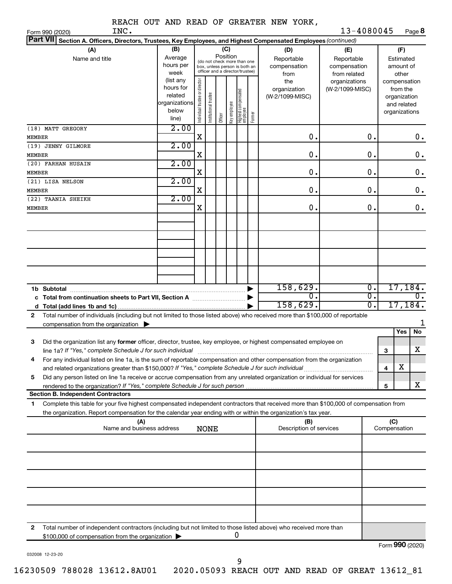|  |  | REACH OUT AND READ OF GREATER NEW YORK, |  |
|--|--|-----------------------------------------|--|

Form 990 (2020) Page **8** INC. 13-4080045

| Part VII Section A. Officers, Directors, Trustees, Key Employees, and Highest Compensated Employees (continued)                                                                                                |                                                                      |                                                                                                                    |                      |         |              |                                   |        |                                           |                                                   |   |                                                                          |                    |
|----------------------------------------------------------------------------------------------------------------------------------------------------------------------------------------------------------------|----------------------------------------------------------------------|--------------------------------------------------------------------------------------------------------------------|----------------------|---------|--------------|-----------------------------------|--------|-------------------------------------------|---------------------------------------------------|---|--------------------------------------------------------------------------|--------------------|
| (A)<br>Name and title                                                                                                                                                                                          | (B)<br>Average<br>hours per<br>week                                  | (C)<br>Position<br>(do not check more than one<br>box, unless person is both an<br>officer and a director/trustee) |                      |         |              |                                   |        | (D)<br>Reportable<br>compensation<br>from | (E)<br>Reportable<br>compensation<br>from related |   | (F)<br>Estimated<br>amount of<br>other                                   |                    |
|                                                                                                                                                                                                                | (list any<br>hours for<br>related<br>organizations<br>below<br>line) | Individual trustee or director                                                                                     | nstitutional trustee | Officer | Key employee | Highest compensated<br>  employee | Former | the<br>organization<br>(W-2/1099-MISC)    | organizations<br>(W-2/1099-MISC)                  |   | compensation<br>from the<br>organization<br>and related<br>organizations |                    |
| (18) MATT GREGORY<br>MEMBER                                                                                                                                                                                    | 2.00                                                                 | X                                                                                                                  |                      |         |              |                                   |        | $\mathbf 0$ .                             | 0.                                                |   |                                                                          | 0.                 |
| (19) JENNY GILMORE<br>MEMBER                                                                                                                                                                                   | 2.00                                                                 | Χ                                                                                                                  |                      |         |              |                                   |        | $\mathbf 0$ .                             | 0.                                                |   |                                                                          | $\boldsymbol{0}$ . |
| (20) FARHAN HUSAIN<br>MEMBER                                                                                                                                                                                   | 2.00                                                                 | Χ                                                                                                                  |                      |         |              |                                   |        | $\mathbf 0$ .                             | 0.                                                |   |                                                                          | 0.                 |
| (21) LISA NELSON<br>MEMBER                                                                                                                                                                                     | 2.00                                                                 | Χ                                                                                                                  |                      |         |              |                                   |        | $\mathbf 0$ .                             | 0.                                                |   |                                                                          | 0.                 |
| (22) TAANIA SHEIKH<br>MEMBER                                                                                                                                                                                   | 2.00                                                                 | Χ                                                                                                                  |                      |         |              |                                   |        | 0.                                        | 0.                                                |   |                                                                          | 0.                 |
|                                                                                                                                                                                                                |                                                                      |                                                                                                                    |                      |         |              |                                   |        |                                           |                                                   |   |                                                                          |                    |
|                                                                                                                                                                                                                |                                                                      |                                                                                                                    |                      |         |              |                                   |        |                                           |                                                   |   |                                                                          |                    |
|                                                                                                                                                                                                                |                                                                      |                                                                                                                    |                      |         |              |                                   |        |                                           |                                                   |   |                                                                          |                    |
|                                                                                                                                                                                                                |                                                                      |                                                                                                                    |                      |         |              |                                   |        |                                           |                                                   |   |                                                                          |                    |
| c Total from continuation sheets to Part VII, Section A manufactured by                                                                                                                                        |                                                                      |                                                                                                                    |                      |         |              |                                   |        | 158,629.<br>0                             | $\overline{0}$ .<br>σ.                            |   |                                                                          | 17,184.<br>О.      |
| Total number of individuals (including but not limited to those listed above) who received more than \$100,000 of reportable<br>$\mathbf{2}$                                                                   |                                                                      |                                                                                                                    |                      |         |              |                                   |        | 158,629.                                  | $\overline{0}$ .                                  |   | 17,184.                                                                  |                    |
| compensation from the organization $\blacktriangleright$                                                                                                                                                       |                                                                      |                                                                                                                    |                      |         |              |                                   |        |                                           |                                                   |   | Yes                                                                      | 1<br><b>No</b>     |
| Did the organization list any former officer, director, trustee, key employee, or highest compensated employee on<br>3<br>line 1a? If "Yes," complete Schedule J for such individual                           |                                                                      |                                                                                                                    |                      |         |              |                                   |        |                                           |                                                   | 3 |                                                                          | x                  |
| For any individual listed on line 1a, is the sum of reportable compensation and other compensation from the organization<br>4                                                                                  |                                                                      |                                                                                                                    |                      |         |              |                                   |        |                                           |                                                   | 4 | X                                                                        |                    |
| Did any person listed on line 1a receive or accrue compensation from any unrelated organization or individual for services<br>5<br>rendered to the organization? If "Yes," complete Schedule J for such person |                                                                      |                                                                                                                    |                      |         |              |                                   |        |                                           |                                                   | 5 |                                                                          | x                  |
| <b>Section B. Independent Contractors</b><br>Complete this table for your five highest compensated independent contractors that received more than \$100,000 of compensation from<br>1.                        |                                                                      |                                                                                                                    |                      |         |              |                                   |        |                                           |                                                   |   |                                                                          |                    |
| the organization. Report compensation for the calendar year ending with or within the organization's tax year.<br>(A)                                                                                          |                                                                      |                                                                                                                    |                      |         |              |                                   |        | (B)                                       |                                                   |   | (C)                                                                      |                    |
| Name and business address                                                                                                                                                                                      |                                                                      |                                                                                                                    | <b>NONE</b>          |         |              |                                   |        | Description of services                   |                                                   |   | Compensation                                                             |                    |
|                                                                                                                                                                                                                |                                                                      |                                                                                                                    |                      |         |              |                                   |        |                                           |                                                   |   |                                                                          |                    |
|                                                                                                                                                                                                                |                                                                      |                                                                                                                    |                      |         |              |                                   |        |                                           |                                                   |   |                                                                          |                    |
|                                                                                                                                                                                                                |                                                                      |                                                                                                                    |                      |         |              |                                   |        |                                           |                                                   |   |                                                                          |                    |
|                                                                                                                                                                                                                |                                                                      |                                                                                                                    |                      |         |              |                                   |        |                                           |                                                   |   |                                                                          |                    |
| Total number of independent contractors (including but not limited to those listed above) who received more than<br>2                                                                                          |                                                                      |                                                                                                                    |                      |         |              |                                   |        |                                           |                                                   |   |                                                                          |                    |
| \$100,000 of compensation from the organization                                                                                                                                                                |                                                                      |                                                                                                                    |                      |         |              | 0                                 |        |                                           |                                                   |   | Form 990 (2020)                                                          |                    |

032008 12-23-20

9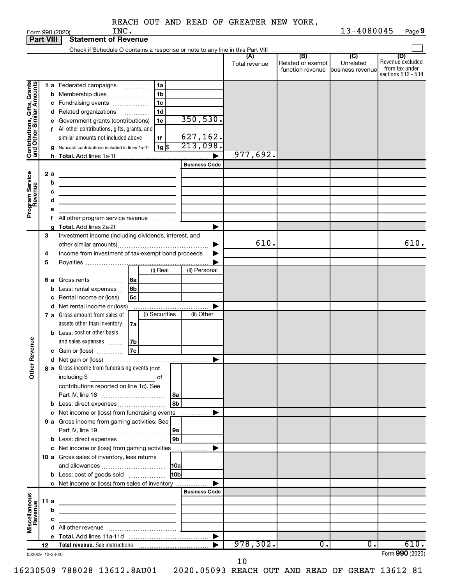| REACH OUT AND READ OF GREATER NEW YORK, |
|-----------------------------------------|
|-----------------------------------------|

|                              |      |   | INC.<br>Form 990 (2020)                                                                                                             |                      |               |                                                     | 13-4080045                    | Page 9                             |
|------------------------------|------|---|-------------------------------------------------------------------------------------------------------------------------------------|----------------------|---------------|-----------------------------------------------------|-------------------------------|------------------------------------|
| <b>Part VIII</b>             |      |   | <b>Statement of Revenue</b>                                                                                                         |                      |               |                                                     |                               |                                    |
|                              |      |   | Check if Schedule O contains a response or note to any line in this Part VIII                                                       |                      | (A)           | $\overline{(\mathsf{B})}$ $\overline{(\mathsf{C})}$ |                               | (D)                                |
|                              |      |   |                                                                                                                                     |                      | Total revenue | Related or exempt<br>function revenue               | Unrelated<br>business revenue | Revenue excluded<br>from tax under |
|                              |      |   |                                                                                                                                     |                      |               |                                                     |                               | sections 512 - 514                 |
|                              |      |   | 1 a Federated campaigns<br>1a                                                                                                       |                      |               |                                                     |                               |                                    |
| Contributions, Gifts, Grants |      |   | 1b<br><b>b</b> Membership dues                                                                                                      |                      |               |                                                     |                               |                                    |
|                              |      |   | 1c<br>c Fundraising events                                                                                                          |                      |               |                                                     |                               |                                    |
|                              |      |   | 1d<br>d Related organizations                                                                                                       |                      |               |                                                     |                               |                                    |
|                              |      |   | e Government grants (contributions)<br>1e                                                                                           | 350,530.             |               |                                                     |                               |                                    |
|                              |      |   | f All other contributions, gifts, grants, and                                                                                       |                      |               |                                                     |                               |                                    |
|                              |      |   | similar amounts not included above<br>1f                                                                                            | 627, 162.            |               |                                                     |                               |                                    |
|                              |      | g | $1g$ $\frac{1}{3}$<br>Noncash contributions included in lines 1a-1f                                                                 | 213,098.             |               |                                                     |                               |                                    |
|                              |      |   |                                                                                                                                     |                      | $977,692$ .   |                                                     |                               |                                    |
|                              |      |   |                                                                                                                                     | <b>Business Code</b> |               |                                                     |                               |                                    |
|                              | 2 a  |   |                                                                                                                                     |                      |               |                                                     |                               |                                    |
| Program Service<br>Revenue   |      | b | the control of the control of the control of the control of the control of                                                          |                      |               |                                                     |                               |                                    |
|                              |      | с | the control of the control of the control of the control of the control of the control of                                           |                      |               |                                                     |                               |                                    |
|                              |      | d | the control of the control of the control of the control of the control of                                                          |                      |               |                                                     |                               |                                    |
|                              |      |   |                                                                                                                                     |                      |               |                                                     |                               |                                    |
|                              |      |   | f All other program service revenue                                                                                                 |                      |               |                                                     |                               |                                    |
|                              |      | a |                                                                                                                                     |                      |               |                                                     |                               |                                    |
|                              | З    |   | Investment income (including dividends, interest, and                                                                               |                      |               |                                                     |                               |                                    |
|                              |      |   |                                                                                                                                     |                      | 610.          |                                                     |                               | 610.                               |
|                              | 4    |   | Income from investment of tax-exempt bond proceeds                                                                                  |                      |               |                                                     |                               |                                    |
|                              | 5    |   |                                                                                                                                     |                      |               |                                                     |                               |                                    |
|                              |      |   | (i) Real                                                                                                                            | (ii) Personal        |               |                                                     |                               |                                    |
|                              | 6а   |   | Gross rents<br>6a<br>.                                                                                                              |                      |               |                                                     |                               |                                    |
|                              |      | b | 6b<br>Less: rental expenses                                                                                                         |                      |               |                                                     |                               |                                    |
|                              |      |   | c Rental income or (loss)<br>6с                                                                                                     |                      |               |                                                     |                               |                                    |
|                              |      |   | d Net rental income or (loss)                                                                                                       |                      |               |                                                     |                               |                                    |
|                              |      |   | (i) Securities<br><b>7 a</b> Gross amount from sales of                                                                             | (ii) Other           |               |                                                     |                               |                                    |
|                              |      |   | assets other than inventory<br>7a                                                                                                   |                      |               |                                                     |                               |                                    |
|                              |      |   | <b>b</b> Less: cost or other basis                                                                                                  |                      |               |                                                     |                               |                                    |
|                              |      |   | and sales expenses<br>7b                                                                                                            |                      |               |                                                     |                               |                                    |
| evenue                       |      |   | 7c<br>c Gain or (loss)                                                                                                              |                      |               |                                                     |                               |                                    |
|                              |      |   |                                                                                                                                     |                      |               |                                                     |                               |                                    |
| Other <sub>R</sub>           |      |   | 8 a Gross income from fundraising events (not                                                                                       |                      |               |                                                     |                               |                                    |
|                              |      |   | including \$<br><u>na sa sa sa salala sa salala sa salala sa salala sa salala sa salala sa salala sa salala sa salala sa salala</u> |                      |               |                                                     |                               |                                    |
|                              |      |   | contributions reported on line 1c). See                                                                                             |                      |               |                                                     |                               |                                    |
|                              |      |   |                                                                                                                                     |                      |               |                                                     |                               |                                    |
|                              |      |   | 8 <sub>b</sub><br><b>b</b> Less: direct expenses                                                                                    |                      |               |                                                     |                               |                                    |
|                              |      |   | c Net income or (loss) from fundraising events                                                                                      |                      |               |                                                     |                               |                                    |
|                              |      |   | 9 a Gross income from gaming activities. See                                                                                        |                      |               |                                                     |                               |                                    |
|                              |      |   | 9a                                                                                                                                  |                      |               |                                                     |                               |                                    |
|                              |      |   | 9b                                                                                                                                  |                      |               |                                                     |                               |                                    |
|                              |      |   | c Net income or (loss) from gaming activities                                                                                       |                      |               |                                                     |                               |                                    |
|                              |      |   | 10 a Gross sales of inventory, less returns                                                                                         |                      |               |                                                     |                               |                                    |
|                              |      |   | 10a                                                                                                                                 |                      |               |                                                     |                               |                                    |
|                              |      |   | 10bl<br><b>b</b> Less: cost of goods sold                                                                                           |                      |               |                                                     |                               |                                    |
|                              |      |   | c Net income or (loss) from sales of inventory                                                                                      |                      |               |                                                     |                               |                                    |
|                              |      |   |                                                                                                                                     | <b>Business Code</b> |               |                                                     |                               |                                    |
|                              | 11 a |   |                                                                                                                                     |                      |               |                                                     |                               |                                    |
|                              |      | b |                                                                                                                                     |                      |               |                                                     |                               |                                    |
| Miscellaneous<br>Revenue     |      | с | <u> 1989 - Johann Harry Barn, mars ar breist fan de Fryske komme</u>                                                                |                      |               |                                                     |                               |                                    |
|                              |      |   |                                                                                                                                     |                      |               |                                                     |                               |                                    |
|                              | 12   |   |                                                                                                                                     |                      | 978,302.      | $\overline{0}$ .                                    | $\overline{0}$ .              | 610.                               |
| 032009 12-23-20              |      |   |                                                                                                                                     |                      |               |                                                     |                               | Form 990 (2020)                    |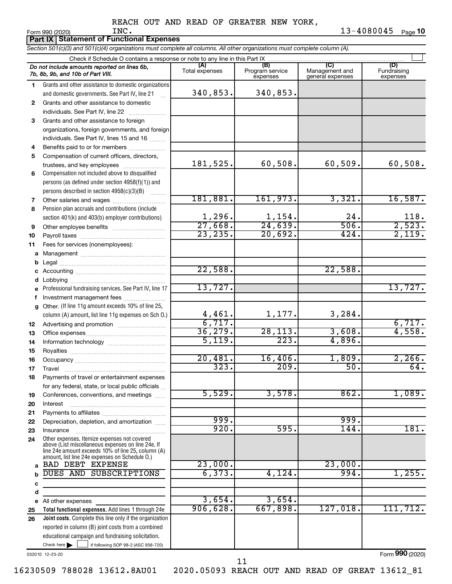**Part IX | Statement of Functional Expenses** 

*Section 501(c)(3) and 501(c)(4) organizations must complete all columns. All other organizations must complete column (A).*

|              | Do not include amounts reported on lines 6b,<br>7b, 8b, 9b, and 10b of Part VIII.                    | (A)<br>Total expenses | (B)<br>Program service<br>expenses | (C)<br>Management and<br>general expenses | (D)<br>Fundraising<br>expenses |  |  |  |  |
|--------------|------------------------------------------------------------------------------------------------------|-----------------------|------------------------------------|-------------------------------------------|--------------------------------|--|--|--|--|
| 1.           | Grants and other assistance to domestic organizations                                                |                       |                                    |                                           |                                |  |  |  |  |
|              | and domestic governments. See Part IV, line 21                                                       | 340,853.              | 340,853.                           |                                           |                                |  |  |  |  |
| $\mathbf{2}$ | Grants and other assistance to domestic                                                              |                       |                                    |                                           |                                |  |  |  |  |
|              | individuals. See Part IV, line 22                                                                    |                       |                                    |                                           |                                |  |  |  |  |
| 3            | Grants and other assistance to foreign                                                               |                       |                                    |                                           |                                |  |  |  |  |
|              | organizations, foreign governments, and foreign                                                      |                       |                                    |                                           |                                |  |  |  |  |
|              | individuals. See Part IV, lines 15 and 16                                                            |                       |                                    |                                           |                                |  |  |  |  |
| 4            | Benefits paid to or for members                                                                      |                       |                                    |                                           |                                |  |  |  |  |
| 5            | Compensation of current officers, directors,                                                         |                       |                                    |                                           |                                |  |  |  |  |
|              | trustees, and key employees                                                                          | 181,525.              | 60,508.                            | 60, 509.                                  | 60,508.                        |  |  |  |  |
| 6            | Compensation not included above to disqualified                                                      |                       |                                    |                                           |                                |  |  |  |  |
|              | persons (as defined under section 4958(f)(1)) and                                                    |                       |                                    |                                           |                                |  |  |  |  |
|              | persons described in section 4958(c)(3)(B)                                                           |                       |                                    |                                           |                                |  |  |  |  |
| 7            |                                                                                                      | 181,881.              | 161,973.                           | 3,321.                                    | 16,587.                        |  |  |  |  |
| 8            | Pension plan accruals and contributions (include                                                     |                       |                                    |                                           |                                |  |  |  |  |
|              | section 401(k) and 403(b) employer contributions)                                                    | 1,296.                | 1,154.                             | 24.                                       | 118.                           |  |  |  |  |
| 9            | Other employee benefits                                                                              | 27,668.               | 24,639.                            | 506.                                      | 2,523.                         |  |  |  |  |
| 10           |                                                                                                      | 23, 235.              | 20,692.                            | 424.                                      | 2,119.                         |  |  |  |  |
| 11           | Fees for services (nonemployees):                                                                    |                       |                                    |                                           |                                |  |  |  |  |
| a            |                                                                                                      |                       |                                    |                                           |                                |  |  |  |  |
| b            |                                                                                                      |                       |                                    |                                           |                                |  |  |  |  |
| с            |                                                                                                      | 22,588.               |                                    | 22,588.                                   |                                |  |  |  |  |
| d            |                                                                                                      |                       |                                    |                                           |                                |  |  |  |  |
| е            | Professional fundraising services. See Part IV, line 17                                              | 13,727.               |                                    |                                           | 13,727.                        |  |  |  |  |
| f            | Investment management fees                                                                           |                       |                                    |                                           |                                |  |  |  |  |
| $\mathbf{a}$ | Other. (If line 11g amount exceeds 10% of line 25,                                                   |                       |                                    |                                           |                                |  |  |  |  |
|              | column (A) amount, list line 11g expenses on Sch O.)                                                 | 4,461.<br>6,717.      | 1,177.                             | 3,284.                                    |                                |  |  |  |  |
| 12           |                                                                                                      |                       |                                    | 3,608.                                    | 6,717.<br>4,558.               |  |  |  |  |
| 13           |                                                                                                      | 36, 279.<br>5,119.    | 28, 113.<br>223.                   | 4,896.                                    |                                |  |  |  |  |
| 14           |                                                                                                      |                       |                                    |                                           |                                |  |  |  |  |
| 15           |                                                                                                      | 20,481.               | 16,406.                            | 1,809.                                    | 2,266.                         |  |  |  |  |
| 16           |                                                                                                      | 323.                  | 209.                               | 50.                                       | 64.                            |  |  |  |  |
| 17           |                                                                                                      |                       |                                    |                                           |                                |  |  |  |  |
| 18           | Payments of travel or entertainment expenses                                                         |                       |                                    |                                           |                                |  |  |  |  |
|              | for any federal, state, or local public officials                                                    | 5,529.                | 3,578.                             | 862.                                      | 1,089.                         |  |  |  |  |
| 19           | Conferences, conventions, and meetings                                                               |                       |                                    |                                           |                                |  |  |  |  |
| 20<br>21     | Interest                                                                                             |                       |                                    |                                           |                                |  |  |  |  |
| 22           | Depreciation, depletion, and amortization                                                            | 999.                  |                                    | 999.                                      |                                |  |  |  |  |
| 23           | Insurance                                                                                            | 920.                  | 595.                               | 144.                                      | 181.                           |  |  |  |  |
| 24           | Other expenses. Itemize expenses not covered                                                         |                       |                                    |                                           |                                |  |  |  |  |
|              | above (List miscellaneous expenses on line 24e. If                                                   |                       |                                    |                                           |                                |  |  |  |  |
|              | line 24e amount exceeds 10% of line 25, column (A)<br>amount, list line 24e expenses on Schedule O.) |                       |                                    |                                           |                                |  |  |  |  |
| a            | <b>BAD DEBT EXPENSE</b>                                                                              | 23,000.               |                                    | 23,000.                                   |                                |  |  |  |  |
|              | DUES AND SUBSCRIPTIONS                                                                               | 6, 373.               | 4,124.                             | 994.                                      | 1,255.                         |  |  |  |  |
| с            |                                                                                                      |                       |                                    |                                           |                                |  |  |  |  |
| d            |                                                                                                      |                       |                                    |                                           |                                |  |  |  |  |
| е            | All other expenses                                                                                   | 3,654.                | 3,654.                             |                                           |                                |  |  |  |  |
| 25           | Total functional expenses. Add lines 1 through 24e                                                   | 906,628.              | 667,898.                           | 127,018.                                  | 111, 712.                      |  |  |  |  |
| 26           | Joint costs. Complete this line only if the organization                                             |                       |                                    |                                           |                                |  |  |  |  |
|              | reported in column (B) joint costs from a combined                                                   |                       |                                    |                                           |                                |  |  |  |  |
|              | educational campaign and fundraising solicitation.                                                   |                       |                                    |                                           |                                |  |  |  |  |
|              | Check here $\blacktriangleright$<br>if following SOP 98-2 (ASC 958-720)                              |                       |                                    |                                           |                                |  |  |  |  |
|              |                                                                                                      |                       |                                    |                                           |                                |  |  |  |  |

032010 12-23-20

Form (2020) **990**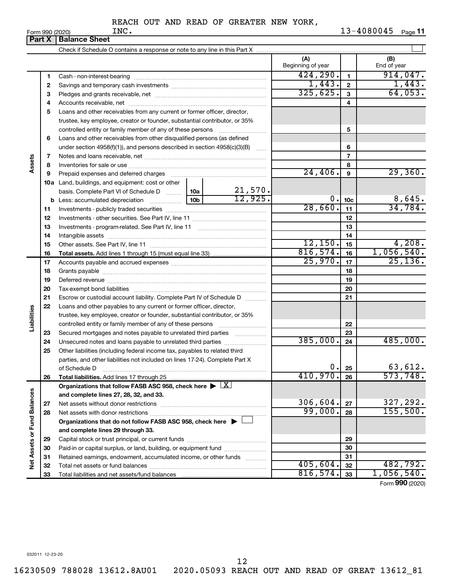|                             |    | <b>Part X   Balance Sheet</b>                                                                          |                          |                 |                        |
|-----------------------------|----|--------------------------------------------------------------------------------------------------------|--------------------------|-----------------|------------------------|
|                             |    |                                                                                                        |                          |                 |                        |
|                             |    |                                                                                                        | (A)<br>Beginning of year |                 | (B)<br>End of year     |
|                             | 1  |                                                                                                        | 424, 290.                | $\mathbf{1}$    | 914,047.               |
|                             | 2  |                                                                                                        | 1,443.                   | $\overline{2}$  | 1,443.                 |
|                             | з  |                                                                                                        | 325,625.                 | 3               | 64,053.                |
|                             | 4  |                                                                                                        |                          | 4               |                        |
|                             | 5  | Loans and other receivables from any current or former officer, director,                              |                          |                 |                        |
|                             |    | trustee, key employee, creator or founder, substantial contributor, or 35%                             |                          |                 |                        |
|                             |    | controlled entity or family member of any of these persons                                             |                          | 5               |                        |
|                             | 6  | Loans and other receivables from other disqualified persons (as defined                                |                          |                 |                        |
|                             |    | under section 4958(f)(1)), and persons described in section 4958(c)(3)(B)                              |                          | 6               |                        |
|                             | 7  |                                                                                                        |                          | $\overline{7}$  |                        |
| Assets                      | 8  |                                                                                                        |                          | 8               |                        |
|                             | 9  | Prepaid expenses and deferred charges                                                                  | 24,406.                  | 9               | 29,360.                |
|                             |    | <b>10a</b> Land, buildings, and equipment: cost or other                                               |                          |                 |                        |
|                             |    | basis. Complete Part VI of Schedule D    10a                                                           |                          |                 |                        |
|                             | b  | $\frac{21,570}{12,925}$<br>10 <sub>b</sub><br>Less: accumulated depreciation                           | 0.                       | 10 <sub>c</sub> | $\frac{8,645}{34,784}$ |
|                             | 11 |                                                                                                        | 28,660.                  | 11              |                        |
|                             | 12 |                                                                                                        |                          | 12              |                        |
|                             | 13 |                                                                                                        |                          | 13              |                        |
|                             | 14 |                                                                                                        |                          | 14              |                        |
|                             | 15 |                                                                                                        | 12,150.                  | 15              | 4,208.                 |
|                             | 16 |                                                                                                        | 816,574.                 | 16              | 1,056,540.             |
|                             | 17 |                                                                                                        | 25,970.                  | 17              | 25, 136.               |
|                             | 18 |                                                                                                        |                          | 18              |                        |
|                             | 19 |                                                                                                        |                          | 19              |                        |
|                             | 20 |                                                                                                        |                          | 20              |                        |
|                             | 21 | Escrow or custodial account liability. Complete Part IV of Schedule D                                  |                          | 21              |                        |
|                             | 22 | Loans and other payables to any current or former officer, director,                                   |                          |                 |                        |
|                             |    | trustee, key employee, creator or founder, substantial contributor, or 35%                             |                          |                 |                        |
| Liabilities                 |    | controlled entity or family member of any of these persons                                             |                          | 22              |                        |
|                             | 23 | Secured mortgages and notes payable to unrelated third parties                                         |                          | 23              |                        |
|                             | 24 | Unsecured notes and loans payable to unrelated third parties                                           | 385,000.                 | 24              | 485,000.               |
|                             | 25 | Other liabilities (including federal income tax, payables to related third                             |                          |                 |                        |
|                             |    | parties, and other liabilities not included on lines 17-24). Complete Part X                           |                          |                 |                        |
|                             |    | of Schedule D                                                                                          | 0.                       | 25              | 63,612.                |
|                             | 26 | Total liabilities. Add lines 17 through 25                                                             | 410,970.                 | 26              | 573,748.               |
|                             |    | Organizations that follow FASB ASC 958, check here $\blacktriangleright \lfloor \underline{X} \rfloor$ |                          |                 |                        |
|                             |    | and complete lines 27, 28, 32, and 33.                                                                 |                          |                 |                        |
|                             | 27 |                                                                                                        | 306,604.                 | 27              | 327,292.               |
|                             | 28 |                                                                                                        | 99,000.                  | 28              | 155,500.               |
|                             |    | Organizations that do not follow FASB ASC 958, check here $\blacktriangleright$                        |                          |                 |                        |
| Net Assets or Fund Balances |    | and complete lines 29 through 33.                                                                      |                          |                 |                        |
|                             | 29 |                                                                                                        |                          | 29              |                        |
|                             | 30 | Paid-in or capital surplus, or land, building, or equipment fund                                       |                          | 30              |                        |
|                             | 31 | Retained earnings, endowment, accumulated income, or other funds                                       |                          | 31              |                        |
|                             | 32 |                                                                                                        | 405,604.                 | 32              | 482,792.               |
|                             | 33 |                                                                                                        | 816,574.                 | 33              | 1,056,540.             |

Form (2020) **990**

032011 12-23-20

12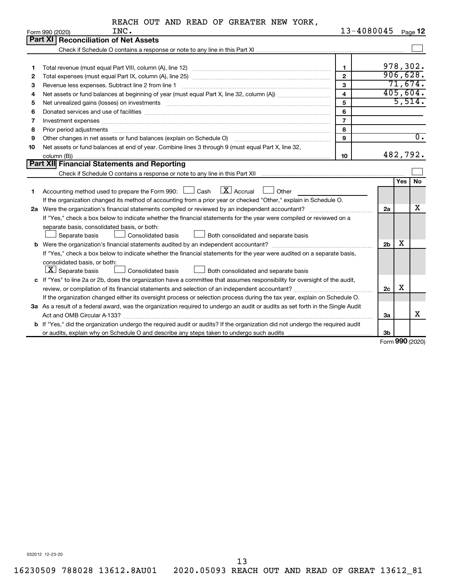|  |  | REACH OUT AND READ OF GREATER NEW YORK, |  |  |
|--|--|-----------------------------------------|--|--|
|  |  |                                         |  |  |

|    | INC.<br>Form 990 (2020)                                                                                                                                                                                                        | 13-4080045              |                |            | Page 12          |
|----|--------------------------------------------------------------------------------------------------------------------------------------------------------------------------------------------------------------------------------|-------------------------|----------------|------------|------------------|
|    | Part XI<br><b>Reconciliation of Net Assets</b>                                                                                                                                                                                 |                         |                |            |                  |
|    |                                                                                                                                                                                                                                |                         |                |            |                  |
|    |                                                                                                                                                                                                                                |                         |                |            |                  |
| 1  |                                                                                                                                                                                                                                | $\mathbf{1}$            |                |            | 978,302.         |
| 2  |                                                                                                                                                                                                                                | $\overline{2}$          |                |            | 906,628.         |
| З  | Revenue less expenses. Subtract line 2 from line 1                                                                                                                                                                             | 3                       |                |            | 71,674.          |
| 4  |                                                                                                                                                                                                                                | $\overline{\mathbf{4}}$ |                |            | 405,604.         |
| 5  | Net unrealized gains (losses) on investments [11] matter than the control of the state of the state of the state of the state of the state of the state of the state of the state of the state of the state of the state of th | 5                       |                |            | 5,514.           |
| 6  | Donated services and use of facilities [[111] matter contracts and all the services and use of facilities [[11                                                                                                                 | 6                       |                |            |                  |
| 7  |                                                                                                                                                                                                                                | $\overline{7}$          |                |            |                  |
| 8  |                                                                                                                                                                                                                                | 8                       |                |            |                  |
| 9  | Other changes in net assets or fund balances (explain on Schedule O)                                                                                                                                                           | 9                       |                |            | $\overline{0}$ . |
| 10 | Net assets or fund balances at end of year. Combine lines 3 through 9 (must equal Part X, line 32,                                                                                                                             |                         |                |            |                  |
|    |                                                                                                                                                                                                                                | 10                      |                |            | 482,792.         |
|    | <b>Part XII Financial Statements and Reporting</b>                                                                                                                                                                             |                         |                |            |                  |
|    |                                                                                                                                                                                                                                |                         |                |            |                  |
|    |                                                                                                                                                                                                                                |                         |                | <b>Yes</b> | <b>No</b>        |
| 1  | Accounting method used to prepare the Form 990: $\Box$ Cash $\Box X$ Accrual<br>$\Box$ Other                                                                                                                                   |                         |                |            |                  |
|    | If the organization changed its method of accounting from a prior year or checked "Other," explain in Schedule O.                                                                                                              |                         |                |            |                  |
| 2a |                                                                                                                                                                                                                                |                         | 2a             |            | х                |
|    | If "Yes," check a box below to indicate whether the financial statements for the year were compiled or reviewed on a                                                                                                           |                         |                |            |                  |
|    | separate basis, consolidated basis, or both:                                                                                                                                                                                   |                         |                |            |                  |
|    | Separate basis<br>Both consolidated and separate basis<br><b>Consolidated basis</b>                                                                                                                                            |                         |                |            |                  |
| b  |                                                                                                                                                                                                                                |                         | 2 <sub>b</sub> | х          |                  |
|    | If "Yes," check a box below to indicate whether the financial statements for the year were audited on a separate basis,                                                                                                        |                         |                |            |                  |
|    | consolidated basis, or both:                                                                                                                                                                                                   |                         |                |            |                  |
|    | $\lfloor \mathbf{X} \rfloor$ Separate basis<br><b>Consolidated basis</b><br>Both consolidated and separate basis                                                                                                               |                         |                |            |                  |
| c  | If "Yes" to line 2a or 2b, does the organization have a committee that assumes responsibility for oversight of the audit,                                                                                                      |                         |                |            |                  |
|    |                                                                                                                                                                                                                                |                         | 2c             | х          |                  |
|    | If the organization changed either its oversight process or selection process during the tax year, explain on Schedule O.                                                                                                      |                         |                |            |                  |
|    | 3a As a result of a federal award, was the organization required to undergo an audit or audits as set forth in the Single Audit                                                                                                |                         |                |            |                  |
|    |                                                                                                                                                                                                                                |                         | За             |            | x                |
|    | <b>b</b> If "Yes," did the organization undergo the required audit or audits? If the organization did not undergo the required audit                                                                                           |                         |                |            |                  |
|    |                                                                                                                                                                                                                                |                         | 3b             |            |                  |

Form (2020) **990**

032012 12-23-20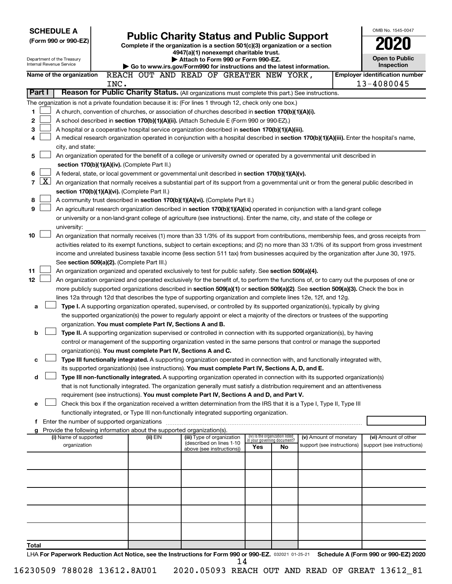| <b>SCHEDULE A</b>                                                                                                                                        |                                             |                                                                        | OMB No. 1545-0047                                                                                                                                                                                                   |     |                                                                |                            |  |                                                                                                                                              |
|----------------------------------------------------------------------------------------------------------------------------------------------------------|---------------------------------------------|------------------------------------------------------------------------|---------------------------------------------------------------------------------------------------------------------------------------------------------------------------------------------------------------------|-----|----------------------------------------------------------------|----------------------------|--|----------------------------------------------------------------------------------------------------------------------------------------------|
| <b>Public Charity Status and Public Support</b><br>(Form 990 or 990-EZ)<br>Complete if the organization is a section 501(c)(3) organization or a section |                                             |                                                                        |                                                                                                                                                                                                                     |     |                                                                |                            |  |                                                                                                                                              |
|                                                                                                                                                          |                                             |                                                                        | 4947(a)(1) nonexempt charitable trust.                                                                                                                                                                              |     |                                                                |                            |  |                                                                                                                                              |
| Department of the Treasury<br>Internal Revenue Service                                                                                                   |                                             |                                                                        | Attach to Form 990 or Form 990-EZ.                                                                                                                                                                                  |     |                                                                |                            |  | <b>Open to Public</b><br>Inspection                                                                                                          |
| Name of the organization                                                                                                                                 |                                             |                                                                        | Go to www.irs.gov/Form990 for instructions and the latest information.<br>REACH OUT AND READ OF GREATER NEW YORK,                                                                                                   |     |                                                                |                            |  | <b>Employer identification number</b>                                                                                                        |
|                                                                                                                                                          | INC.                                        |                                                                        |                                                                                                                                                                                                                     |     |                                                                |                            |  | 13-4080045                                                                                                                                   |
| Part I                                                                                                                                                   |                                             |                                                                        | Reason for Public Charity Status. (All organizations must complete this part.) See instructions.                                                                                                                    |     |                                                                |                            |  |                                                                                                                                              |
| The organization is not a private foundation because it is: (For lines 1 through 12, check only one box.)                                                |                                             |                                                                        |                                                                                                                                                                                                                     |     |                                                                |                            |  |                                                                                                                                              |
| 1                                                                                                                                                        |                                             |                                                                        | A church, convention of churches, or association of churches described in <b>section 170(b)(1)(A)(i).</b>                                                                                                           |     |                                                                |                            |  |                                                                                                                                              |
| 2                                                                                                                                                        |                                             |                                                                        | A school described in section 170(b)(1)(A)(ii). (Attach Schedule E (Form 990 or 990-EZ).)                                                                                                                           |     |                                                                |                            |  |                                                                                                                                              |
| 3                                                                                                                                                        |                                             |                                                                        | A hospital or a cooperative hospital service organization described in section 170(b)(1)(A)(iii).                                                                                                                   |     |                                                                |                            |  |                                                                                                                                              |
| 4<br>city, and state:                                                                                                                                    |                                             |                                                                        | A medical research organization operated in conjunction with a hospital described in section 170(b)(1)(A)(iii). Enter the hospital's name,                                                                          |     |                                                                |                            |  |                                                                                                                                              |
| 5                                                                                                                                                        |                                             |                                                                        | An organization operated for the benefit of a college or university owned or operated by a governmental unit described in                                                                                           |     |                                                                |                            |  |                                                                                                                                              |
|                                                                                                                                                          |                                             | section 170(b)(1)(A)(iv). (Complete Part II.)                          |                                                                                                                                                                                                                     |     |                                                                |                            |  |                                                                                                                                              |
| 6                                                                                                                                                        |                                             |                                                                        | A federal, state, or local government or governmental unit described in section 170(b)(1)(A)(v).                                                                                                                    |     |                                                                |                            |  |                                                                                                                                              |
| $\lfloor x \rfloor$<br>$\overline{7}$                                                                                                                    |                                             |                                                                        | An organization that normally receives a substantial part of its support from a governmental unit or from the general public described in                                                                           |     |                                                                |                            |  |                                                                                                                                              |
|                                                                                                                                                          |                                             | section 170(b)(1)(A)(vi). (Complete Part II.)                          |                                                                                                                                                                                                                     |     |                                                                |                            |  |                                                                                                                                              |
| 8                                                                                                                                                        |                                             |                                                                        | A community trust described in section 170(b)(1)(A)(vi). (Complete Part II.)                                                                                                                                        |     |                                                                |                            |  |                                                                                                                                              |
| 9                                                                                                                                                        |                                             |                                                                        | An agricultural research organization described in section 170(b)(1)(A)(ix) operated in conjunction with a land-grant college                                                                                       |     |                                                                |                            |  |                                                                                                                                              |
|                                                                                                                                                          |                                             |                                                                        | or university or a non-land-grant college of agriculture (see instructions). Enter the name, city, and state of the college or                                                                                      |     |                                                                |                            |  |                                                                                                                                              |
| university:<br>10                                                                                                                                        |                                             |                                                                        |                                                                                                                                                                                                                     |     |                                                                |                            |  | An organization that normally receives (1) more than 33 1/3% of its support from contributions, membership fees, and gross receipts from     |
|                                                                                                                                                          |                                             |                                                                        |                                                                                                                                                                                                                     |     |                                                                |                            |  | activities related to its exempt functions, subject to certain exceptions; and (2) no more than 33 1/3% of its support from gross investment |
|                                                                                                                                                          |                                             |                                                                        | income and unrelated business taxable income (less section 511 tax) from businesses acquired by the organization after June 30, 1975.                                                                               |     |                                                                |                            |  |                                                                                                                                              |
|                                                                                                                                                          | See section 509(a)(2). (Complete Part III.) |                                                                        |                                                                                                                                                                                                                     |     |                                                                |                            |  |                                                                                                                                              |
| 11                                                                                                                                                       |                                             |                                                                        | An organization organized and operated exclusively to test for public safety. See section 509(a)(4).                                                                                                                |     |                                                                |                            |  |                                                                                                                                              |
| 12                                                                                                                                                       |                                             |                                                                        | An organization organized and operated exclusively for the benefit of, to perform the functions of, or to carry out the purposes of one or                                                                          |     |                                                                |                            |  |                                                                                                                                              |
|                                                                                                                                                          |                                             |                                                                        | more publicly supported organizations described in section 509(a)(1) or section 509(a)(2). See section 509(a)(3). Check the box in                                                                                  |     |                                                                |                            |  |                                                                                                                                              |
|                                                                                                                                                          |                                             |                                                                        | lines 12a through 12d that describes the type of supporting organization and complete lines 12e, 12f, and 12g.                                                                                                      |     |                                                                |                            |  |                                                                                                                                              |
| a                                                                                                                                                        |                                             |                                                                        | Type I. A supporting organization operated, supervised, or controlled by its supported organization(s), typically by giving                                                                                         |     |                                                                |                            |  |                                                                                                                                              |
|                                                                                                                                                          |                                             | organization. You must complete Part IV, Sections A and B.             | the supported organization(s) the power to regularly appoint or elect a majority of the directors or trustees of the supporting                                                                                     |     |                                                                |                            |  |                                                                                                                                              |
| b                                                                                                                                                        |                                             |                                                                        | Type II. A supporting organization supervised or controlled in connection with its supported organization(s), by having                                                                                             |     |                                                                |                            |  |                                                                                                                                              |
|                                                                                                                                                          |                                             |                                                                        | control or management of the supporting organization vested in the same persons that control or manage the supported                                                                                                |     |                                                                |                            |  |                                                                                                                                              |
|                                                                                                                                                          |                                             |                                                                        | organization(s). You must complete Part IV, Sections A and C.                                                                                                                                                       |     |                                                                |                            |  |                                                                                                                                              |
| с                                                                                                                                                        |                                             |                                                                        | Type III functionally integrated. A supporting organization operated in connection with, and functionally integrated with,                                                                                          |     |                                                                |                            |  |                                                                                                                                              |
|                                                                                                                                                          |                                             |                                                                        | its supported organization(s) (see instructions). You must complete Part IV, Sections A, D, and E.                                                                                                                  |     |                                                                |                            |  |                                                                                                                                              |
| d                                                                                                                                                        |                                             |                                                                        | Type III non-functionally integrated. A supporting organization operated in connection with its supported organization(s)                                                                                           |     |                                                                |                            |  |                                                                                                                                              |
|                                                                                                                                                          |                                             |                                                                        | that is not functionally integrated. The organization generally must satisfy a distribution requirement and an attentiveness                                                                                        |     |                                                                |                            |  |                                                                                                                                              |
|                                                                                                                                                          |                                             |                                                                        | requirement (see instructions). You must complete Part IV, Sections A and D, and Part V.<br>Check this box if the organization received a written determination from the IRS that it is a Type I, Type II, Type III |     |                                                                |                            |  |                                                                                                                                              |
| е                                                                                                                                                        |                                             |                                                                        | functionally integrated, or Type III non-functionally integrated supporting organization.                                                                                                                           |     |                                                                |                            |  |                                                                                                                                              |
|                                                                                                                                                          |                                             |                                                                        |                                                                                                                                                                                                                     |     |                                                                |                            |  |                                                                                                                                              |
| g                                                                                                                                                        |                                             | Provide the following information about the supported organization(s). |                                                                                                                                                                                                                     |     |                                                                |                            |  |                                                                                                                                              |
| (i) Name of supported                                                                                                                                    |                                             | (ii) EIN                                                               | (iii) Type of organization<br>(described on lines 1-10                                                                                                                                                              |     | (iv) Is the organization listed<br>in your governing document? | (v) Amount of monetary     |  | (vi) Amount of other                                                                                                                         |
| organization                                                                                                                                             |                                             |                                                                        | above (see instructions))                                                                                                                                                                                           | Yes | No                                                             | support (see instructions) |  | support (see instructions)                                                                                                                   |
|                                                                                                                                                          |                                             |                                                                        |                                                                                                                                                                                                                     |     |                                                                |                            |  |                                                                                                                                              |
|                                                                                                                                                          |                                             |                                                                        |                                                                                                                                                                                                                     |     |                                                                |                            |  |                                                                                                                                              |
|                                                                                                                                                          |                                             |                                                                        |                                                                                                                                                                                                                     |     |                                                                |                            |  |                                                                                                                                              |
|                                                                                                                                                          |                                             |                                                                        |                                                                                                                                                                                                                     |     |                                                                |                            |  |                                                                                                                                              |
|                                                                                                                                                          |                                             |                                                                        |                                                                                                                                                                                                                     |     |                                                                |                            |  |                                                                                                                                              |
|                                                                                                                                                          |                                             |                                                                        |                                                                                                                                                                                                                     |     |                                                                |                            |  |                                                                                                                                              |
|                                                                                                                                                          |                                             |                                                                        |                                                                                                                                                                                                                     |     |                                                                |                            |  |                                                                                                                                              |
|                                                                                                                                                          |                                             |                                                                        |                                                                                                                                                                                                                     |     |                                                                |                            |  |                                                                                                                                              |
| Total                                                                                                                                                    |                                             |                                                                        |                                                                                                                                                                                                                     |     |                                                                |                            |  |                                                                                                                                              |
| LHA For Paperwork Reduction Act Notice, see the Instructions for Form 990 or 990-EZ. 032021 01-25-21                                                     |                                             |                                                                        |                                                                                                                                                                                                                     |     |                                                                |                            |  | Schedule A (Form 990 or 990-EZ) 2020                                                                                                         |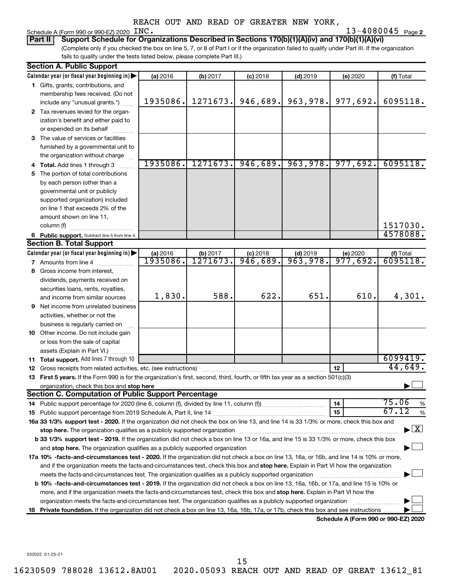### Schedule A (Form 990 or 990-EZ)  $2020$   $N$ C.

**2** INC. **2020 2020 2020 2020 2020 2020 2020 2020 2020 2020 2020 2020 2020 2020 2020 2020 2020 2020 2020 2020 2020 2020 2020 2020 2020 2020 2020 2020 2020 2020 20** 

(Complete only if you checked the box on line 5, 7, or 8 of Part I or if the organization failed to qualify under Part III. If the organization fails to qualify under the tests listed below, please complete Part III.) **Part II Support Schedule for Organizations Described in Sections 170(b)(1)(A)(iv) and 170(b)(1)(A)(vi)**

|    | <b>Section A. Public Support</b>                                                                                                                                                                                               |          |          |            |            |                                      |                                          |
|----|--------------------------------------------------------------------------------------------------------------------------------------------------------------------------------------------------------------------------------|----------|----------|------------|------------|--------------------------------------|------------------------------------------|
|    | Calendar year (or fiscal year beginning in)                                                                                                                                                                                    | (a) 2016 | (b) 2017 | $(c)$ 2018 | $(d)$ 2019 | (e) 2020                             | (f) Total                                |
|    | 1 Gifts, grants, contributions, and                                                                                                                                                                                            |          |          |            |            |                                      |                                          |
|    | membership fees received. (Do not                                                                                                                                                                                              |          |          |            |            |                                      |                                          |
|    | include any "unusual grants.")                                                                                                                                                                                                 | 1935086. | 1271673. | 946,689.   | 963,978.   | 977,692.                             | 6095118.                                 |
|    | 2 Tax revenues levied for the organ-                                                                                                                                                                                           |          |          |            |            |                                      |                                          |
|    | ization's benefit and either paid to                                                                                                                                                                                           |          |          |            |            |                                      |                                          |
|    | or expended on its behalf                                                                                                                                                                                                      |          |          |            |            |                                      |                                          |
|    | 3 The value of services or facilities                                                                                                                                                                                          |          |          |            |            |                                      |                                          |
|    | furnished by a governmental unit to                                                                                                                                                                                            |          |          |            |            |                                      |                                          |
|    | the organization without charge                                                                                                                                                                                                |          |          |            |            |                                      |                                          |
|    | 4 Total. Add lines 1 through 3                                                                                                                                                                                                 | 1935086. | 1271673. | 946,689.   | 963,978.   | 977,692.                             | 6095118.                                 |
| 5. | The portion of total contributions                                                                                                                                                                                             |          |          |            |            |                                      |                                          |
|    | by each person (other than a                                                                                                                                                                                                   |          |          |            |            |                                      |                                          |
|    | governmental unit or publicly                                                                                                                                                                                                  |          |          |            |            |                                      |                                          |
|    | supported organization) included                                                                                                                                                                                               |          |          |            |            |                                      |                                          |
|    | on line 1 that exceeds 2% of the                                                                                                                                                                                               |          |          |            |            |                                      |                                          |
|    | amount shown on line 11,                                                                                                                                                                                                       |          |          |            |            |                                      |                                          |
|    | column (f)                                                                                                                                                                                                                     |          |          |            |            |                                      | 1517030.                                 |
|    | 6 Public support. Subtract line 5 from line 4.                                                                                                                                                                                 |          |          |            |            |                                      | 4578088.                                 |
|    | <b>Section B. Total Support</b>                                                                                                                                                                                                |          |          |            |            |                                      |                                          |
|    | Calendar year (or fiscal year beginning in)                                                                                                                                                                                    | (a) 2016 | (b) 2017 | $(c)$ 2018 | $(d)$ 2019 | (e) 2020                             | (f) Total                                |
|    | <b>7</b> Amounts from line 4                                                                                                                                                                                                   | 1935086. | 1271673  | 946,689.   | 963,978.   | 977,692.                             | 6095118.                                 |
| 8  | Gross income from interest,                                                                                                                                                                                                    |          |          |            |            |                                      |                                          |
|    | dividends, payments received on                                                                                                                                                                                                |          |          |            |            |                                      |                                          |
|    | securities loans, rents, royalties,                                                                                                                                                                                            |          |          |            |            |                                      |                                          |
|    | and income from similar sources                                                                                                                                                                                                | 1,830.   | 588.     | 622.       | 651.       | 610.                                 | 4,301.                                   |
|    | <b>9</b> Net income from unrelated business                                                                                                                                                                                    |          |          |            |            |                                      |                                          |
|    | activities, whether or not the                                                                                                                                                                                                 |          |          |            |            |                                      |                                          |
|    | business is regularly carried on                                                                                                                                                                                               |          |          |            |            |                                      |                                          |
|    | 10 Other income. Do not include gain                                                                                                                                                                                           |          |          |            |            |                                      |                                          |
|    | or loss from the sale of capital                                                                                                                                                                                               |          |          |            |            |                                      |                                          |
|    | assets (Explain in Part VI.)                                                                                                                                                                                                   |          |          |            |            |                                      | 6099419.                                 |
|    | 11 Total support. Add lines 7 through 10                                                                                                                                                                                       |          |          |            |            |                                      | 44,649.                                  |
|    | <b>12</b> Gross receipts from related activities, etc. (see instructions)                                                                                                                                                      |          |          |            |            | 12                                   |                                          |
|    | 13 First 5 years. If the Form 990 is for the organization's first, second, third, fourth, or fifth tax year as a section 501(c)(3)                                                                                             |          |          |            |            |                                      |                                          |
|    | organization, check this box and stop here www.communication.communication.com/<br><b>Section C. Computation of Public Support Percentage</b>                                                                                  |          |          |            |            |                                      |                                          |
|    |                                                                                                                                                                                                                                |          |          |            |            | 14                                   | 75.06<br>$\%$                            |
|    |                                                                                                                                                                                                                                |          |          |            |            | 15                                   | 67.12<br>$\%$                            |
|    | 16a 33 1/3% support test - 2020. If the organization did not check the box on line 13, and line 14 is 33 1/3% or more, check this box and                                                                                      |          |          |            |            |                                      |                                          |
|    | stop here. The organization qualifies as a publicly supported organization manufactured content and the support of the state of the state of the state of the state of the state of the state of the state of the state of the |          |          |            |            |                                      | $\blacktriangleright$ $\boxed{\text{X}}$ |
|    | b 33 1/3% support test - 2019. If the organization did not check a box on line 13 or 16a, and line 15 is 33 1/3% or more, check this box                                                                                       |          |          |            |            |                                      |                                          |
|    | and stop here. The organization qualifies as a publicly supported organization manufaction manufacture or manufacture or and a function of the organization manufacture or and a function of the original and state of the ori |          |          |            |            |                                      |                                          |
|    | 17a 10% -facts-and-circumstances test - 2020. If the organization did not check a box on line 13, 16a, or 16b, and line 14 is 10% or more,                                                                                     |          |          |            |            |                                      |                                          |
|    | and if the organization meets the facts-and-circumstances test, check this box and stop here. Explain in Part VI how the organization                                                                                          |          |          |            |            |                                      |                                          |
|    | meets the facts-and-circumstances test. The organization qualifies as a publicly supported organization                                                                                                                        |          |          |            |            |                                      |                                          |
|    | <b>b 10%</b> -facts-and-circumstances test - 2019. If the organization did not check a box on line 13, 16a, 16b, or 17a, and line 15 is 10% or                                                                                 |          |          |            |            |                                      |                                          |
|    | more, and if the organization meets the facts-and-circumstances test, check this box and <b>stop here.</b> Explain in Part VI how the                                                                                          |          |          |            |            |                                      |                                          |
|    | organization meets the facts-and-circumstances test. The organization qualifies as a publicly supported organization                                                                                                           |          |          |            |            |                                      |                                          |
|    | 18 Private foundation. If the organization did not check a box on line 13, 16a, 16b, 17a, or 17b, check this box and see instructions                                                                                          |          |          |            |            |                                      |                                          |
|    |                                                                                                                                                                                                                                |          |          |            |            | Schedule A (Form 990 or 990-F7) 2020 |                                          |

**Schedule A (Form 990 or 990-EZ) 2020**

032022 01-25-21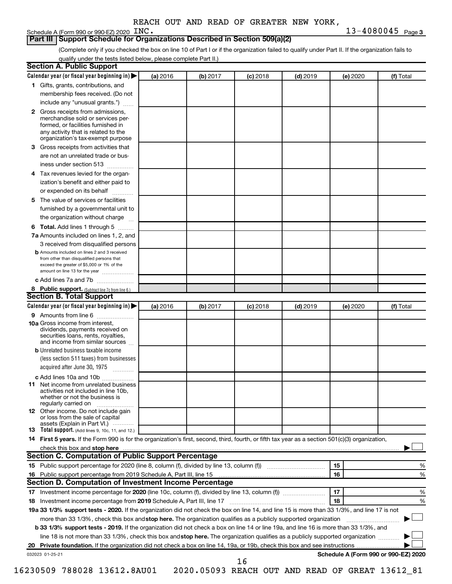### **Part III Support Schedule for Organizations Described in Section 509(a)(2)**

(Complete only if you checked the box on line 10 of Part I or if the organization failed to qualify under Part II. If the organization fails to qualify under the tests listed below, please complete Part II.)

|              | Calendar year (or fiscal year beginning in)                                                                                                                                                                                                                      | (a) 2016 | (b) 2017 | $(c)$ 2018 | $(d)$ 2019 |    | (e) 2020 | (f) Total                            |
|--------------|------------------------------------------------------------------------------------------------------------------------------------------------------------------------------------------------------------------------------------------------------------------|----------|----------|------------|------------|----|----------|--------------------------------------|
|              | 1 Gifts, grants, contributions, and                                                                                                                                                                                                                              |          |          |            |            |    |          |                                      |
|              | membership fees received. (Do not                                                                                                                                                                                                                                |          |          |            |            |    |          |                                      |
|              | include any "unusual grants.")                                                                                                                                                                                                                                   |          |          |            |            |    |          |                                      |
| $\mathbf{2}$ | Gross receipts from admissions,<br>merchandise sold or services per-<br>formed, or facilities furnished in<br>any activity that is related to the<br>organization's tax-exempt purpose                                                                           |          |          |            |            |    |          |                                      |
| 3            | Gross receipts from activities that                                                                                                                                                                                                                              |          |          |            |            |    |          |                                      |
|              |                                                                                                                                                                                                                                                                  |          |          |            |            |    |          |                                      |
|              | are not an unrelated trade or bus-<br>iness under section 513                                                                                                                                                                                                    |          |          |            |            |    |          |                                      |
| 4            | Tax revenues levied for the organ-                                                                                                                                                                                                                               |          |          |            |            |    |          |                                      |
|              | ization's benefit and either paid to<br>or expended on its behalf<br>.                                                                                                                                                                                           |          |          |            |            |    |          |                                      |
| 5            | The value of services or facilities                                                                                                                                                                                                                              |          |          |            |            |    |          |                                      |
|              | furnished by a governmental unit to<br>the organization without charge                                                                                                                                                                                           |          |          |            |            |    |          |                                      |
|              | Total. Add lines 1 through 5                                                                                                                                                                                                                                     |          |          |            |            |    |          |                                      |
| 6            | 7a Amounts included on lines 1, 2, and                                                                                                                                                                                                                           |          |          |            |            |    |          |                                      |
|              | 3 received from disqualified persons                                                                                                                                                                                                                             |          |          |            |            |    |          |                                      |
|              | <b>b</b> Amounts included on lines 2 and 3 received                                                                                                                                                                                                              |          |          |            |            |    |          |                                      |
|              | from other than disqualified persons that<br>exceed the greater of \$5,000 or 1% of the<br>amount on line 13 for the year                                                                                                                                        |          |          |            |            |    |          |                                      |
|              | c Add lines 7a and 7b                                                                                                                                                                                                                                            |          |          |            |            |    |          |                                      |
|              | 8 Public support. (Subtract line 7c from line 6.)                                                                                                                                                                                                                |          |          |            |            |    |          |                                      |
|              | <b>Section B. Total Support</b>                                                                                                                                                                                                                                  |          |          |            |            |    |          |                                      |
|              | Calendar year (or fiscal year beginning in)                                                                                                                                                                                                                      | (a) 2016 | (b) 2017 | $(c)$ 2018 | $(d)$ 2019 |    | (e) 2020 | (f) Total                            |
|              | 9 Amounts from line 6                                                                                                                                                                                                                                            |          |          |            |            |    |          |                                      |
|              | <b>10a</b> Gross income from interest,<br>dividends, payments received on<br>securities loans, rents, royalties,<br>and income from similar sources                                                                                                              |          |          |            |            |    |          |                                      |
|              | <b>b</b> Unrelated business taxable income                                                                                                                                                                                                                       |          |          |            |            |    |          |                                      |
|              | (less section 511 taxes) from businesses<br>acquired after June 30, 1975                                                                                                                                                                                         |          |          |            |            |    |          |                                      |
|              | c Add lines 10a and 10b                                                                                                                                                                                                                                          |          |          |            |            |    |          |                                      |
| 11           | Net income from unrelated business<br>activities not included in line 10b.<br>whether or not the business is<br>regularly carried on                                                                                                                             |          |          |            |            |    |          |                                      |
|              | <b>12</b> Other income. Do not include gain<br>or loss from the sale of capital<br>assets (Explain in Part VI.)                                                                                                                                                  |          |          |            |            |    |          |                                      |
|              | <b>13</b> Total support. (Add lines 9, 10c, 11, and 12.)                                                                                                                                                                                                         |          |          |            |            |    |          |                                      |
|              | 14 First 5 years. If the Form 990 is for the organization's first, second, third, fourth, or fifth tax year as a section 501(c)(3) organization,                                                                                                                 |          |          |            |            |    |          |                                      |
|              |                                                                                                                                                                                                                                                                  |          |          |            |            |    |          |                                      |
|              |                                                                                                                                                                                                                                                                  |          |          |            |            |    |          |                                      |
|              | Section C. Computation of Public Support Percentage                                                                                                                                                                                                              |          |          |            |            |    |          |                                      |
|              |                                                                                                                                                                                                                                                                  |          |          |            |            | 15 |          |                                      |
|              |                                                                                                                                                                                                                                                                  |          |          |            |            | 16 |          |                                      |
|              |                                                                                                                                                                                                                                                                  |          |          |            |            |    |          |                                      |
|              | Section D. Computation of Investment Income Percentage                                                                                                                                                                                                           |          |          |            |            | 17 |          |                                      |
|              |                                                                                                                                                                                                                                                                  |          |          |            |            | 18 |          |                                      |
|              |                                                                                                                                                                                                                                                                  |          |          |            |            |    |          |                                      |
|              | 19a 33 1/3% support tests - 2020. If the organization did not check the box on line 14, and line 15 is more than 33 1/3%, and line 17 is not                                                                                                                     |          |          |            |            |    |          |                                      |
|              | more than 33 1/3%, check this box and stop here. The organization qualifies as a publicly supported organization<br><b>b 33 1/3% support tests - 2019.</b> If the organization did not check a box on line 14 or line 19a, and line 16 is more than 33 1/3%, and |          |          |            |            |    |          | %<br>%<br>%<br>%                     |
|              | line 18 is not more than 33 1/3%, check this box and stop here. The organization qualifies as a publicly supported organization                                                                                                                                  |          |          |            |            |    |          |                                      |
|              | 032023 01-25-21                                                                                                                                                                                                                                                  |          |          |            |            |    |          | Schedule A (Form 990 or 990-EZ) 2020 |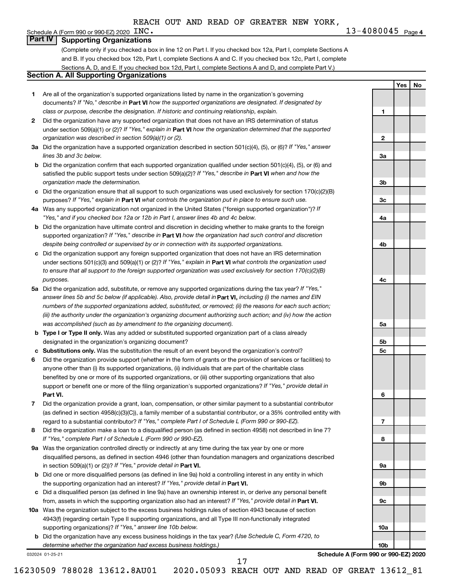**1**

**2**

**3a**

**3b**

**3c**

**4a**

**4b**

**4c**

**5a**

**5b 5c**

**6**

**7**

**8**

**9a**

**9b**

**9c**

**10a**

**10b**

**Yes No**

### Schedule A (Form 990 or 990-EZ) 2020  $\text{INC.}$ **Part IV Supporting Organizations**

(Complete only if you checked a box in line 12 on Part I. If you checked box 12a, Part I, complete Sections A and B. If you checked box 12b, Part I, complete Sections A and C. If you checked box 12c, Part I, complete Sections A, D, and E. If you checked box 12d, Part I, complete Sections A and D, and complete Part V.)

### **Section A. All Supporting Organizations**

- **1** Are all of the organization's supported organizations listed by name in the organization's governing documents? If "No," describe in Part VI how the supported organizations are designated. If designated by *class or purpose, describe the designation. If historic and continuing relationship, explain.*
- **2** Did the organization have any supported organization that does not have an IRS determination of status under section 509(a)(1) or (2)? If "Yes," explain in Part **VI** how the organization determined that the supported *organization was described in section 509(a)(1) or (2).*
- **3a** Did the organization have a supported organization described in section 501(c)(4), (5), or (6)? If "Yes," answer *lines 3b and 3c below.*
- **b** Did the organization confirm that each supported organization qualified under section 501(c)(4), (5), or (6) and satisfied the public support tests under section 509(a)(2)? If "Yes," describe in Part VI when and how the *organization made the determination.*
- **c** Did the organization ensure that all support to such organizations was used exclusively for section 170(c)(2)(B) purposes? If "Yes," explain in Part VI what controls the organization put in place to ensure such use.
- **4 a** *If* Was any supported organization not organized in the United States ("foreign supported organization")? *"Yes," and if you checked box 12a or 12b in Part I, answer lines 4b and 4c below.*
- **b** Did the organization have ultimate control and discretion in deciding whether to make grants to the foreign supported organization? If "Yes," describe in Part VI how the organization had such control and discretion *despite being controlled or supervised by or in connection with its supported organizations.*
- **c** Did the organization support any foreign supported organization that does not have an IRS determination under sections 501(c)(3) and 509(a)(1) or (2)? If "Yes," explain in Part VI what controls the organization used *to ensure that all support to the foreign supported organization was used exclusively for section 170(c)(2)(B) purposes.*
- **5a** Did the organization add, substitute, or remove any supported organizations during the tax year? If "Yes," answer lines 5b and 5c below (if applicable). Also, provide detail in **Part VI,** including (i) the names and EIN *numbers of the supported organizations added, substituted, or removed; (ii) the reasons for each such action; (iii) the authority under the organization's organizing document authorizing such action; and (iv) how the action was accomplished (such as by amendment to the organizing document).*
- **b Type I or Type II only.** Was any added or substituted supported organization part of a class already designated in the organization's organizing document?
- **c Substitutions only.**  Was the substitution the result of an event beyond the organization's control?
- **6** Did the organization provide support (whether in the form of grants or the provision of services or facilities) to **Part VI.** support or benefit one or more of the filing organization's supported organizations? If "Yes," provide detail in anyone other than (i) its supported organizations, (ii) individuals that are part of the charitable class benefited by one or more of its supported organizations, or (iii) other supporting organizations that also
- **7** Did the organization provide a grant, loan, compensation, or other similar payment to a substantial contributor regard to a substantial contributor? If "Yes," complete Part I of Schedule L (Form 990 or 990-EZ). (as defined in section 4958(c)(3)(C)), a family member of a substantial contributor, or a 35% controlled entity with
- **8** Did the organization make a loan to a disqualified person (as defined in section 4958) not described in line 7? *If "Yes," complete Part I of Schedule L (Form 990 or 990-EZ).*
- **9 a** Was the organization controlled directly or indirectly at any time during the tax year by one or more in section 509(a)(1) or (2))? If "Yes," provide detail in **Part VI.** disqualified persons, as defined in section 4946 (other than foundation managers and organizations described
- **b** Did one or more disqualified persons (as defined in line 9a) hold a controlling interest in any entity in which the supporting organization had an interest? If "Yes," provide detail in Part VI.
- **c** Did a disqualified person (as defined in line 9a) have an ownership interest in, or derive any personal benefit from, assets in which the supporting organization also had an interest? If "Yes," provide detail in Part VI.
- **10 a** Was the organization subject to the excess business holdings rules of section 4943 because of section supporting organizations)? If "Yes," answer line 10b below. 4943(f) (regarding certain Type II supporting organizations, and all Type III non-functionally integrated
	- **b** Did the organization have any excess business holdings in the tax year? (Use Schedule C, Form 4720, to *determine whether the organization had excess business holdings.)*

032024 01-25-21

**Schedule A (Form 990 or 990-EZ) 2020**

17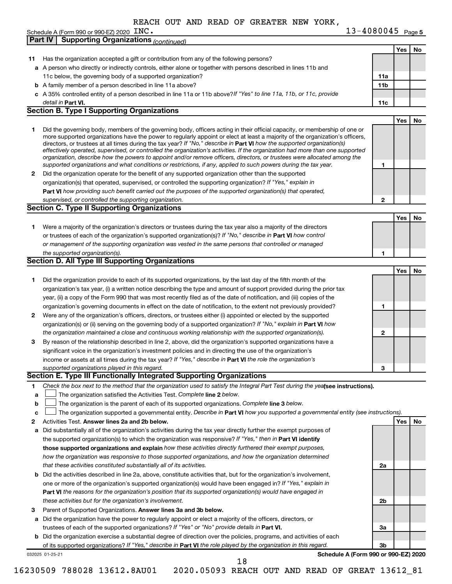| INC. | $13 - 4080045$ Page 5 |  |
|------|-----------------------|--|
|------|-----------------------|--|

|              | Schedule A (Form 990 or 990-EZ) 2020 INC.                                                                                                                                                                                                                 | $13 - 4080045$ Page 5                |            |    |
|--------------|-----------------------------------------------------------------------------------------------------------------------------------------------------------------------------------------------------------------------------------------------------------|--------------------------------------|------------|----|
|              | <b>Supporting Organizations (continued)</b><br><b>Part IV</b>                                                                                                                                                                                             |                                      |            |    |
|              |                                                                                                                                                                                                                                                           |                                      | Yes        | No |
| 11           | Has the organization accepted a gift or contribution from any of the following persons?                                                                                                                                                                   |                                      |            |    |
|              | a A person who directly or indirectly controls, either alone or together with persons described in lines 11b and                                                                                                                                          |                                      |            |    |
|              | 11c below, the governing body of a supported organization?                                                                                                                                                                                                | 11a                                  |            |    |
|              | <b>b</b> A family member of a person described in line 11a above?                                                                                                                                                                                         | 11b                                  |            |    |
|              | c A 35% controlled entity of a person described in line 11a or 11b above?If "Yes" to line 11a, 11b, or 11c, provide                                                                                                                                       |                                      |            |    |
|              | detail in Part VI.                                                                                                                                                                                                                                        | 11c                                  |            |    |
|              | <b>Section B. Type I Supporting Organizations</b>                                                                                                                                                                                                         |                                      |            |    |
|              |                                                                                                                                                                                                                                                           |                                      | <b>Yes</b> | No |
| 1.           | Did the governing body, members of the governing body, officers acting in their official capacity, or membership of one or                                                                                                                                |                                      |            |    |
|              | more supported organizations have the power to regularly appoint or elect at least a majority of the organization's officers,                                                                                                                             |                                      |            |    |
|              | directors, or trustees at all times during the tax year? If "No," describe in Part VI how the supported organization(s)<br>effectively operated, supervised, or controlled the organization's activities. If the organization had more than one supported |                                      |            |    |
|              | organization, describe how the powers to appoint and/or remove officers, directors, or trustees were allocated among the                                                                                                                                  |                                      |            |    |
|              | supported organizations and what conditions or restrictions, if any, applied to such powers during the tax year.                                                                                                                                          | 1                                    |            |    |
| $\mathbf{2}$ | Did the organization operate for the benefit of any supported organization other than the supported                                                                                                                                                       |                                      |            |    |
|              | organization(s) that operated, supervised, or controlled the supporting organization? If "Yes," explain in                                                                                                                                                |                                      |            |    |
|              | Part VI how providing such benefit carried out the purposes of the supported organization(s) that operated,                                                                                                                                               |                                      |            |    |
|              | supervised, or controlled the supporting organization.                                                                                                                                                                                                    | 2                                    |            |    |
|              | <b>Section C. Type II Supporting Organizations</b>                                                                                                                                                                                                        |                                      |            |    |
|              |                                                                                                                                                                                                                                                           |                                      | Yes        | No |
| 1            | Were a majority of the organization's directors or trustees during the tax year also a majority of the directors                                                                                                                                          |                                      |            |    |
|              | or trustees of each of the organization's supported organization(s)? If "No," describe in Part VI how control                                                                                                                                             |                                      |            |    |
|              | or management of the supporting organization was vested in the same persons that controlled or managed                                                                                                                                                    |                                      |            |    |
|              | the supported organization(s).                                                                                                                                                                                                                            | 1                                    |            |    |
|              | <b>Section D. All Type III Supporting Organizations</b>                                                                                                                                                                                                   |                                      |            |    |
|              |                                                                                                                                                                                                                                                           |                                      | Yes        | No |
| 1            | Did the organization provide to each of its supported organizations, by the last day of the fifth month of the                                                                                                                                            |                                      |            |    |
|              | organization's tax year, (i) a written notice describing the type and amount of support provided during the prior tax                                                                                                                                     |                                      |            |    |
|              | year, (ii) a copy of the Form 990 that was most recently filed as of the date of notification, and (iii) copies of the                                                                                                                                    |                                      |            |    |
|              | organization's governing documents in effect on the date of notification, to the extent not previously provided?                                                                                                                                          | 1                                    |            |    |
| 2            | Were any of the organization's officers, directors, or trustees either (i) appointed or elected by the supported                                                                                                                                          |                                      |            |    |
|              | organization(s) or (ii) serving on the governing body of a supported organization? If "No," explain in Part VI how                                                                                                                                        |                                      |            |    |
|              | the organization maintained a close and continuous working relationship with the supported organization(s).                                                                                                                                               | $\mathbf{2}$                         |            |    |
| 3            | By reason of the relationship described in line 2, above, did the organization's supported organizations have a                                                                                                                                           |                                      |            |    |
|              | significant voice in the organization's investment policies and in directing the use of the organization's                                                                                                                                                |                                      |            |    |
|              | income or assets at all times during the tax year? If "Yes," describe in Part VI the role the organization's                                                                                                                                              |                                      |            |    |
|              | supported organizations played in this regard.                                                                                                                                                                                                            | З                                    |            |    |
|              | Section E. Type III Functionally Integrated Supporting Organizations                                                                                                                                                                                      |                                      |            |    |
| 1.           | Check the box next to the method that the organization used to satisfy the Integral Part Test during the yealsee instructions).                                                                                                                           |                                      |            |    |
| a            | The organization satisfied the Activities Test. Complete line 2 below.                                                                                                                                                                                    |                                      |            |    |
| b            | The organization is the parent of each of its supported organizations. Complete line 3 below.                                                                                                                                                             |                                      |            |    |
| c            | The organization supported a governmental entity. Describe in Part VI how you supported a governmental entity (see instructions).                                                                                                                         |                                      |            |    |
| 2            | Activities Test. Answer lines 2a and 2b below.                                                                                                                                                                                                            |                                      | Yes        | No |
| a            | Did substantially all of the organization's activities during the tax year directly further the exempt purposes of                                                                                                                                        |                                      |            |    |
|              | the supported organization(s) to which the organization was responsive? If "Yes," then in Part VI identify                                                                                                                                                |                                      |            |    |
|              | those supported organizations and explain how these activities directly furthered their exempt purposes,                                                                                                                                                  |                                      |            |    |
|              | how the organization was responsive to those supported organizations, and how the organization determined                                                                                                                                                 |                                      |            |    |
|              | that these activities constituted substantially all of its activities.                                                                                                                                                                                    | 2a                                   |            |    |
|              | <b>b</b> Did the activities described in line 2a, above, constitute activities that, but for the organization's involvement,                                                                                                                              |                                      |            |    |
|              | one or more of the organization's supported organization(s) would have been engaged in? If "Yes," explain in                                                                                                                                              |                                      |            |    |
|              | <b>Part VI</b> the reasons for the organization's position that its supported organization(s) would have engaged in                                                                                                                                       |                                      |            |    |
|              | these activities but for the organization's involvement.                                                                                                                                                                                                  | 2b                                   |            |    |
| 3            | Parent of Supported Organizations. Answer lines 3a and 3b below.                                                                                                                                                                                          |                                      |            |    |
|              | a Did the organization have the power to regularly appoint or elect a majority of the officers, directors, or                                                                                                                                             |                                      |            |    |
|              | trustees of each of the supported organizations? If "Yes" or "No" provide details in Part VI.                                                                                                                                                             | За                                   |            |    |
|              | b Did the organization exercise a substantial degree of direction over the policies, programs, and activities of each                                                                                                                                     |                                      |            |    |
|              | of its supported organizations? If "Yes," describe in Part VI the role played by the organization in this regard.                                                                                                                                         | Зb                                   |            |    |
|              | 032025 01-25-21                                                                                                                                                                                                                                           | Schedule A (Form 990 or 990-EZ) 2020 |            |    |
|              | 18                                                                                                                                                                                                                                                        |                                      |            |    |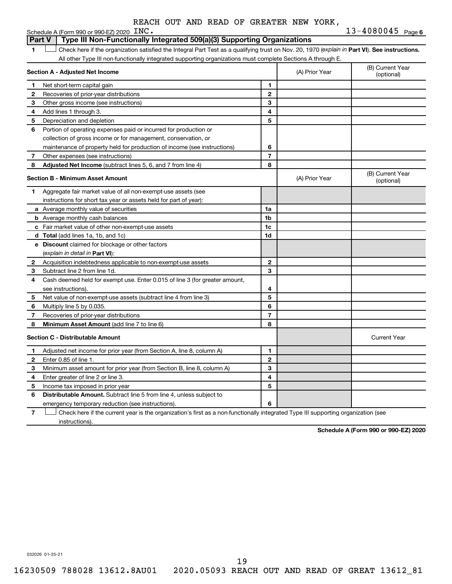|    | $13 - 4080045$ Page 6<br>Schedule A (Form 990 or 990-EZ) 2020 INC.                                                                             |                |                                |                                |  |  |  |
|----|------------------------------------------------------------------------------------------------------------------------------------------------|----------------|--------------------------------|--------------------------------|--|--|--|
|    | Type III Non-Functionally Integrated 509(a)(3) Supporting Organizations<br><b>Part V</b>                                                       |                |                                |                                |  |  |  |
| 1. | Check here if the organization satisfied the Integral Part Test as a qualifying trust on Nov. 20, 1970 (explain in Part VI). See instructions. |                |                                |                                |  |  |  |
|    | All other Type III non-functionally integrated supporting organizations must complete Sections A through E.                                    |                |                                |                                |  |  |  |
|    | Section A - Adjusted Net Income                                                                                                                |                | (A) Prior Year                 | (B) Current Year<br>(optional) |  |  |  |
| 1  | Net short-term capital gain                                                                                                                    | 1              |                                |                                |  |  |  |
| 2  | Recoveries of prior-year distributions                                                                                                         | $\mathbf{2}$   |                                |                                |  |  |  |
| З  | Other gross income (see instructions)                                                                                                          | 3              |                                |                                |  |  |  |
| 4  | Add lines 1 through 3.                                                                                                                         | 4              |                                |                                |  |  |  |
| 5  | Depreciation and depletion                                                                                                                     | 5              |                                |                                |  |  |  |
| 6  | Portion of operating expenses paid or incurred for production or                                                                               |                |                                |                                |  |  |  |
|    | collection of gross income or for management, conservation, or                                                                                 |                |                                |                                |  |  |  |
|    | maintenance of property held for production of income (see instructions)                                                                       | 6              |                                |                                |  |  |  |
| 7  | Other expenses (see instructions)                                                                                                              | $\overline{7}$ |                                |                                |  |  |  |
| 8  | <b>Adjusted Net Income</b> (subtract lines 5, 6, and 7 from line 4)                                                                            | 8              |                                |                                |  |  |  |
|    | <b>Section B - Minimum Asset Amount</b>                                                                                                        | (A) Prior Year | (B) Current Year<br>(optional) |                                |  |  |  |
| 1  | Aggregate fair market value of all non-exempt-use assets (see                                                                                  |                |                                |                                |  |  |  |
|    | instructions for short tax year or assets held for part of year):                                                                              |                |                                |                                |  |  |  |
|    | a Average monthly value of securities                                                                                                          | 1a             |                                |                                |  |  |  |
|    | <b>b</b> Average monthly cash balances                                                                                                         | 1 <sub>b</sub> |                                |                                |  |  |  |
|    | <b>c</b> Fair market value of other non-exempt-use assets                                                                                      | 1c             |                                |                                |  |  |  |
|    | d Total (add lines 1a, 1b, and 1c)                                                                                                             | 1d             |                                |                                |  |  |  |
|    | <b>e</b> Discount claimed for blockage or other factors                                                                                        |                |                                |                                |  |  |  |
|    | (explain in detail in <b>Part VI</b> ):                                                                                                        |                |                                |                                |  |  |  |
| 2  | Acquisition indebtedness applicable to non-exempt-use assets                                                                                   | $\mathbf{2}$   |                                |                                |  |  |  |
| 3  | Subtract line 2 from line 1d.                                                                                                                  | 3              |                                |                                |  |  |  |
| 4  | Cash deemed held for exempt use. Enter 0.015 of line 3 (for greater amount,                                                                    |                |                                |                                |  |  |  |
|    | see instructions).                                                                                                                             | 4              |                                |                                |  |  |  |
| 5  | Net value of non-exempt-use assets (subtract line 4 from line 3)                                                                               | 5              |                                |                                |  |  |  |
| 6  | Multiply line 5 by 0.035.                                                                                                                      | 6              |                                |                                |  |  |  |
| 7  | Recoveries of prior-year distributions                                                                                                         | $\overline{7}$ |                                |                                |  |  |  |
| 8  | <b>Minimum Asset Amount (add line 7 to line 6)</b>                                                                                             | 8              |                                |                                |  |  |  |
|    | <b>Section C - Distributable Amount</b>                                                                                                        |                | <b>Current Year</b>            |                                |  |  |  |
| 1  | Adjusted net income for prior year (from Section A, line 8, column A)                                                                          | 1              |                                |                                |  |  |  |
| 2  | Enter 0.85 of line 1.                                                                                                                          | $\mathbf{2}$   |                                |                                |  |  |  |
| 3  | Minimum asset amount for prior year (from Section B, line 8, column A)                                                                         | 3              |                                |                                |  |  |  |
| 4  | Enter greater of line 2 or line 3.                                                                                                             | 4              |                                |                                |  |  |  |
| 5  | Income tax imposed in prior year                                                                                                               | 5              |                                |                                |  |  |  |
| 6  | <b>Distributable Amount.</b> Subtract line 5 from line 4, unless subject to                                                                    |                |                                |                                |  |  |  |
|    | emergency temporary reduction (see instructions).                                                                                              | 6              |                                |                                |  |  |  |

**7** Let Check here if the current year is the organization's first as a non-functionally integrated Type III supporting organization (see instructions).

**Schedule A (Form 990 or 990-EZ) 2020**

032026 01-25-21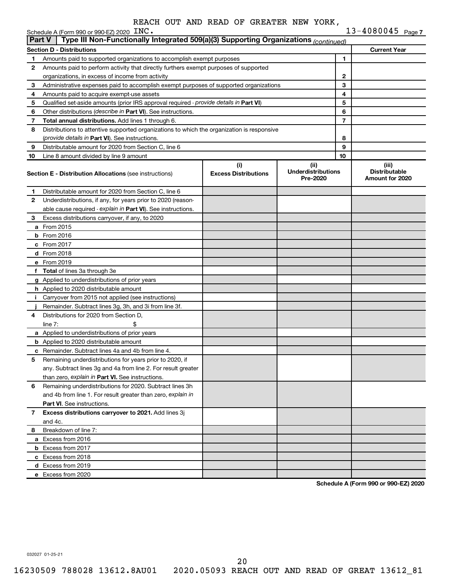|               | $13 - 4080045$ Page 7<br>Schedule A (Form 990 or 990-EZ) 2020 $\text{INC}$ .               |                                    |                                               |              |                                                  |  |  |  |
|---------------|--------------------------------------------------------------------------------------------|------------------------------------|-----------------------------------------------|--------------|--------------------------------------------------|--|--|--|
| <b>Part V</b> | Type III Non-Functionally Integrated 509(a)(3) Supporting Organizations (continued)        |                                    |                                               |              |                                                  |  |  |  |
|               | <b>Section D - Distributions</b>                                                           |                                    |                                               |              | <b>Current Year</b>                              |  |  |  |
| 1             | Amounts paid to supported organizations to accomplish exempt purposes                      |                                    |                                               | 1            |                                                  |  |  |  |
| 2             | Amounts paid to perform activity that directly furthers exempt purposes of supported       |                                    |                                               |              |                                                  |  |  |  |
|               | organizations, in excess of income from activity                                           |                                    |                                               | $\mathbf{2}$ |                                                  |  |  |  |
| З             | Administrative expenses paid to accomplish exempt purposes of supported organizations      |                                    | 3                                             |              |                                                  |  |  |  |
| 4             | Amounts paid to acquire exempt-use assets                                                  |                                    | 4                                             |              |                                                  |  |  |  |
| 5             | Qualified set-aside amounts (prior IRS approval required - provide details in Part VI)     |                                    |                                               | 5            |                                                  |  |  |  |
| 6             | Other distributions ( <i>describe in Part VI</i> ). See instructions.                      |                                    |                                               | 6            |                                                  |  |  |  |
| 7             | Total annual distributions. Add lines 1 through 6.                                         |                                    |                                               | 7            |                                                  |  |  |  |
| 8             | Distributions to attentive supported organizations to which the organization is responsive |                                    |                                               |              |                                                  |  |  |  |
|               | (provide details in Part VI). See instructions.                                            |                                    |                                               | 8            |                                                  |  |  |  |
| 9             | Distributable amount for 2020 from Section C, line 6                                       |                                    |                                               | 9            |                                                  |  |  |  |
| 10            | Line 8 amount divided by line 9 amount                                                     |                                    |                                               | 10           |                                                  |  |  |  |
|               | <b>Section E - Distribution Allocations (see instructions)</b>                             | (i)<br><b>Excess Distributions</b> | (ii)<br><b>Underdistributions</b><br>Pre-2020 |              | (iii)<br><b>Distributable</b><br>Amount for 2020 |  |  |  |
| 1.            | Distributable amount for 2020 from Section C, line 6                                       |                                    |                                               |              |                                                  |  |  |  |
| 2             | Underdistributions, if any, for years prior to 2020 (reason-                               |                                    |                                               |              |                                                  |  |  |  |
|               | able cause required - explain in Part VI). See instructions.                               |                                    |                                               |              |                                                  |  |  |  |
| 3             | Excess distributions carryover, if any, to 2020                                            |                                    |                                               |              |                                                  |  |  |  |
|               | <b>a</b> From 2015                                                                         |                                    |                                               |              |                                                  |  |  |  |
|               | $b$ From 2016                                                                              |                                    |                                               |              |                                                  |  |  |  |
|               | $c$ From 2017                                                                              |                                    |                                               |              |                                                  |  |  |  |
|               | <b>d</b> From 2018                                                                         |                                    |                                               |              |                                                  |  |  |  |
|               | e From 2019                                                                                |                                    |                                               |              |                                                  |  |  |  |
|               | f Total of lines 3a through 3e                                                             |                                    |                                               |              |                                                  |  |  |  |
|               | <b>g</b> Applied to underdistributions of prior years                                      |                                    |                                               |              |                                                  |  |  |  |
|               | <b>h</b> Applied to 2020 distributable amount                                              |                                    |                                               |              |                                                  |  |  |  |
| л.            | Carryover from 2015 not applied (see instructions)                                         |                                    |                                               |              |                                                  |  |  |  |
|               | Remainder. Subtract lines 3g, 3h, and 3i from line 3f.                                     |                                    |                                               |              |                                                  |  |  |  |
| 4             | Distributions for 2020 from Section D.                                                     |                                    |                                               |              |                                                  |  |  |  |
|               | line $7:$                                                                                  |                                    |                                               |              |                                                  |  |  |  |
|               | a Applied to underdistributions of prior years                                             |                                    |                                               |              |                                                  |  |  |  |
|               | <b>b</b> Applied to 2020 distributable amount                                              |                                    |                                               |              |                                                  |  |  |  |
|               | <b>c</b> Remainder. Subtract lines 4a and 4b from line 4.                                  |                                    |                                               |              |                                                  |  |  |  |
| 5             | Remaining underdistributions for years prior to 2020, if                                   |                                    |                                               |              |                                                  |  |  |  |
|               | any. Subtract lines 3g and 4a from line 2. For result greater                              |                                    |                                               |              |                                                  |  |  |  |
|               | than zero, explain in Part VI. See instructions.                                           |                                    |                                               |              |                                                  |  |  |  |
| 6             | Remaining underdistributions for 2020. Subtract lines 3h                                   |                                    |                                               |              |                                                  |  |  |  |
|               | and 4b from line 1. For result greater than zero, explain in                               |                                    |                                               |              |                                                  |  |  |  |
|               | <b>Part VI.</b> See instructions.                                                          |                                    |                                               |              |                                                  |  |  |  |
| 7             | Excess distributions carryover to 2021. Add lines 3j                                       |                                    |                                               |              |                                                  |  |  |  |
|               | and 4c.                                                                                    |                                    |                                               |              |                                                  |  |  |  |
| 8             | Breakdown of line 7:                                                                       |                                    |                                               |              |                                                  |  |  |  |
|               | a Excess from 2016                                                                         |                                    |                                               |              |                                                  |  |  |  |
|               | <b>b</b> Excess from 2017                                                                  |                                    |                                               |              |                                                  |  |  |  |
|               | c Excess from 2018                                                                         |                                    |                                               |              |                                                  |  |  |  |
|               | d Excess from 2019                                                                         |                                    |                                               |              |                                                  |  |  |  |
|               | e Excess from 2020                                                                         |                                    |                                               |              |                                                  |  |  |  |
|               |                                                                                            |                                    |                                               |              |                                                  |  |  |  |

**Schedule A (Form 990 or 990-EZ) 2020**

032027 01-25-21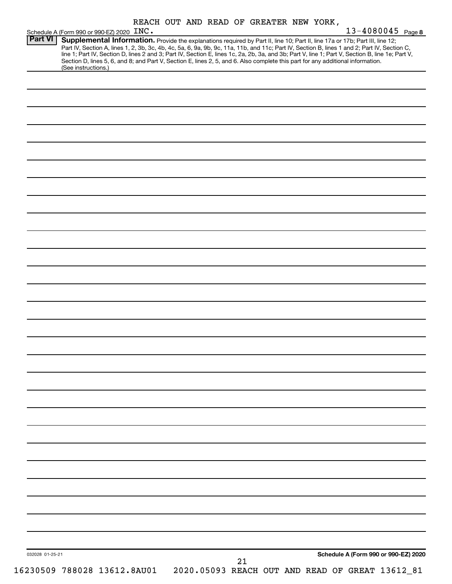| REACH OUT AND READ OF GREATER NEW YORK, |  |  |  |  |  |  |  |  |
|-----------------------------------------|--|--|--|--|--|--|--|--|
|-----------------------------------------|--|--|--|--|--|--|--|--|

|                 | Schedule A (Form 990 or 990-EZ) 2020 INC.                                                                                                                                                                                                                                                                                                                                                                                         | REACH OUT AND READ OF GREATER NEW YORK, |  |        |  |  | $13 - 4080045$ Page 8                           |
|-----------------|-----------------------------------------------------------------------------------------------------------------------------------------------------------------------------------------------------------------------------------------------------------------------------------------------------------------------------------------------------------------------------------------------------------------------------------|-----------------------------------------|--|--------|--|--|-------------------------------------------------|
| Part VI         | Supplemental Information. Provide the explanations required by Part II, line 10; Part II, line 17a or 17b; Part III, line 12;<br>Part IV, Section A, lines 1, 2, 3b, 3c, 4b, 4c, 5a, 6, 9a, 9b, 9c, 11a, 11b, and 11c; Part IV, Section B, lines 1 and 2; Part IV, Section C,<br>line 1; Part IV, Section D, lines 2 and 3; Part IV, Section E, lines 1c, 2a, 2b, 3a, and 3b; Part V, line 1; Part V, Section B, line 1e; Part V, |                                         |  |        |  |  |                                                 |
|                 | Section D, lines 5, 6, and 8; and Part V, Section E, lines 2, 5, and 6. Also complete this part for any additional information.<br>(See instructions.)                                                                                                                                                                                                                                                                            |                                         |  |        |  |  |                                                 |
|                 |                                                                                                                                                                                                                                                                                                                                                                                                                                   |                                         |  |        |  |  |                                                 |
|                 |                                                                                                                                                                                                                                                                                                                                                                                                                                   |                                         |  |        |  |  |                                                 |
|                 |                                                                                                                                                                                                                                                                                                                                                                                                                                   |                                         |  |        |  |  |                                                 |
|                 |                                                                                                                                                                                                                                                                                                                                                                                                                                   |                                         |  |        |  |  |                                                 |
|                 |                                                                                                                                                                                                                                                                                                                                                                                                                                   |                                         |  |        |  |  |                                                 |
|                 |                                                                                                                                                                                                                                                                                                                                                                                                                                   |                                         |  |        |  |  |                                                 |
|                 |                                                                                                                                                                                                                                                                                                                                                                                                                                   |                                         |  |        |  |  |                                                 |
|                 |                                                                                                                                                                                                                                                                                                                                                                                                                                   |                                         |  |        |  |  |                                                 |
|                 |                                                                                                                                                                                                                                                                                                                                                                                                                                   |                                         |  |        |  |  |                                                 |
|                 |                                                                                                                                                                                                                                                                                                                                                                                                                                   |                                         |  |        |  |  |                                                 |
|                 |                                                                                                                                                                                                                                                                                                                                                                                                                                   |                                         |  |        |  |  |                                                 |
|                 |                                                                                                                                                                                                                                                                                                                                                                                                                                   |                                         |  |        |  |  |                                                 |
|                 |                                                                                                                                                                                                                                                                                                                                                                                                                                   |                                         |  |        |  |  |                                                 |
|                 |                                                                                                                                                                                                                                                                                                                                                                                                                                   |                                         |  |        |  |  |                                                 |
|                 |                                                                                                                                                                                                                                                                                                                                                                                                                                   |                                         |  |        |  |  |                                                 |
|                 |                                                                                                                                                                                                                                                                                                                                                                                                                                   |                                         |  |        |  |  |                                                 |
|                 |                                                                                                                                                                                                                                                                                                                                                                                                                                   |                                         |  |        |  |  |                                                 |
|                 |                                                                                                                                                                                                                                                                                                                                                                                                                                   |                                         |  |        |  |  |                                                 |
|                 |                                                                                                                                                                                                                                                                                                                                                                                                                                   |                                         |  |        |  |  |                                                 |
|                 |                                                                                                                                                                                                                                                                                                                                                                                                                                   |                                         |  |        |  |  |                                                 |
|                 |                                                                                                                                                                                                                                                                                                                                                                                                                                   |                                         |  |        |  |  |                                                 |
|                 |                                                                                                                                                                                                                                                                                                                                                                                                                                   |                                         |  |        |  |  |                                                 |
|                 |                                                                                                                                                                                                                                                                                                                                                                                                                                   |                                         |  |        |  |  |                                                 |
|                 |                                                                                                                                                                                                                                                                                                                                                                                                                                   |                                         |  |        |  |  |                                                 |
|                 |                                                                                                                                                                                                                                                                                                                                                                                                                                   |                                         |  |        |  |  |                                                 |
|                 |                                                                                                                                                                                                                                                                                                                                                                                                                                   |                                         |  |        |  |  |                                                 |
|                 |                                                                                                                                                                                                                                                                                                                                                                                                                                   |                                         |  |        |  |  |                                                 |
|                 |                                                                                                                                                                                                                                                                                                                                                                                                                                   |                                         |  |        |  |  |                                                 |
|                 |                                                                                                                                                                                                                                                                                                                                                                                                                                   |                                         |  |        |  |  |                                                 |
|                 |                                                                                                                                                                                                                                                                                                                                                                                                                                   |                                         |  |        |  |  |                                                 |
|                 |                                                                                                                                                                                                                                                                                                                                                                                                                                   |                                         |  |        |  |  |                                                 |
|                 |                                                                                                                                                                                                                                                                                                                                                                                                                                   |                                         |  |        |  |  |                                                 |
| 032028 01-25-21 |                                                                                                                                                                                                                                                                                                                                                                                                                                   |                                         |  |        |  |  | Schedule A (Form 990 or 990-EZ) 2020            |
|                 | 16230509 788028 13612.8AU01                                                                                                                                                                                                                                                                                                                                                                                                       |                                         |  | $21\,$ |  |  | 2020.05093 REACH OUT AND READ OF GREAT 13612_81 |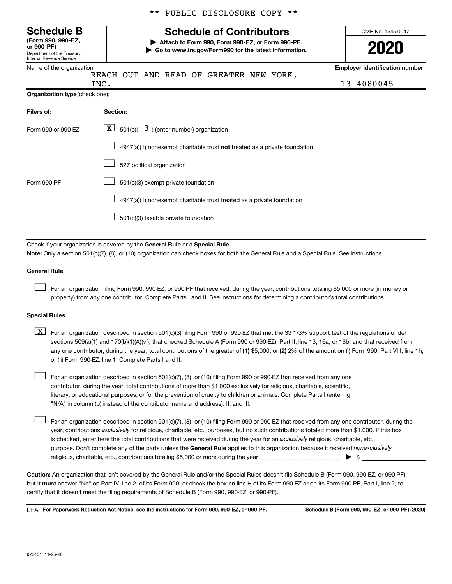Department of the Treasury Internal Revenue Service **(Form 990, 990-EZ,**

|  |  | ** PUBLIC DISCLOSURE COPY ** |  |  |
|--|--|------------------------------|--|--|
|--|--|------------------------------|--|--|

## **Schedule B Schedule of Contributors**

**or 990-PF) | Attach to Form 990, Form 990-EZ, or Form 990-PF. | Go to www.irs.gov/Form990 for the latest information.** OMB No. 1545-0047

**Employer identification number**

| Name of the organization |    |
|--------------------------|----|
|                          | RE |

ACH OUT AND READ OF GREATER NEW YORK,

| INC.                           | 045<br>$\overline{\phantom{0}}$<br>$\mathbf{v}$ |
|--------------------------------|-------------------------------------------------|
| Organization type (check one): |                                                 |

| Filers of:         | Section:                                                                           |
|--------------------|------------------------------------------------------------------------------------|
| Form 990 or 990-EZ | $\lfloor \underline{X} \rfloor$ 501(c)( 3) (enter number) organization             |
|                    | $4947(a)(1)$ nonexempt charitable trust <b>not</b> treated as a private foundation |
|                    | 527 political organization                                                         |
| Form 990-PF        | 501(c)(3) exempt private foundation                                                |
|                    | 4947(a)(1) nonexempt charitable trust treated as a private foundation              |
|                    | 501(c)(3) taxable private foundation                                               |

Check if your organization is covered by the General Rule or a Special Rule.

**Note:**  Only a section 501(c)(7), (8), or (10) organization can check boxes for both the General Rule and a Special Rule. See instructions.

### **General Rule**

 $\Box$ 

 $\Box$ 

For an organization filing Form 990, 990-EZ, or 990-PF that received, during the year, contributions totaling \$5,000 or more (in money or property) from any one contributor. Complete Parts I and II. See instructions for determining a contributor's total contributions.

### **Special Rules**

any one contributor, during the year, total contributions of the greater of (1) \$5,000; or (2) 2% of the amount on (i) Form 990, Part VIII, line 1h;  $\boxed{\text{X}}$  For an organization described in section 501(c)(3) filing Form 990 or 990-EZ that met the 33 1/3% support test of the regulations under sections 509(a)(1) and 170(b)(1)(A)(vi), that checked Schedule A (Form 990 or 990-EZ), Part II, line 13, 16a, or 16b, and that received from or (ii) Form 990-EZ, line 1. Complete Parts I and II.

For an organization described in section 501(c)(7), (8), or (10) filing Form 990 or 990-EZ that received from any one contributor, during the year, total contributions of more than \$1,000 exclusively for religious, charitable, scientific, literary, or educational purposes, or for the prevention of cruelty to children or animals. Complete Parts I (entering "N/A" in column (b) instead of the contributor name and address), II, and III.  $\Box$ 

purpose. Don't complete any of the parts unless the General Rule applies to this organization because it received nonexclusively year, contributions exclusively for religious, charitable, etc., purposes, but no such contributions totaled more than \$1,000. If this box is checked, enter here the total contributions that were received during the year for an exclusively religious, charitable, etc., For an organization described in section 501(c)(7), (8), or (10) filing Form 990 or 990-EZ that received from any one contributor, during the religious, charitable, etc., contributions totaling \$5,000 or more during the year  $~\ldots\ldots\ldots\ldots\ldots\ldots\ldots\ldots\blacktriangleright~$ \$

**Caution:**  An organization that isn't covered by the General Rule and/or the Special Rules doesn't file Schedule B (Form 990, 990-EZ, or 990-PF),  **must** but it answer "No" on Part IV, line 2, of its Form 990; or check the box on line H of its Form 990-EZ or on its Form 990-PF, Part I, line 2, to certify that it doesn't meet the filing requirements of Schedule B (Form 990, 990-EZ, or 990-PF).

**For Paperwork Reduction Act Notice, see the instructions for Form 990, 990-EZ, or 990-PF. Schedule B (Form 990, 990-EZ, or 990-PF) (2020)** LHA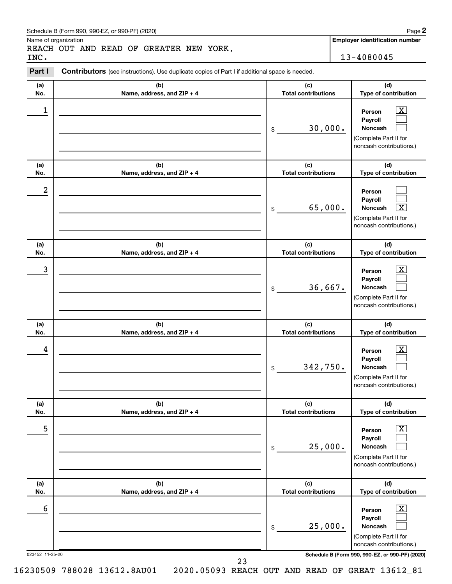### Schedule B (Form 990, 990-EZ, or 990-PF) (2020)

Name of organization

REACH OUT AND READ OF GREATER NEW YORK, INC. 13-4080045

**Employer identification number**

#### **(a) No. (b) Name, address, and ZIP + 4 (c) Total contributions (d) Type of contribution Person Payroll Noncash (a) No. (b) Name, address, and ZIP + 4 (c) Total contributions (d) Type of contribution Person Payroll Noncash (a) No. (b) Name, address, and ZIP + 4 (c) Total contributions (d) Type of contribution Person Payroll Noncash (a) No. (b) Name, address, and ZIP + 4 (c) Total contributions (d) Type of contribution Person Payroll Noncash (a) No. (b) Name, address, and ZIP + 4 (c) Total contributions (d) Type of contribution Person Payroll Noncash (a) No. (b) Name, address, and ZIP + 4 (c) Total contributions (d) Type of contribution Person Payroll Noncash Part I** Contributors (see instructions). Use duplicate copies of Part I if additional space is needed. \$ (Complete Part II for noncash contributions.) \$ (Complete Part II for noncash contributions.) \$ (Complete Part II for noncash contributions.) \$ (Complete Part II for noncash contributions.) \$ (Complete Part II for noncash contributions.) \$ (Complete Part II for noncash contributions.)  $\lfloor x \rfloor$  $\Box$  $\Box$  $\Box$  $\Box$ †  $\boxed{\textbf{X}}$  $\Box$  $\Box$  $\boxed{\textbf{X}}$  $\Box$  $\Box$  $\boxed{\text{X}}$  $\Box$  $\Box$  $\boxed{\text{X}}$  $\Box$  $\Box$  $\begin{array}{|c|c|c|c|c|}\hline \ \text{1} & \text{Person} & \text{X} \ \hline \end{array}$ 30,000. 2 65,000.  $\begin{array}{|c|c|c|c|c|c|}\hline \text{3} & \text{Person} & \text{X} \ \hline \end{array}$ 36,667.  $\begin{array}{|c|c|c|c|c|}\hline \text{4} & \text{Person} & \text{\textbf{X}}\ \hline \end{array}$ 342,750. 5 X 25,000.  $\overline{6}$  Person  $\overline{X}$ 25,000.

023452 11-25-20 **Schedule B (Form 990, 990-EZ, or 990-PF) (2020)**

**2**

16230509 788028 13612.8AU01 2020.05093 REACH OUT AND READ OF GREAT 13612\_81

23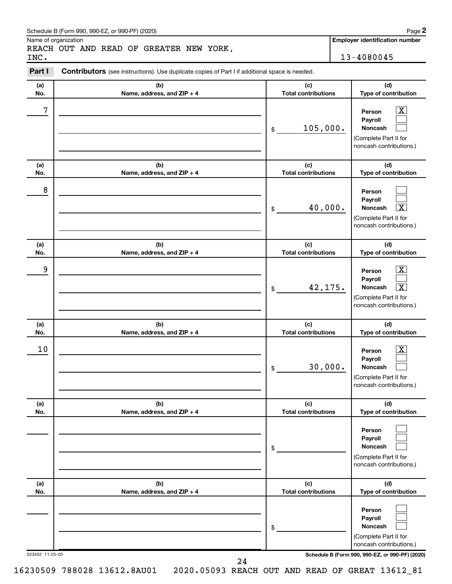### Schedule B (Form 990, 990-EZ, or 990-PF) (2020)

Name of organization

REACH OUT AND READ OF GREATER NEW YORK, INC. 13-4080045

**Employer identification number**

#### 023452 11-25-20 **Schedule B (Form 990, 990-EZ, or 990-PF) (2020) (a) No. (b) Name, address, and ZIP + 4 (c) Total contributions (d) Type of contribution Person Payroll Noncash (a) No. (b) Name, address, and ZIP + 4 (c) Total contributions (d) Type of contribution Person Payroll Noncash (a) No. (b) Name, address, and ZIP + 4 (c) Total contributions (d) Type of contribution Person Payroll Noncash (a) No. (b) Name, address, and ZIP + 4 (c) Total contributions (d) Type of contribution Person Payroll Noncash (a) No. (b) Name, address, and ZIP + 4 (c) Total contributions (d) Type of contribution Person Payroll Noncash (a) No. (b) Name, address, and ZIP + 4 (c) Total contributions (d) Type of contribution Person Payroll Noncash Part I** Contributors (see instructions). Use duplicate copies of Part I if additional space is needed. \$ (Complete Part II for noncash contributions.) \$ (Complete Part II for noncash contributions.) \$ (Complete Part II for noncash contributions.) \$ (Complete Part II for noncash contributions.) \$ (Complete Part II for noncash contributions.) \$ (Complete Part II for noncash contributions.)  $\lfloor x \rfloor$  $\Box$  $\Box$  $\Box$  $\Box$ †  $\boxed{\textbf{X}}$  $\Box$  $\boxed{\textbf{X}}$  $\boxed{\textbf{X}}$  $\Box$  $\Box$  $\Box$  $\Box$  $\Box$  $\Box$  $\Box$  $\Box$  $7$   $|$  Person  $\overline{\text{X}}$ 105,000. 8 40,000. X 9 X 42,175. X  $10$  Person  $\overline{\text{X}}$ 30,000.

24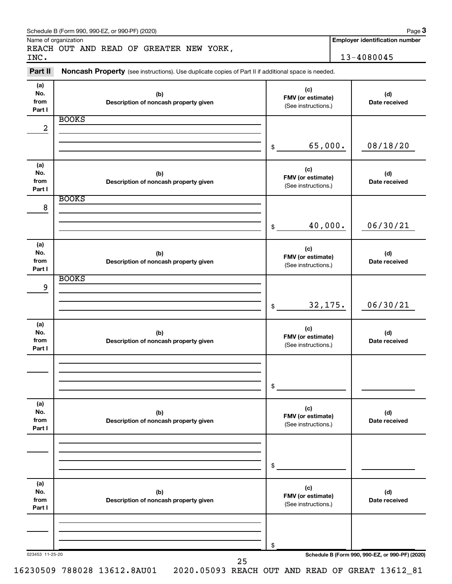| INC.                         | REACH OUT AND READ OF GREATER NEW YORK,                                                             | 13-4080045                                      |                                                 |
|------------------------------|-----------------------------------------------------------------------------------------------------|-------------------------------------------------|-------------------------------------------------|
| Part II                      | Noncash Property (see instructions). Use duplicate copies of Part II if additional space is needed. |                                                 |                                                 |
| (a)<br>No.<br>from<br>Part I | (b)<br>Description of noncash property given                                                        | (c)<br>FMV (or estimate)<br>(See instructions.) | (d)<br>Date received                            |
| 2                            | <b>BOOKS</b>                                                                                        |                                                 |                                                 |
|                              |                                                                                                     | 65,000.<br>\$                                   | 08/18/20                                        |
| (a)<br>No.<br>from<br>Part I | (b)<br>Description of noncash property given                                                        | (c)<br>FMV (or estimate)<br>(See instructions.) | (d)<br>Date received                            |
| 8                            | <b>BOOKS</b>                                                                                        | 40,000.<br>\$                                   | 06/30/21                                        |
|                              |                                                                                                     |                                                 |                                                 |
| (a)<br>No.<br>from<br>Part I | (b)<br>Description of noncash property given                                                        | (c)<br>FMV (or estimate)<br>(See instructions.) | (d)<br>Date received                            |
| 9                            | <b>BOOKS</b>                                                                                        |                                                 |                                                 |
|                              |                                                                                                     | 32,175.<br>\$                                   | 06/30/21                                        |
| (a)<br>No.<br>from<br>Part I | (b)<br>Description of noncash property given                                                        | (c)<br>FMV (or estimate)<br>(See instructions.) | (d)<br>Date received                            |
|                              |                                                                                                     | \$                                              |                                                 |
| (a)<br>No.<br>from<br>Part I | (b)<br>Description of noncash property given                                                        | (c)<br>FMV (or estimate)<br>(See instructions.) | (d)<br>Date received                            |
|                              |                                                                                                     | \$                                              |                                                 |
| (a)<br>No.<br>from<br>Part I | (b)<br>Description of noncash property given                                                        | (c)<br>FMV (or estimate)<br>(See instructions.) | (d)<br>Date received                            |
|                              |                                                                                                     |                                                 |                                                 |
| 023453 11-25-20              |                                                                                                     | \$                                              | Schedule B (Form 990, 990-EZ, or 990-PF) (2020) |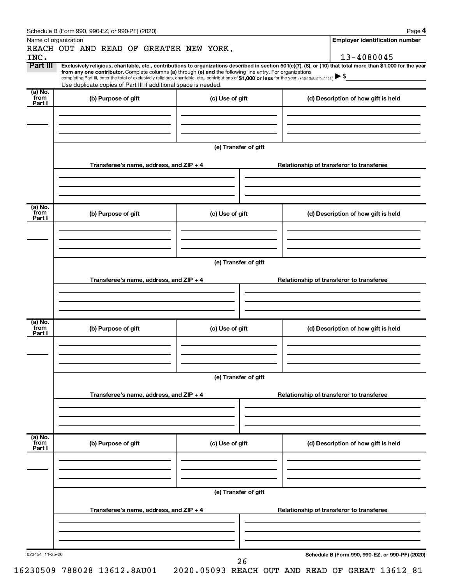|                           | Schedule B (Form 990, 990-EZ, or 990-PF) (2020)                                                                                                                                                                             |                      |                                                                                                                                                                | Page 4                                          |  |  |  |  |  |
|---------------------------|-----------------------------------------------------------------------------------------------------------------------------------------------------------------------------------------------------------------------------|----------------------|----------------------------------------------------------------------------------------------------------------------------------------------------------------|-------------------------------------------------|--|--|--|--|--|
|                           | Name of organization                                                                                                                                                                                                        |                      |                                                                                                                                                                | <b>Employer identification number</b>           |  |  |  |  |  |
| INC.                      | REACH OUT AND READ OF GREATER NEW YORK,                                                                                                                                                                                     |                      |                                                                                                                                                                | 13-4080045                                      |  |  |  |  |  |
| Part III                  |                                                                                                                                                                                                                             |                      | Exclusively religious, charitable, etc., contributions to organizations described in section 501(c)(7), (8), or (10) that total more than \$1,000 for the year |                                                 |  |  |  |  |  |
|                           | from any one contributor. Complete columns (a) through (e) and the following line entry. For organizations                                                                                                                  |                      |                                                                                                                                                                |                                                 |  |  |  |  |  |
|                           | completing Part III, enter the total of exclusively religious, charitable, etc., contributions of \$1,000 or less for the year. (Enter this info. once.)<br>Use duplicate copies of Part III if additional space is needed. |                      |                                                                                                                                                                |                                                 |  |  |  |  |  |
| (a) No.<br>from           |                                                                                                                                                                                                                             |                      |                                                                                                                                                                |                                                 |  |  |  |  |  |
| Part I                    | (b) Purpose of gift                                                                                                                                                                                                         | (c) Use of gift      |                                                                                                                                                                | (d) Description of how gift is held             |  |  |  |  |  |
|                           |                                                                                                                                                                                                                             |                      |                                                                                                                                                                |                                                 |  |  |  |  |  |
|                           |                                                                                                                                                                                                                             |                      |                                                                                                                                                                |                                                 |  |  |  |  |  |
|                           |                                                                                                                                                                                                                             |                      |                                                                                                                                                                |                                                 |  |  |  |  |  |
|                           | (e) Transfer of gift                                                                                                                                                                                                        |                      |                                                                                                                                                                |                                                 |  |  |  |  |  |
|                           |                                                                                                                                                                                                                             |                      |                                                                                                                                                                |                                                 |  |  |  |  |  |
|                           | Transferee's name, address, and ZIP + 4                                                                                                                                                                                     |                      |                                                                                                                                                                | Relationship of transferor to transferee        |  |  |  |  |  |
|                           |                                                                                                                                                                                                                             |                      |                                                                                                                                                                |                                                 |  |  |  |  |  |
|                           |                                                                                                                                                                                                                             |                      |                                                                                                                                                                |                                                 |  |  |  |  |  |
|                           |                                                                                                                                                                                                                             |                      |                                                                                                                                                                |                                                 |  |  |  |  |  |
| (a) No.<br>from           |                                                                                                                                                                                                                             |                      |                                                                                                                                                                |                                                 |  |  |  |  |  |
| Part I                    | (b) Purpose of gift                                                                                                                                                                                                         | (c) Use of gift      |                                                                                                                                                                | (d) Description of how gift is held             |  |  |  |  |  |
|                           |                                                                                                                                                                                                                             |                      |                                                                                                                                                                |                                                 |  |  |  |  |  |
|                           |                                                                                                                                                                                                                             |                      |                                                                                                                                                                |                                                 |  |  |  |  |  |
|                           |                                                                                                                                                                                                                             |                      |                                                                                                                                                                |                                                 |  |  |  |  |  |
|                           | (e) Transfer of gift                                                                                                                                                                                                        |                      |                                                                                                                                                                |                                                 |  |  |  |  |  |
|                           |                                                                                                                                                                                                                             |                      |                                                                                                                                                                |                                                 |  |  |  |  |  |
|                           | Transferee's name, address, and ZIP + 4                                                                                                                                                                                     |                      |                                                                                                                                                                | Relationship of transferor to transferee        |  |  |  |  |  |
|                           |                                                                                                                                                                                                                             |                      |                                                                                                                                                                |                                                 |  |  |  |  |  |
|                           |                                                                                                                                                                                                                             |                      |                                                                                                                                                                |                                                 |  |  |  |  |  |
|                           |                                                                                                                                                                                                                             |                      |                                                                                                                                                                |                                                 |  |  |  |  |  |
| (a) No.<br>from           | (b) Purpose of gift                                                                                                                                                                                                         | (c) Use of gift      | (d) Description of how gift is held                                                                                                                            |                                                 |  |  |  |  |  |
| Part I                    |                                                                                                                                                                                                                             |                      |                                                                                                                                                                |                                                 |  |  |  |  |  |
|                           |                                                                                                                                                                                                                             |                      |                                                                                                                                                                |                                                 |  |  |  |  |  |
|                           |                                                                                                                                                                                                                             |                      |                                                                                                                                                                |                                                 |  |  |  |  |  |
|                           |                                                                                                                                                                                                                             |                      |                                                                                                                                                                |                                                 |  |  |  |  |  |
|                           | (e) Transfer of gift                                                                                                                                                                                                        |                      |                                                                                                                                                                |                                                 |  |  |  |  |  |
|                           | Transferee's name, address, and ZIP + 4<br>Relationship of transferor to transferee                                                                                                                                         |                      |                                                                                                                                                                |                                                 |  |  |  |  |  |
|                           |                                                                                                                                                                                                                             |                      |                                                                                                                                                                |                                                 |  |  |  |  |  |
|                           |                                                                                                                                                                                                                             |                      |                                                                                                                                                                |                                                 |  |  |  |  |  |
|                           |                                                                                                                                                                                                                             |                      |                                                                                                                                                                |                                                 |  |  |  |  |  |
|                           |                                                                                                                                                                                                                             |                      |                                                                                                                                                                |                                                 |  |  |  |  |  |
| (a) No.<br>from<br>Part I | (b) Purpose of gift                                                                                                                                                                                                         | (c) Use of gift      |                                                                                                                                                                | (d) Description of how gift is held             |  |  |  |  |  |
|                           |                                                                                                                                                                                                                             |                      |                                                                                                                                                                |                                                 |  |  |  |  |  |
|                           |                                                                                                                                                                                                                             |                      |                                                                                                                                                                |                                                 |  |  |  |  |  |
|                           |                                                                                                                                                                                                                             |                      |                                                                                                                                                                |                                                 |  |  |  |  |  |
|                           |                                                                                                                                                                                                                             | (e) Transfer of gift |                                                                                                                                                                |                                                 |  |  |  |  |  |
|                           |                                                                                                                                                                                                                             |                      |                                                                                                                                                                |                                                 |  |  |  |  |  |
|                           | Transferee's name, address, and ZIP + 4                                                                                                                                                                                     |                      |                                                                                                                                                                | Relationship of transferor to transferee        |  |  |  |  |  |
|                           |                                                                                                                                                                                                                             |                      |                                                                                                                                                                |                                                 |  |  |  |  |  |
|                           |                                                                                                                                                                                                                             |                      |                                                                                                                                                                |                                                 |  |  |  |  |  |
|                           |                                                                                                                                                                                                                             |                      |                                                                                                                                                                |                                                 |  |  |  |  |  |
| 023454 11-25-20           |                                                                                                                                                                                                                             |                      |                                                                                                                                                                | Schedule B (Form 990, 990-EZ, or 990-PF) (2020) |  |  |  |  |  |
|                           |                                                                                                                                                                                                                             | 26                   |                                                                                                                                                                |                                                 |  |  |  |  |  |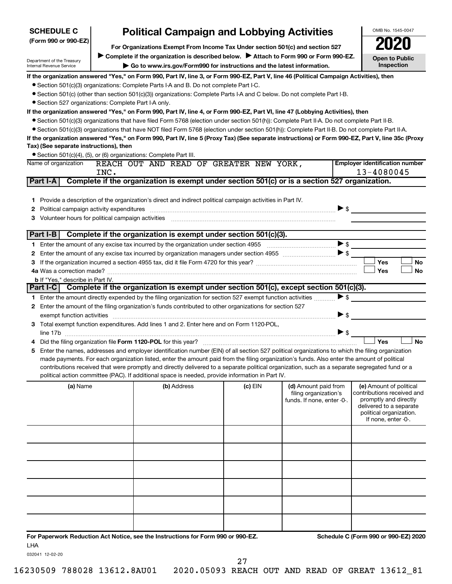| <b>SCHEDULE C</b>                                                                                                              | <b>Political Campaign and Lobbying Activities</b>                                                                                                                                                                                                                                              | OMB No. 1545-0047                                                                                                                                                                                                                                                                             |         |                            |                                                    |  |  |  |  |  |
|--------------------------------------------------------------------------------------------------------------------------------|------------------------------------------------------------------------------------------------------------------------------------------------------------------------------------------------------------------------------------------------------------------------------------------------|-----------------------------------------------------------------------------------------------------------------------------------------------------------------------------------------------------------------------------------------------------------------------------------------------|---------|----------------------------|----------------------------------------------------|--|--|--|--|--|
| (Form 990 or 990-EZ)                                                                                                           |                                                                                                                                                                                                                                                                                                |                                                                                                                                                                                                                                                                                               |         |                            |                                                    |  |  |  |  |  |
|                                                                                                                                |                                                                                                                                                                                                                                                                                                | For Organizations Exempt From Income Tax Under section 501(c) and section 527<br>Complete if the organization is described below.<br>Attach to Form 990 or Form 990-EZ.                                                                                                                       |         |                            |                                                    |  |  |  |  |  |
| Department of the Treasury<br>Internal Revenue Service                                                                         |                                                                                                                                                                                                                                                                                                | Go to www.irs.gov/Form990 for instructions and the latest information.                                                                                                                                                                                                                        |         |                            | <b>Open to Public</b><br>Inspection                |  |  |  |  |  |
|                                                                                                                                |                                                                                                                                                                                                                                                                                                | If the organization answered "Yes," on Form 990, Part IV, line 3, or Form 990-EZ, Part V, line 46 (Political Campaign Activities), then                                                                                                                                                       |         |                            |                                                    |  |  |  |  |  |
|                                                                                                                                |                                                                                                                                                                                                                                                                                                | • Section 501(c)(3) organizations: Complete Parts I-A and B. Do not complete Part I-C.                                                                                                                                                                                                        |         |                            |                                                    |  |  |  |  |  |
|                                                                                                                                |                                                                                                                                                                                                                                                                                                | • Section 501(c) (other than section 501(c)(3)) organizations: Complete Parts I-A and C below. Do not complete Part I-B.                                                                                                                                                                      |         |                            |                                                    |  |  |  |  |  |
| • Section 527 organizations: Complete Part I-A only.                                                                           |                                                                                                                                                                                                                                                                                                |                                                                                                                                                                                                                                                                                               |         |                            |                                                    |  |  |  |  |  |
| If the organization answered "Yes," on Form 990, Part IV, line 4, or Form 990-EZ, Part VI, line 47 (Lobbying Activities), then |                                                                                                                                                                                                                                                                                                |                                                                                                                                                                                                                                                                                               |         |                            |                                                    |  |  |  |  |  |
|                                                                                                                                | • Section 501(c)(3) organizations that have filed Form 5768 (election under section 501(h)): Complete Part II-A. Do not complete Part II-B.<br>• Section 501(c)(3) organizations that have NOT filed Form 5768 (election under section 501(h)): Complete Part II-B. Do not complete Part II-A. |                                                                                                                                                                                                                                                                                               |         |                            |                                                    |  |  |  |  |  |
|                                                                                                                                |                                                                                                                                                                                                                                                                                                |                                                                                                                                                                                                                                                                                               |         |                            |                                                    |  |  |  |  |  |
| Tax) (See separate instructions), then                                                                                         |                                                                                                                                                                                                                                                                                                | If the organization answered "Yes," on Form 990, Part IV, line 5 (Proxy Tax) (See separate instructions) or Form 990-EZ, Part V, line 35c (Proxy                                                                                                                                              |         |                            |                                                    |  |  |  |  |  |
|                                                                                                                                |                                                                                                                                                                                                                                                                                                | • Section 501(c)(4), (5), or (6) organizations: Complete Part III.                                                                                                                                                                                                                            |         |                            |                                                    |  |  |  |  |  |
| Name of organization                                                                                                           |                                                                                                                                                                                                                                                                                                | REACH OUT AND READ OF GREATER NEW YORK,                                                                                                                                                                                                                                                       |         |                            | <b>Employer identification number</b>              |  |  |  |  |  |
|                                                                                                                                | INC.                                                                                                                                                                                                                                                                                           |                                                                                                                                                                                                                                                                                               |         |                            | 13-4080045                                         |  |  |  |  |  |
| Part I-A                                                                                                                       |                                                                                                                                                                                                                                                                                                | Complete if the organization is exempt under section 501(c) or is a section 527 organization.                                                                                                                                                                                                 |         |                            |                                                    |  |  |  |  |  |
|                                                                                                                                |                                                                                                                                                                                                                                                                                                |                                                                                                                                                                                                                                                                                               |         |                            |                                                    |  |  |  |  |  |
|                                                                                                                                |                                                                                                                                                                                                                                                                                                | 1 Provide a description of the organization's direct and indirect political campaign activities in Part IV.                                                                                                                                                                                   |         |                            |                                                    |  |  |  |  |  |
| 2                                                                                                                              |                                                                                                                                                                                                                                                                                                |                                                                                                                                                                                                                                                                                               |         | $\triangleright$ \$        |                                                    |  |  |  |  |  |
| 3                                                                                                                              |                                                                                                                                                                                                                                                                                                |                                                                                                                                                                                                                                                                                               |         |                            |                                                    |  |  |  |  |  |
|                                                                                                                                |                                                                                                                                                                                                                                                                                                |                                                                                                                                                                                                                                                                                               |         |                            |                                                    |  |  |  |  |  |
| Part I-B                                                                                                                       |                                                                                                                                                                                                                                                                                                | Complete if the organization is exempt under section 501(c)(3).                                                                                                                                                                                                                               |         |                            |                                                    |  |  |  |  |  |
|                                                                                                                                |                                                                                                                                                                                                                                                                                                |                                                                                                                                                                                                                                                                                               |         | $\blacktriangleright$ \$   |                                                    |  |  |  |  |  |
| 2                                                                                                                              |                                                                                                                                                                                                                                                                                                |                                                                                                                                                                                                                                                                                               |         |                            |                                                    |  |  |  |  |  |
| 3                                                                                                                              |                                                                                                                                                                                                                                                                                                |                                                                                                                                                                                                                                                                                               |         |                            | Yes<br>No                                          |  |  |  |  |  |
|                                                                                                                                |                                                                                                                                                                                                                                                                                                |                                                                                                                                                                                                                                                                                               |         |                            | Yes<br>No                                          |  |  |  |  |  |
| <b>b</b> If "Yes," describe in Part IV.                                                                                        |                                                                                                                                                                                                                                                                                                |                                                                                                                                                                                                                                                                                               |         |                            |                                                    |  |  |  |  |  |
|                                                                                                                                |                                                                                                                                                                                                                                                                                                | Part I-C Complete if the organization is exempt under section 501(c), except section 501(c)(3).                                                                                                                                                                                               |         |                            |                                                    |  |  |  |  |  |
|                                                                                                                                |                                                                                                                                                                                                                                                                                                | 1 Enter the amount directly expended by the filing organization for section 527 exempt function activities                                                                                                                                                                                    |         | $\blacktriangleright$ \$   |                                                    |  |  |  |  |  |
|                                                                                                                                |                                                                                                                                                                                                                                                                                                | 2 Enter the amount of the filing organization's funds contributed to other organizations for section 527                                                                                                                                                                                      |         |                            |                                                    |  |  |  |  |  |
| exempt function activities                                                                                                     |                                                                                                                                                                                                                                                                                                |                                                                                                                                                                                                                                                                                               |         | $\blacktriangleright$ \$   |                                                    |  |  |  |  |  |
|                                                                                                                                |                                                                                                                                                                                                                                                                                                | 3 Total exempt function expenditures. Add lines 1 and 2. Enter here and on Form 1120-POL,                                                                                                                                                                                                     |         |                            |                                                    |  |  |  |  |  |
|                                                                                                                                |                                                                                                                                                                                                                                                                                                |                                                                                                                                                                                                                                                                                               |         | $\triangleright$ \$        |                                                    |  |  |  |  |  |
|                                                                                                                                |                                                                                                                                                                                                                                                                                                |                                                                                                                                                                                                                                                                                               |         |                            | Yes<br><b>No</b>                                   |  |  |  |  |  |
| 5.                                                                                                                             |                                                                                                                                                                                                                                                                                                | Enter the names, addresses and employer identification number (EIN) of all section 527 political organizations to which the filing organization                                                                                                                                               |         |                            |                                                    |  |  |  |  |  |
|                                                                                                                                |                                                                                                                                                                                                                                                                                                | made payments. For each organization listed, enter the amount paid from the filing organization's funds. Also enter the amount of political<br>contributions received that were promptly and directly delivered to a separate political organization, such as a separate segregated fund or a |         |                            |                                                    |  |  |  |  |  |
|                                                                                                                                |                                                                                                                                                                                                                                                                                                | political action committee (PAC). If additional space is needed, provide information in Part IV.                                                                                                                                                                                              |         |                            |                                                    |  |  |  |  |  |
|                                                                                                                                |                                                                                                                                                                                                                                                                                                | (b) Address                                                                                                                                                                                                                                                                                   | (c) EIN | (d) Amount paid from       | (e) Amount of political                            |  |  |  |  |  |
| (a) Name                                                                                                                       |                                                                                                                                                                                                                                                                                                |                                                                                                                                                                                                                                                                                               |         | filing organization's      | contributions received and                         |  |  |  |  |  |
|                                                                                                                                |                                                                                                                                                                                                                                                                                                |                                                                                                                                                                                                                                                                                               |         | funds. If none, enter -0-. | promptly and directly                              |  |  |  |  |  |
|                                                                                                                                |                                                                                                                                                                                                                                                                                                |                                                                                                                                                                                                                                                                                               |         |                            | delivered to a separate<br>political organization. |  |  |  |  |  |
|                                                                                                                                |                                                                                                                                                                                                                                                                                                |                                                                                                                                                                                                                                                                                               |         |                            | If none, enter -0-.                                |  |  |  |  |  |
|                                                                                                                                |                                                                                                                                                                                                                                                                                                |                                                                                                                                                                                                                                                                                               |         |                            |                                                    |  |  |  |  |  |
|                                                                                                                                |                                                                                                                                                                                                                                                                                                |                                                                                                                                                                                                                                                                                               |         |                            |                                                    |  |  |  |  |  |
|                                                                                                                                |                                                                                                                                                                                                                                                                                                |                                                                                                                                                                                                                                                                                               |         |                            |                                                    |  |  |  |  |  |
|                                                                                                                                |                                                                                                                                                                                                                                                                                                |                                                                                                                                                                                                                                                                                               |         |                            |                                                    |  |  |  |  |  |
|                                                                                                                                |                                                                                                                                                                                                                                                                                                |                                                                                                                                                                                                                                                                                               |         |                            |                                                    |  |  |  |  |  |
|                                                                                                                                |                                                                                                                                                                                                                                                                                                |                                                                                                                                                                                                                                                                                               |         |                            |                                                    |  |  |  |  |  |
|                                                                                                                                |                                                                                                                                                                                                                                                                                                |                                                                                                                                                                                                                                                                                               |         |                            |                                                    |  |  |  |  |  |
|                                                                                                                                |                                                                                                                                                                                                                                                                                                |                                                                                                                                                                                                                                                                                               |         |                            |                                                    |  |  |  |  |  |
|                                                                                                                                |                                                                                                                                                                                                                                                                                                |                                                                                                                                                                                                                                                                                               |         |                            |                                                    |  |  |  |  |  |
|                                                                                                                                |                                                                                                                                                                                                                                                                                                |                                                                                                                                                                                                                                                                                               |         |                            |                                                    |  |  |  |  |  |

**For Paperwork Reduction Act Notice, see the Instructions for Form 990 or 990-EZ. Schedule C (Form 990 or 990-EZ) 2020** LHA

032041 12-02-20

16230509 788028 13612.8AU01 2020.05093 REACH OUT AND READ OF GREAT 13612\_81

# 27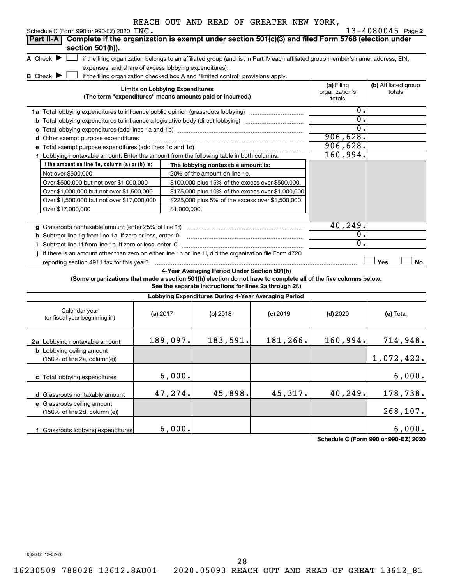| Schedule C (Form 990 or 990-EZ) 2020 INC.                                                                              |                                        |              |                                                                                                         |                                                                                                                                   |                                        | $13 - 4080045$ Page 2          |
|------------------------------------------------------------------------------------------------------------------------|----------------------------------------|--------------|---------------------------------------------------------------------------------------------------------|-----------------------------------------------------------------------------------------------------------------------------------|----------------------------------------|--------------------------------|
| Complete if the organization is exempt under section 501(c)(3) and filed Form 5768 (election under<br><b>Part II-A</b> |                                        |              |                                                                                                         |                                                                                                                                   |                                        |                                |
| section 501(h)).                                                                                                       |                                        |              |                                                                                                         |                                                                                                                                   |                                        |                                |
| A Check $\blacktriangleright$                                                                                          |                                        |              |                                                                                                         | if the filing organization belongs to an affiliated group (and list in Part IV each affiliated group member's name, address, EIN, |                                        |                                |
| expenses, and share of excess lobbying expenditures).                                                                  |                                        |              |                                                                                                         |                                                                                                                                   |                                        |                                |
| <b>B</b> Check <b>J</b>                                                                                                |                                        |              | if the filing organization checked box A and "limited control" provisions apply.                        |                                                                                                                                   |                                        |                                |
|                                                                                                                        | <b>Limits on Lobbying Expenditures</b> |              | (The term "expenditures" means amounts paid or incurred.)                                               |                                                                                                                                   | (a) Filing<br>organization's<br>totals | (b) Affiliated group<br>totals |
| 1a Total lobbying expenditures to influence public opinion (grassroots lobbying) manu-controllery on the Total         |                                        |              |                                                                                                         |                                                                                                                                   | 0.                                     |                                |
| <b>b</b> Total lobbying expenditures to influence a legislative body (direct lobbying) <i>manumanomes</i>              |                                        |              |                                                                                                         |                                                                                                                                   | σ.                                     |                                |
|                                                                                                                        |                                        |              |                                                                                                         |                                                                                                                                   | σ.                                     |                                |
| d Other exempt purpose expenditures                                                                                    |                                        |              |                                                                                                         |                                                                                                                                   | 906,628.                               |                                |
|                                                                                                                        |                                        |              |                                                                                                         |                                                                                                                                   | 906,628.                               |                                |
| f Lobbying nontaxable amount. Enter the amount from the following table in both columns.                               |                                        |              |                                                                                                         |                                                                                                                                   | 160,994.                               |                                |
| If the amount on line 1e, column (a) or (b) is:                                                                        |                                        |              | The lobbying nontaxable amount is:                                                                      |                                                                                                                                   |                                        |                                |
| Not over \$500,000                                                                                                     |                                        |              | 20% of the amount on line 1e.                                                                           |                                                                                                                                   |                                        |                                |
| Over \$500,000 but not over \$1,000,000                                                                                |                                        |              | \$100,000 plus 15% of the excess over \$500,000.                                                        |                                                                                                                                   |                                        |                                |
| Over \$1,000,000 but not over \$1,500,000                                                                              |                                        |              | \$175,000 plus 10% of the excess over \$1,000,000                                                       |                                                                                                                                   |                                        |                                |
| Over \$1,500,000 but not over \$17,000,000                                                                             |                                        |              | \$225,000 plus 5% of the excess over \$1,500,000.                                                       |                                                                                                                                   |                                        |                                |
| Over \$17,000,000                                                                                                      |                                        | \$1,000,000. |                                                                                                         |                                                                                                                                   |                                        |                                |
|                                                                                                                        |                                        |              |                                                                                                         |                                                                                                                                   |                                        |                                |
|                                                                                                                        |                                        |              |                                                                                                         |                                                                                                                                   | 40,249.                                |                                |
| h Subtract line 1q from line 1a. If zero or less, enter -0-                                                            |                                        |              |                                                                                                         |                                                                                                                                   | 0.                                     |                                |
| i Subtract line 1f from line 1c. If zero or less, enter -0-                                                            |                                        |              |                                                                                                         |                                                                                                                                   | 0.                                     |                                |
| j If there is an amount other than zero on either line 1h or line 1i, did the organization file Form 4720              |                                        |              |                                                                                                         |                                                                                                                                   |                                        |                                |
| reporting section 4911 tax for this year?                                                                              |                                        |              |                                                                                                         |                                                                                                                                   |                                        | Yes<br>No                      |
| (Some organizations that made a section 501(h) election do not have to complete all of the five columns below.         |                                        |              | 4-Year Averaging Period Under Section 501(h)<br>See the separate instructions for lines 2a through 2f.) |                                                                                                                                   |                                        |                                |
|                                                                                                                        |                                        |              | Lobbying Expenditures During 4-Year Averaging Period                                                    |                                                                                                                                   |                                        |                                |
| Calendar year<br>(or fiscal year beginning in)                                                                         | (a) 2017                               |              | (b) 2018                                                                                                | $(c)$ 2019                                                                                                                        | $(d)$ 2020                             | (e) Total                      |
| 2a Lobbying nontaxable amount                                                                                          |                                        | 189,097.     | 183,591.                                                                                                | 181,266.                                                                                                                          | 160,994.                               | 714,948.                       |
| <b>b</b> Lobbying ceiling amount<br>(150% of line 2a, column(e))                                                       |                                        |              |                                                                                                         |                                                                                                                                   |                                        | 1,072,422.                     |
| c Total lobbying expenditures                                                                                          |                                        | 6,000.       |                                                                                                         |                                                                                                                                   |                                        | 6,000.                         |
| d Grassroots nontaxable amount                                                                                         |                                        | 47,274.      | 45,898.                                                                                                 | 45,317.                                                                                                                           | 40,249.                                | 178,738.                       |
| e Grassroots ceiling amount<br>(150% of line 2d, column (e))                                                           |                                        |              |                                                                                                         |                                                                                                                                   |                                        | 268,107.                       |

**Schedule C (Form 990 or 990-EZ) 2020** 6,000. 6,000.

032042 12-02-20

**f** Grassroots lobbying expenditures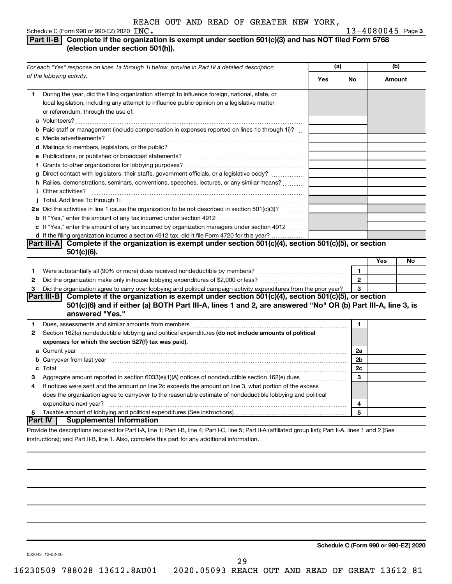### **INC.** 13-4080045 Page 3 **Part II-B Complete if the organization is exempt under section 501(c)(3) and has NOT filed Form 5768**

### **(election under section 501(h)).**

| For each "Yes" response on lines 1a through 1i below, provide in Part IV a detailed description                                                                                                                                                      | (a) |                | (b)           |    |
|------------------------------------------------------------------------------------------------------------------------------------------------------------------------------------------------------------------------------------------------------|-----|----------------|---------------|----|
| of the lobbying activity.                                                                                                                                                                                                                            | Yes | No             | <b>Amount</b> |    |
| During the year, did the filing organization attempt to influence foreign, national, state, or<br>1.<br>local legislation, including any attempt to influence public opinion on a legislative matter<br>or referendum, through the use of:           |     |                |               |    |
| <b>b</b> Paid staff or management (include compensation in expenses reported on lines 1c through 1i)?                                                                                                                                                |     |                |               |    |
|                                                                                                                                                                                                                                                      |     |                |               |    |
| g Direct contact with legislators, their staffs, government officials, or a legislative body?<br>h Rallies, demonstrations, seminars, conventions, speeches, lectures, or any similar means?<br><i>i</i> Other activities?                           |     |                |               |    |
|                                                                                                                                                                                                                                                      |     |                |               |    |
| 2a Did the activities in line 1 cause the organization to be not described in section 501(c)(3)?                                                                                                                                                     |     |                |               |    |
| c If "Yes," enter the amount of any tax incurred by organization managers under section 4912                                                                                                                                                         |     |                |               |    |
| d If the filing organization incurred a section 4912 tax, did it file Form 4720 for this year?                                                                                                                                                       |     |                |               |    |
| Complete if the organization is exempt under section 501(c)(4), section 501(c)(5), or section<br><b>Part III-A</b>                                                                                                                                   |     |                |               |    |
| $501(c)(6)$ .                                                                                                                                                                                                                                        |     |                | Yes           | No |
|                                                                                                                                                                                                                                                      |     | $\mathbf{1}$   |               |    |
| 1<br>2                                                                                                                                                                                                                                               |     | $\overline{2}$ |               |    |
| Did the organization agree to carry over lobbying and political campaign activity expenditures from the prior year?<br>З                                                                                                                             |     | 3              |               |    |
| <b>Part III-B</b><br>Complete if the organization is exempt under section 501(c)(4), section 501(c)(5), or section<br>501(c)(6) and if either (a) BOTH Part III-A, lines 1 and 2, are answered "No" OR (b) Part III-A, line 3, is<br>answered "Yes." |     |                |               |    |
| 1                                                                                                                                                                                                                                                    |     | 1              |               |    |
| Section 162(e) nondeductible lobbying and political expenditures (do not include amounts of political<br>2<br>expenses for which the section 527(f) tax was paid).                                                                                   |     |                |               |    |
|                                                                                                                                                                                                                                                      |     | 2a             |               |    |
| <b>b</b> Carryover from last year manufactured contains and contained a state of the contained contained and contained a state of the Carryover from last year manufactured and contained a state of the contained and contained an                  |     | 2b             |               |    |
|                                                                                                                                                                                                                                                      |     | 2c             |               |    |
| З                                                                                                                                                                                                                                                    |     | 3              |               |    |
| If notices were sent and the amount on line 2c exceeds the amount on line 3, what portion of the excess<br>4                                                                                                                                         |     |                |               |    |
| does the organization agree to carryover to the reasonable estimate of nondeductible lobbying and political                                                                                                                                          |     |                |               |    |
|                                                                                                                                                                                                                                                      |     | 4              |               |    |
| 5<br> Part IV<br><b>Supplemental Information</b>                                                                                                                                                                                                     |     | 5              |               |    |
| Provide the descriptions required for Part I-A, line 1; Part I-B, line 4; Part I-C, line 5; Part II-A (affiliated group list); Part II-A, lines 1 and 2 (See                                                                                         |     |                |               |    |

instructions); and Part II-B, line 1. Also, complete this part for any additional information.

**Schedule C (Form 990 or 990-EZ) 2020**

032043 12-02-20

29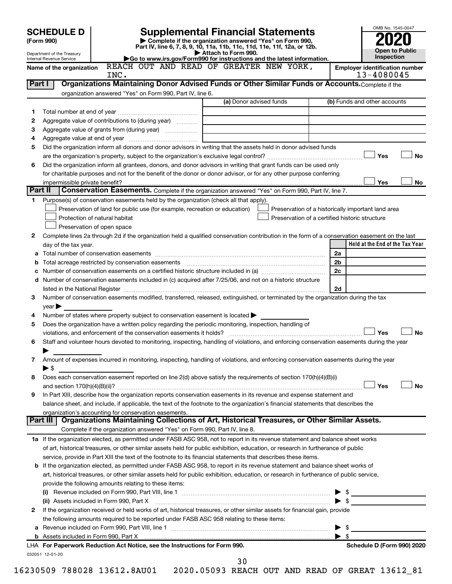|         | <b>SCHEDULE D</b>              |                                                                                                                                                |                         | <b>Supplemental Financial Statements</b>                                 |         | OMB No. 1545-0047                     |
|---------|--------------------------------|------------------------------------------------------------------------------------------------------------------------------------------------|-------------------------|--------------------------------------------------------------------------|---------|---------------------------------------|
|         | (Form 990)                     |                                                                                                                                                |                         | Complete if the organization answered "Yes" on Form 990,                 |         |                                       |
|         | Department of the Treasury     |                                                                                                                                                | Attach to Form 990.     | Part IV, line 6, 7, 8, 9, 10, 11a, 11b, 11c, 11d, 11e, 11f, 12a, or 12b. |         | <b>Open to Public</b>                 |
|         | Internal Revenue Service       |                                                                                                                                                |                         | Go to www.irs.gov/Form990 for instructions and the latest information.   |         | <b>Inspection</b>                     |
|         | Name of the organization       | REACH OUT AND READ OF GREATER NEW YORK,                                                                                                        |                         |                                                                          |         | <b>Employer identification number</b> |
|         | Part I                         | INC.<br>Organizations Maintaining Donor Advised Funds or Other Similar Funds or Accounts. Complete if the                                      |                         |                                                                          |         | 13-4080045                            |
|         |                                | organization answered "Yes" on Form 990, Part IV, line 6.                                                                                      |                         |                                                                          |         |                                       |
|         |                                |                                                                                                                                                | (a) Donor advised funds |                                                                          |         | (b) Funds and other accounts          |
| 1       |                                |                                                                                                                                                |                         |                                                                          |         |                                       |
| 2       |                                | Aggregate value of contributions to (during year)                                                                                              |                         |                                                                          |         |                                       |
| 3       |                                | Aggregate value of grants from (during year)                                                                                                   |                         |                                                                          |         |                                       |
| 4       |                                |                                                                                                                                                |                         |                                                                          |         |                                       |
| 5       |                                | Did the organization inform all donors and donor advisors in writing that the assets held in donor advised funds                               |                         |                                                                          |         |                                       |
|         |                                |                                                                                                                                                |                         |                                                                          |         | Yes<br><b>No</b>                      |
| 6       |                                | Did the organization inform all grantees, donors, and donor advisors in writing that grant funds can be used only                              |                         |                                                                          |         |                                       |
|         |                                | for charitable purposes and not for the benefit of the donor or donor advisor, or for any other purpose conferring                             |                         |                                                                          |         |                                       |
|         | impermissible private benefit? |                                                                                                                                                |                         |                                                                          |         | Yes<br>No                             |
| Part II |                                | Conservation Easements. Complete if the organization answered "Yes" on Form 990, Part IV, line 7.                                              |                         |                                                                          |         |                                       |
| 1       |                                | Purpose(s) of conservation easements held by the organization (check all that apply).                                                          |                         |                                                                          |         |                                       |
|         |                                | Preservation of land for public use (for example, recreation or education)                                                                     |                         | Preservation of a historically important land area                       |         |                                       |
|         |                                | Protection of natural habitat                                                                                                                  |                         | Preservation of a certified historic structure                           |         |                                       |
|         |                                | Preservation of open space                                                                                                                     |                         |                                                                          |         |                                       |
| 2       |                                | Complete lines 2a through 2d if the organization held a qualified conservation contribution in the form of a conservation easement on the last |                         |                                                                          |         |                                       |
|         | day of the tax year.           |                                                                                                                                                |                         |                                                                          |         | Held at the End of the Tax Year       |
|         |                                |                                                                                                                                                |                         |                                                                          | 2a      |                                       |
| b       |                                |                                                                                                                                                |                         |                                                                          | 2b      |                                       |
| с       |                                |                                                                                                                                                |                         |                                                                          | 2c      |                                       |
| d       |                                | Number of conservation easements included in (c) acquired after 7/25/06, and not on a historic structure                                       |                         |                                                                          |         |                                       |
|         |                                |                                                                                                                                                |                         |                                                                          | 2d      |                                       |
| 3       |                                | Number of conservation easements modified, transferred, released, extinguished, or terminated by the organization during the tax               |                         |                                                                          |         |                                       |
|         | $year \blacktriangleright$     |                                                                                                                                                |                         |                                                                          |         |                                       |
| 4       |                                | Number of states where property subject to conservation easement is located $\blacktriangleright$                                              |                         |                                                                          |         |                                       |
| 5       |                                | Does the organization have a written policy regarding the periodic monitoring, inspection, handling of                                         |                         |                                                                          |         | Yes<br><b>No</b>                      |
| 6       |                                | Staff and volunteer hours devoted to monitoring, inspecting, handling of violations, and enforcing conservation easements during the year      |                         |                                                                          |         |                                       |
|         |                                |                                                                                                                                                |                         |                                                                          |         |                                       |
| 7       |                                | Amount of expenses incurred in monitoring, inspecting, handling of violations, and enforcing conservation easements during the year            |                         |                                                                          |         |                                       |
|         | $\blacktriangleright$ \$       |                                                                                                                                                |                         |                                                                          |         |                                       |
| 8       |                                | Does each conservation easement reported on line 2(d) above satisfy the requirements of section 170(h)(4)(B)(i)                                |                         |                                                                          |         |                                       |
|         |                                |                                                                                                                                                |                         |                                                                          |         | Yes<br>No                             |
| 9       |                                | In Part XIII, describe how the organization reports conservation easements in its revenue and expense statement and                            |                         |                                                                          |         |                                       |
|         |                                | balance sheet, and include, if applicable, the text of the footnote to the organization's financial statements that describes the              |                         |                                                                          |         |                                       |
|         |                                | organization's accounting for conservation easements.                                                                                          |                         |                                                                          |         |                                       |
|         | Part III                       | Organizations Maintaining Collections of Art, Historical Treasures, or Other Similar Assets.                                                   |                         |                                                                          |         |                                       |
|         |                                | Complete if the organization answered "Yes" on Form 990, Part IV, line 8.                                                                      |                         |                                                                          |         |                                       |
|         |                                | 1a If the organization elected, as permitted under FASB ASC 958, not to report in its revenue statement and balance sheet works                |                         |                                                                          |         |                                       |
|         |                                | of art, historical treasures, or other similar assets held for public exhibition, education, or research in furtherance of public              |                         |                                                                          |         |                                       |
|         |                                | service, provide in Part XIII the text of the footnote to its financial statements that describes these items.                                 |                         |                                                                          |         |                                       |
| b       |                                | If the organization elected, as permitted under FASB ASC 958, to report in its revenue statement and balance sheet works of                    |                         |                                                                          |         |                                       |
|         |                                | art, historical treasures, or other similar assets held for public exhibition, education, or research in furtherance of public service,        |                         |                                                                          |         |                                       |
|         |                                | provide the following amounts relating to these items:                                                                                         |                         |                                                                          |         |                                       |
|         |                                |                                                                                                                                                |                         |                                                                          |         |                                       |
|         |                                | (ii) Assets included in Form 990, Part X                                                                                                       |                         |                                                                          | - \$    |                                       |
| 2       |                                | If the organization received or held works of art, historical treasures, or other similar assets for financial gain, provide                   |                         |                                                                          |         |                                       |
|         |                                | the following amounts required to be reported under FASB ASC 958 relating to these items:                                                      |                         |                                                                          |         |                                       |
| а       |                                |                                                                                                                                                |                         |                                                                          | - \$    |                                       |
|         |                                |                                                                                                                                                |                         |                                                                          | \$<br>▶ |                                       |
|         |                                | LHA For Paperwork Reduction Act Notice, see the Instructions for Form 990.                                                                     |                         |                                                                          |         | Schedule D (Form 990) 2020            |
|         | 032051 12-01-20                |                                                                                                                                                | 30                      |                                                                          |         |                                       |
|         |                                |                                                                                                                                                |                         |                                                                          |         |                                       |

| ×<br>I<br>٠<br>۰. | × |
|-------------------|---|
|                   |   |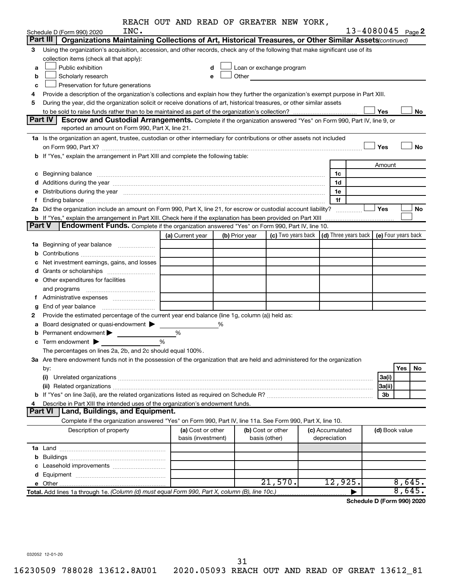|               |                                                                                                                                                                                                                                | REACH OUT AND READ OF GREATER NEW YORK, |   |                |                                                                                                                                                                                                                               |                 |                            |            |           |
|---------------|--------------------------------------------------------------------------------------------------------------------------------------------------------------------------------------------------------------------------------|-----------------------------------------|---|----------------|-------------------------------------------------------------------------------------------------------------------------------------------------------------------------------------------------------------------------------|-----------------|----------------------------|------------|-----------|
|               | INC.<br>Schedule D (Form 990) 2020                                                                                                                                                                                             |                                         |   |                |                                                                                                                                                                                                                               |                 | $13 - 4080045$ Page 2      |            |           |
|               | Part III  <br>Organizations Maintaining Collections of Art, Historical Treasures, or Other Similar Assets (continued)                                                                                                          |                                         |   |                |                                                                                                                                                                                                                               |                 |                            |            |           |
| 3             | Using the organization's acquisition, accession, and other records, check any of the following that make significant use of its                                                                                                |                                         |   |                |                                                                                                                                                                                                                               |                 |                            |            |           |
|               | collection items (check all that apply):                                                                                                                                                                                       |                                         |   |                |                                                                                                                                                                                                                               |                 |                            |            |           |
| a             | Public exhibition                                                                                                                                                                                                              | d                                       |   |                | Loan or exchange program                                                                                                                                                                                                      |                 |                            |            |           |
| b             | Scholarly research                                                                                                                                                                                                             | е                                       |   |                | Other and the contract of the contract of the contract of the contract of the contract of the contract of the contract of the contract of the contract of the contract of the contract of the contract of the contract of the |                 |                            |            |           |
| c             | Preservation for future generations                                                                                                                                                                                            |                                         |   |                |                                                                                                                                                                                                                               |                 |                            |            |           |
| 4             | Provide a description of the organization's collections and explain how they further the organization's exempt purpose in Part XIII.                                                                                           |                                         |   |                |                                                                                                                                                                                                                               |                 |                            |            |           |
| 5             | During the year, did the organization solicit or receive donations of art, historical treasures, or other similar assets                                                                                                       |                                         |   |                |                                                                                                                                                                                                                               |                 |                            |            |           |
|               |                                                                                                                                                                                                                                |                                         |   |                |                                                                                                                                                                                                                               |                 | Yes                        |            | No        |
|               | <b>Part IV I</b><br><b>Escrow and Custodial Arrangements.</b> Complete if the organization answered "Yes" on Form 990, Part IV, line 9, or                                                                                     |                                         |   |                |                                                                                                                                                                                                                               |                 |                            |            |           |
|               | reported an amount on Form 990, Part X, line 21.                                                                                                                                                                               |                                         |   |                |                                                                                                                                                                                                                               |                 |                            |            |           |
|               | 1a Is the organization an agent, trustee, custodian or other intermediary for contributions or other assets not included                                                                                                       |                                         |   |                |                                                                                                                                                                                                                               |                 |                            |            |           |
|               | on Form 990, Part X? [11] matter and the contract of the contract of the contract of the contract of the contract of the contract of the contract of the contract of the contract of the contract of the contract of the contr |                                         |   |                |                                                                                                                                                                                                                               |                 | Yes                        |            | <b>No</b> |
|               | b If "Yes," explain the arrangement in Part XIII and complete the following table:                                                                                                                                             |                                         |   |                |                                                                                                                                                                                                                               |                 |                            |            |           |
|               |                                                                                                                                                                                                                                |                                         |   |                |                                                                                                                                                                                                                               |                 | Amount                     |            |           |
|               | c Beginning balance measurements and the contract of the contract of the contract of the contract of the contract of the contract of the contract of the contract of the contract of the contract of the contract of the contr |                                         |   |                |                                                                                                                                                                                                                               | 1c              |                            |            |           |
|               |                                                                                                                                                                                                                                |                                         |   |                |                                                                                                                                                                                                                               | 1d              |                            |            |           |
|               | e Distributions during the year manufactured and contained and contained and the year manufactured and contained and the year manufactured and contained and contained and contained and contained and contained and contained |                                         |   |                |                                                                                                                                                                                                                               | 1e              |                            |            |           |
| f.            |                                                                                                                                                                                                                                |                                         |   |                |                                                                                                                                                                                                                               | 1f              |                            |            |           |
|               | 2a Did the organization include an amount on Form 990, Part X, line 21, for escrow or custodial account liability?                                                                                                             |                                         |   |                |                                                                                                                                                                                                                               |                 | Yes                        |            | No        |
|               | b If "Yes," explain the arrangement in Part XIII. Check here if the explanation has been provided on Part XIII                                                                                                                 |                                         |   |                |                                                                                                                                                                                                                               |                 |                            |            |           |
| <b>Part V</b> | Endowment Funds. Complete if the organization answered "Yes" on Form 990, Part IV, line 10.                                                                                                                                    |                                         |   |                |                                                                                                                                                                                                                               |                 |                            |            |           |
|               |                                                                                                                                                                                                                                | (a) Current year                        |   | (b) Prior year | (c) Two years back $\vert$ (d) Three years back $\vert$ (e) Four years back                                                                                                                                                   |                 |                            |            |           |
|               | <b>1a</b> Beginning of year balance <i>manumumum</i>                                                                                                                                                                           |                                         |   |                |                                                                                                                                                                                                                               |                 |                            |            |           |
| b             |                                                                                                                                                                                                                                |                                         |   |                |                                                                                                                                                                                                                               |                 |                            |            |           |
|               | Net investment earnings, gains, and losses                                                                                                                                                                                     |                                         |   |                |                                                                                                                                                                                                                               |                 |                            |            |           |
|               |                                                                                                                                                                                                                                |                                         |   |                |                                                                                                                                                                                                                               |                 |                            |            |           |
|               | e Other expenditures for facilities                                                                                                                                                                                            |                                         |   |                |                                                                                                                                                                                                                               |                 |                            |            |           |
|               | and programs                                                                                                                                                                                                                   |                                         |   |                |                                                                                                                                                                                                                               |                 |                            |            |           |
|               | f Administrative expenses                                                                                                                                                                                                      |                                         |   |                |                                                                                                                                                                                                                               |                 |                            |            |           |
| g             |                                                                                                                                                                                                                                |                                         |   |                |                                                                                                                                                                                                                               |                 |                            |            |           |
| 2             | Provide the estimated percentage of the current year end balance (line 1g, column (a)) held as:                                                                                                                                |                                         |   |                |                                                                                                                                                                                                                               |                 |                            |            |           |
| а             | Board designated or quasi-endowment                                                                                                                                                                                            |                                         | % |                |                                                                                                                                                                                                                               |                 |                            |            |           |
|               | Permanent endowment $\blacktriangleright$                                                                                                                                                                                      | %                                       |   |                |                                                                                                                                                                                                                               |                 |                            |            |           |
|               | $\mathbf c$ Term endowment $\blacktriangleright$                                                                                                                                                                               | %                                       |   |                |                                                                                                                                                                                                                               |                 |                            |            |           |
|               | The percentages on lines 2a, 2b, and 2c should equal 100%.                                                                                                                                                                     |                                         |   |                |                                                                                                                                                                                                                               |                 |                            |            |           |
|               | 3a Are there endowment funds not in the possession of the organization that are held and administered for the organization                                                                                                     |                                         |   |                |                                                                                                                                                                                                                               |                 |                            |            |           |
|               | by:                                                                                                                                                                                                                            |                                         |   |                |                                                                                                                                                                                                                               |                 |                            | <b>Yes</b> | No        |
|               | (i)                                                                                                                                                                                                                            |                                         |   |                |                                                                                                                                                                                                                               |                 | 3a(i)                      |            |           |
|               |                                                                                                                                                                                                                                |                                         |   |                |                                                                                                                                                                                                                               |                 | 3a(ii)                     |            |           |
|               |                                                                                                                                                                                                                                |                                         |   |                |                                                                                                                                                                                                                               |                 | 3b                         |            |           |
| 4             | Describe in Part XIII the intended uses of the organization's endowment funds.                                                                                                                                                 |                                         |   |                |                                                                                                                                                                                                                               |                 |                            |            |           |
|               | Land, Buildings, and Equipment.<br><b>Part VI</b>                                                                                                                                                                              |                                         |   |                |                                                                                                                                                                                                                               |                 |                            |            |           |
|               | Complete if the organization answered "Yes" on Form 990, Part IV, line 11a. See Form 990, Part X, line 10.                                                                                                                     |                                         |   |                |                                                                                                                                                                                                                               |                 |                            |            |           |
|               | Description of property                                                                                                                                                                                                        | (a) Cost or other                       |   |                | (b) Cost or other                                                                                                                                                                                                             | (c) Accumulated | (d) Book value             |            |           |
|               |                                                                                                                                                                                                                                | basis (investment)                      |   |                | basis (other)                                                                                                                                                                                                                 | depreciation    |                            |            |           |
|               |                                                                                                                                                                                                                                |                                         |   |                |                                                                                                                                                                                                                               |                 |                            |            |           |
|               |                                                                                                                                                                                                                                |                                         |   |                |                                                                                                                                                                                                                               |                 |                            |            |           |
|               |                                                                                                                                                                                                                                |                                         |   |                |                                                                                                                                                                                                                               |                 |                            |            |           |
|               |                                                                                                                                                                                                                                |                                         |   |                |                                                                                                                                                                                                                               |                 |                            |            |           |
|               |                                                                                                                                                                                                                                |                                         |   |                | 21,570.                                                                                                                                                                                                                       | 12,925.         |                            | 8,645.     |           |
|               | Total. Add lines 1a through 1e. (Column (d) must equal Form 990, Part X, column (B), line 10c.)                                                                                                                                |                                         |   |                |                                                                                                                                                                                                                               |                 |                            | 8,645.     |           |
|               |                                                                                                                                                                                                                                |                                         |   |                |                                                                                                                                                                                                                               |                 | Schedule D (Form 990) 2020 |            |           |

032052 12-01-20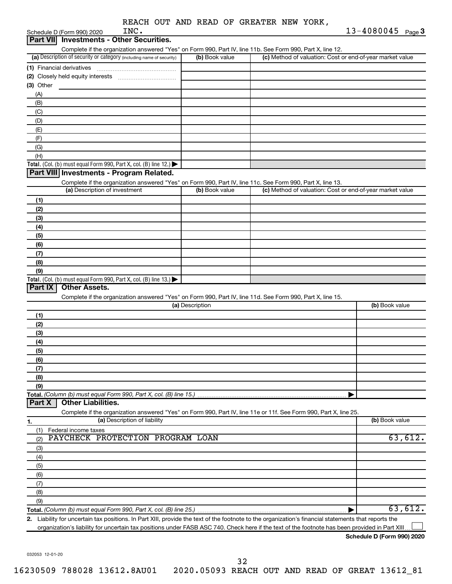| REACH OUT AND READ OF GREATER NEW YORK, |
|-----------------------------------------|
|-----------------------------------------|

| <b>Investments - Other Securities.</b><br><b>Part VIII</b><br>Complete if the organization answered "Yes" on Form 990, Part IV, line 11b. See Form 990, Part X, line 12. | 13-4080045 Page 3 |
|--------------------------------------------------------------------------------------------------------------------------------------------------------------------------|-------------------|
|                                                                                                                                                                          |                   |
|                                                                                                                                                                          |                   |
| (a) Description of security or category (including name of security)<br>(b) Book value<br>(c) Method of valuation: Cost or end-of-year market value                      |                   |
| (1) Financial derivatives                                                                                                                                                |                   |
|                                                                                                                                                                          |                   |
| (3) Other                                                                                                                                                                |                   |
| (A)                                                                                                                                                                      |                   |
| (B)                                                                                                                                                                      |                   |
| (C)                                                                                                                                                                      |                   |
| (D)<br>(E)                                                                                                                                                               |                   |
| (F)                                                                                                                                                                      |                   |
| (G)                                                                                                                                                                      |                   |
| (H)                                                                                                                                                                      |                   |
| Total. (Col. (b) must equal Form 990, Part X, col. (B) line 12.)                                                                                                         |                   |
| Part VIII Investments - Program Related.                                                                                                                                 |                   |
| Complete if the organization answered "Yes" on Form 990, Part IV, line 11c. See Form 990, Part X, line 13.                                                               |                   |
| (a) Description of investment<br>(b) Book value<br>(c) Method of valuation: Cost or end-of-year market value                                                             |                   |
| (1)                                                                                                                                                                      |                   |
| (2)                                                                                                                                                                      |                   |
| (3)                                                                                                                                                                      |                   |
| (4)                                                                                                                                                                      |                   |
| (5)                                                                                                                                                                      |                   |
| (6)                                                                                                                                                                      |                   |
| (7)                                                                                                                                                                      |                   |
| (8)                                                                                                                                                                      |                   |
| (9)                                                                                                                                                                      |                   |
| Total. (Col. (b) must equal Form 990, Part X, col. (B) line 13.)                                                                                                         |                   |
| <b>Other Assets.</b><br>Part IX                                                                                                                                          |                   |
| Complete if the organization answered "Yes" on Form 990, Part IV, line 11d. See Form 990, Part X, line 15.<br>(a) Description                                            | (b) Book value    |
|                                                                                                                                                                          |                   |
| (1)                                                                                                                                                                      |                   |
| (2)                                                                                                                                                                      |                   |
| (3)                                                                                                                                                                      |                   |
| (4)<br>(5)                                                                                                                                                               |                   |
| (6)                                                                                                                                                                      |                   |
| (7)                                                                                                                                                                      |                   |
| (8)                                                                                                                                                                      |                   |
| (9)                                                                                                                                                                      |                   |
| Total. (Column (b) must equal Form 990, Part X, col. (B) line 15.)                                                                                                       |                   |
| <b>Other Liabilities.</b><br>Part X                                                                                                                                      |                   |
| Complete if the organization answered "Yes" on Form 990, Part IV, line 11e or 11f. See Form 990, Part X, line 25.                                                        |                   |
| (a) Description of liability<br>1.                                                                                                                                       | (b) Book value    |
| (1)<br>Federal income taxes                                                                                                                                              |                   |
| PAYCHECK PROTECTION PROGRAM LOAN<br>(2)                                                                                                                                  | 63,612.           |
| (3)                                                                                                                                                                      |                   |
| (4)                                                                                                                                                                      |                   |
| (5)                                                                                                                                                                      |                   |
| (6)                                                                                                                                                                      |                   |
| (7)                                                                                                                                                                      |                   |
| (8)                                                                                                                                                                      |                   |
| (9)                                                                                                                                                                      |                   |
| 2 Lighility for uncertain tay positions. In Part YIII, provide the text of the footpote to the organization's financial statements that reports the                      | 63,612.           |

**2.** Liability for uncertain tax positions. In Part XIII, provide the text of the footnote to the organization's financial statements that reports the organization's liability for uncertain tax positions under FASB ASC 740. Check here if the text of the footnote has been provided in Part XIII.  $\perp$ 

**Schedule D (Form 990) 2020**

032053 12-01-20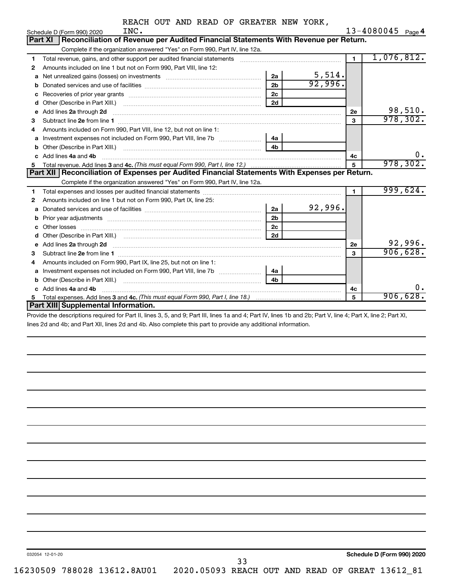|  |  | REACH OUT AND READ OF GREATER NEW YORK, |  |
|--|--|-----------------------------------------|--|
|  |  |                                         |  |

|    | INC.<br>Schedule D (Form 990) 2020                                                                                     |                | $13 - 4080045$ Page 4 |         |
|----|------------------------------------------------------------------------------------------------------------------------|----------------|-----------------------|---------|
|    | Reconciliation of Revenue per Audited Financial Statements With Revenue per Return.<br>Part XI                         |                |                       |         |
|    | Complete if the organization answered "Yes" on Form 990, Part IV, line 12a.                                            |                |                       |         |
| 1  | Total revenue, gains, and other support per audited financial statements                                               | $\blacksquare$ | 1,076,812.            |         |
| 2  | Amounts included on line 1 but not on Form 990, Part VIII, line 12:                                                    |                |                       |         |
| a  | 5,514.<br>2a                                                                                                           |                |                       |         |
| b  | 92,996.<br>2 <sub>b</sub>                                                                                              |                |                       |         |
| с  | 2 <sub>c</sub>                                                                                                         |                |                       |         |
| d  | 2d                                                                                                                     |                |                       |         |
| е  | Add lines 2a through 2d                                                                                                | 2е             |                       | 98,510. |
| 3  |                                                                                                                        | 3              | 978, 302.             |         |
| 4  | Amounts included on Form 990, Part VIII, line 12, but not on line 1:                                                   |                |                       |         |
|    | Investment expenses not included on Form 990, Part VIII, line 7b [ <i>[[[[[[[[[[[[]]]</i> ]<br>- 4a                    |                |                       |         |
| b  | 4 <sub>h</sub>                                                                                                         |                |                       |         |
| c. | Add lines 4a and 4b                                                                                                    | 4c             |                       | ο.      |
|    |                                                                                                                        | 5              | 978, 302.             |         |
|    | Part XII   Reconciliation of Expenses per Audited Financial Statements With Expenses per Return.                       |                |                       |         |
|    | Complete if the organization answered "Yes" on Form 990, Part IV, line 12a.                                            |                |                       |         |
| 1  |                                                                                                                        | 1              | 999,624.              |         |
| 2  | Amounts included on line 1 but not on Form 990, Part IX, line 25:                                                      |                |                       |         |
| a  | 92,996.<br>2a                                                                                                          |                |                       |         |
| b  | 2 <sub>b</sub>                                                                                                         |                |                       |         |
| с  | 2c                                                                                                                     |                |                       |         |
| d  | 2d                                                                                                                     |                |                       |         |
| е  | Add lines 2a through 2d <b>contained a contained a contained a contained a</b> contained a contained a contact the set | 2e             |                       | 92,996. |
| 3  |                                                                                                                        | 3              | 906,628.              |         |
| 4  | Amounts included on Form 990, Part IX, line 25, but not on line 1:                                                     |                |                       |         |
| a  | Investment expenses not included on Form 990, Part VIII, line 7b [11, 111, 120]<br>- 4a                                |                |                       |         |
|    | 4 <sub>b</sub>                                                                                                         |                |                       |         |
| c. | Add lines 4a and 4b                                                                                                    | 4c             |                       | 0.      |
|    |                                                                                                                        | 5              | 906,628.              |         |
|    | Part XIII Supplemental Information.                                                                                    |                |                       |         |

Provide the descriptions required for Part II, lines 3, 5, and 9; Part III, lines 1a and 4; Part IV, lines 1b and 2b; Part V, line 4; Part X, line 2; Part XI, lines 2d and 4b; and Part XII, lines 2d and 4b. Also complete this part to provide any additional information.

032054 12-01-20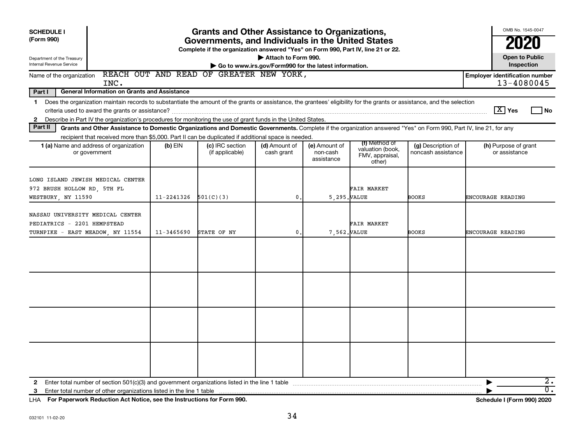| <b>Grants and Other Assistance to Organizations,</b><br><b>SCHEDULE I</b><br>(Form 990)<br>Governments, and Individuals in the United States<br>Complete if the organization answered "Yes" on Form 990, Part IV, line 21 or 22.<br>Attach to Form 990.<br>Department of the Treasury<br>Internal Revenue Service<br>Go to www.irs.gov/Form990 for the latest information. |            |                                    |                             |                                         |                                                                |                                          |                                       |  |  |  |  |
|----------------------------------------------------------------------------------------------------------------------------------------------------------------------------------------------------------------------------------------------------------------------------------------------------------------------------------------------------------------------------|------------|------------------------------------|-----------------------------|-----------------------------------------|----------------------------------------------------------------|------------------------------------------|---------------------------------------|--|--|--|--|
| REACH OUT AND READ OF GREATER NEW YORK,<br><b>Employer identification number</b><br>Name of the organization<br>13-4080045<br>INC.                                                                                                                                                                                                                                         |            |                                    |                             |                                         |                                                                |                                          |                                       |  |  |  |  |
| Part I<br><b>General Information on Grants and Assistance</b>                                                                                                                                                                                                                                                                                                              |            |                                    |                             |                                         |                                                                |                                          |                                       |  |  |  |  |
| Does the organization maintain records to substantiate the amount of the grants or assistance, the grantees' eligibility for the grants or assistance, and the selection<br>$\mathbf 1$<br>Describe in Part IV the organization's procedures for monitoring the use of grant funds in the United States.<br>$\mathbf{2}$                                                   |            |                                    |                             |                                         |                                                                |                                          | $ \mathbf{X} $ Yes<br>l No            |  |  |  |  |
| Part II<br>Grants and Other Assistance to Domestic Organizations and Domestic Governments. Complete if the organization answered "Yes" on Form 990, Part IV, line 21, for any<br>recipient that received more than \$5,000. Part II can be duplicated if additional space is needed.                                                                                       |            |                                    |                             |                                         |                                                                |                                          |                                       |  |  |  |  |
| 1 (a) Name and address of organization<br>or government                                                                                                                                                                                                                                                                                                                    | $(b)$ EIN  | (c) IRC section<br>(if applicable) | (d) Amount of<br>cash grant | (e) Amount of<br>non-cash<br>assistance | (f) Method of<br>valuation (book,<br>FMV, appraisal,<br>other) | (g) Description of<br>noncash assistance | (h) Purpose of grant<br>or assistance |  |  |  |  |
| LONG ISLAND JEWISH MEDICAL CENTER<br>972 BRUSH HOLLOW RD, 5TH FL<br>WESTBURY, NY 11590                                                                                                                                                                                                                                                                                     | 11-2241326 | 501(C)(3)                          | 0.                          | 5,295. VALUE                            | FAIR MARKET                                                    | BOOKS                                    | ENCOURAGE READING                     |  |  |  |  |
| NASSAU UNIVERSITY MEDICAL CENTER<br>PEDIATRICS - 2201 HEMPSTEAD<br>TURNPIKE - EAST MEADOW, NY 11554                                                                                                                                                                                                                                                                        | 11-3465690 | STATE OF NY                        | $\mathbf{0}$ .              | 7,562. VALUE                            | FAIR MARKET                                                    | <b>BOOKS</b>                             | ENCOURAGE READING                     |  |  |  |  |
|                                                                                                                                                                                                                                                                                                                                                                            |            |                                    |                             |                                         |                                                                |                                          |                                       |  |  |  |  |
|                                                                                                                                                                                                                                                                                                                                                                            |            |                                    |                             |                                         |                                                                |                                          |                                       |  |  |  |  |
|                                                                                                                                                                                                                                                                                                                                                                            |            |                                    |                             |                                         |                                                                |                                          |                                       |  |  |  |  |
|                                                                                                                                                                                                                                                                                                                                                                            |            |                                    |                             |                                         |                                                                |                                          |                                       |  |  |  |  |
| Enter total number of other organizations listed in the line 1 table<br>3                                                                                                                                                                                                                                                                                                  |            |                                    |                             |                                         |                                                                |                                          | 2.<br>$\overline{0}$ .                |  |  |  |  |

**For Paperwork Reduction Act Notice, see the Instructions for Form 990. Schedule I (Form 990) 2020** LHA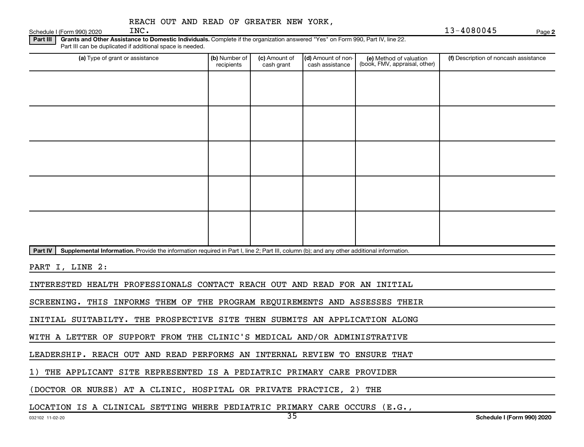|                            |      |  |  | REACH OUT AND READ OF GREATER NEW YORK, |  |
|----------------------------|------|--|--|-----------------------------------------|--|
| Schedule I (Form 990) 2020 | INC. |  |  |                                         |  |

INC. 13-4080045

**2**

Part III | Grants and Other Assistance to Domestic Individuals. Complete if the organization answered "Yes" on Form 990, Part IV, line 22. Part III can be duplicated if additional space is needed.

| (a) Type of grant or assistance                                                                                                                      | (b) Number of<br>recipients | (c) Amount of<br>cash grant | (d) Amount of non-<br>cash assistance | (e) Method of valuation<br>(book, FMV, appraisal, other) | (f) Description of noncash assistance |
|------------------------------------------------------------------------------------------------------------------------------------------------------|-----------------------------|-----------------------------|---------------------------------------|----------------------------------------------------------|---------------------------------------|
|                                                                                                                                                      |                             |                             |                                       |                                                          |                                       |
|                                                                                                                                                      |                             |                             |                                       |                                                          |                                       |
|                                                                                                                                                      |                             |                             |                                       |                                                          |                                       |
|                                                                                                                                                      |                             |                             |                                       |                                                          |                                       |
|                                                                                                                                                      |                             |                             |                                       |                                                          |                                       |
|                                                                                                                                                      |                             |                             |                                       |                                                          |                                       |
|                                                                                                                                                      |                             |                             |                                       |                                                          |                                       |
|                                                                                                                                                      |                             |                             |                                       |                                                          |                                       |
|                                                                                                                                                      |                             |                             |                                       |                                                          |                                       |
|                                                                                                                                                      |                             |                             |                                       |                                                          |                                       |
| Part IV<br>Supplemental Information. Provide the information required in Part I, line 2; Part III, column (b); and any other additional information. |                             |                             |                                       |                                                          |                                       |
| PART I, LINE 2:                                                                                                                                      |                             |                             |                                       |                                                          |                                       |

INTERESTED HEALTH PROFESSIONALS CONTACT REACH OUT AND READ FOR AN INITIAL

SCREENING. THIS INFORMS THEM OF THE PROGRAM REQUIREMENTS AND ASSESSES THEIR

INITIAL SUITABILTY. THE PROSPECTIVE SITE THEN SUBMITS AN APPLICATION ALONG

WITH A LETTER OF SUPPORT FROM THE CLINIC'S MEDICAL AND/OR ADMINISTRATIVE

LEADERSHIP. REACH OUT AND READ PERFORMS AN INTERNAL REVIEW TO ENSURE THAT

1) THE APPLICANT SITE REPRESENTED IS A PEDIATRIC PRIMARY CARE PROVIDER

(DOCTOR OR NURSE) AT A CLINIC, HOSPITAL OR PRIVATE PRACTICE, 2) THE

LOCATION IS A CLINICAL SETTING WHERE PEDIATRIC PRIMARY CARE OCCURS (E.G.,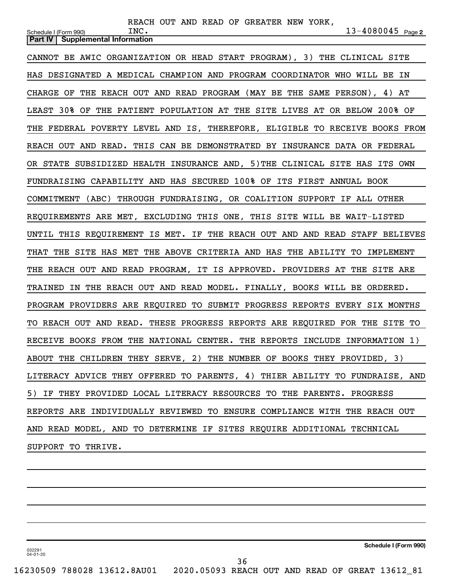| REACH OUT AND READ OF GREATER NEW YORK,                                                                |
|--------------------------------------------------------------------------------------------------------|
| $13 - 4080045$ Page 2<br>INC.<br>Schedule I (Form 990)<br><b>Supplemental Information</b><br>Part IV I |
|                                                                                                        |
| CANNOT BE AWIC ORGANIZATION OR HEAD START PROGRAM), 3) THE CLINICAL SITE                               |
| HAS DESIGNATED A MEDICAL CHAMPION AND PROGRAM COORDINATOR WHO WILL BE IN                               |
| CHARGE OF THE REACH OUT AND READ PROGRAM (MAY BE THE SAME PERSON), 4) AT                               |
| LEAST 30% OF THE PATIENT POPULATION AT THE SITE LIVES AT OR BELOW 200% OF                              |
| THE FEDERAL POVERTY LEVEL AND IS, THEREFORE, ELIGIBLE TO RECEIVE BOOKS FROM                            |
| REACH OUT AND READ. THIS CAN BE DEMONSTRATED BY INSURANCE DATA OR FEDERAL                              |
| OR STATE SUBSIDIZED HEALTH INSURANCE AND, 5) THE CLINICAL SITE HAS ITS OWN                             |
| FUNDRAISING CAPABILITY AND HAS SECURED 100% OF ITS FIRST ANNUAL BOOK                                   |
| COMMITMENT (ABC) THROUGH FUNDRAISING, OR COALITION SUPPORT IF ALL OTHER                                |
| REQUIREMENTS ARE MET, EXCLUDING THIS ONE, THIS SITE WILL BE WAIT-LISTED                                |
| UNTIL THIS REQUIREMENT IS MET. IF THE REACH OUT AND AND READ STAFF BELIEVES                            |
| THE SITE HAS MET THE ABOVE CRITERIA AND HAS THE ABILITY TO IMPLEMENT<br>THAT                           |
| THE REACH OUT AND READ PROGRAM, IT IS APPROVED. PROVIDERS AT THE SITE ARE                              |
| TRAINED IN THE REACH OUT AND READ MODEL. FINALLY, BOOKS WILL BE ORDERED.                               |
| PROGRAM PROVIDERS ARE REQUIRED TO SUBMIT PROGRESS REPORTS EVERY SIX MONTHS                             |
| TO REACH OUT AND READ. THESE PROGRESS REPORTS ARE REQUIRED FOR THE SITE TO                             |
| RECEIVE BOOKS FROM THE NATIONAL CENTER. THE REPORTS INCLUDE INFORMATION 1)                             |
| ABOUT THE CHILDREN THEY SERVE, 2) THE NUMBER OF BOOKS THEY PROVIDED, 3)                                |
| LITERACY ADVICE THEY OFFERED TO PARENTS, 4) THIER ABILITY TO FUNDRAISE, AND                            |
| 5) IF THEY PROVIDED LOCAL LITERACY RESOURCES TO THE PARENTS. PROGRESS                                  |
| REPORTS ARE INDIVIDUALLY REVIEWED TO ENSURE COMPLIANCE WITH THE REACH OUT                              |
| AND READ MODEL, AND TO DETERMINE IF SITES REQUIRE ADDITIONAL TECHNICAL                                 |
| SUPPORT TO THRIVE.                                                                                     |
|                                                                                                        |

**Schedule I (Form 990)**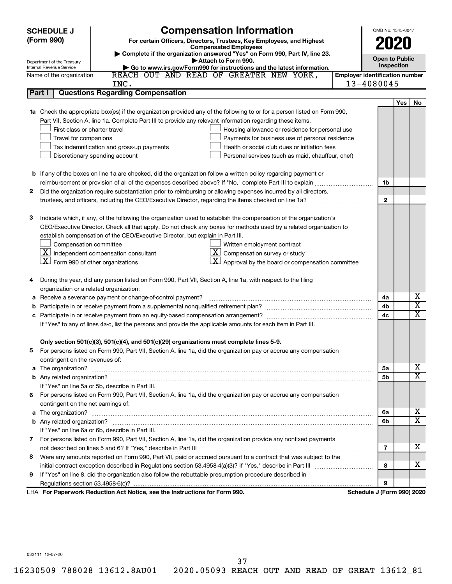|         | <b>Compensation Information</b><br><b>SCHEDULE J</b>                                                                             |                                       | OMB No. 1545-0047 |            |                                        |  |  |  |  |
|---------|----------------------------------------------------------------------------------------------------------------------------------|---------------------------------------|-------------------|------------|----------------------------------------|--|--|--|--|
|         | (Form 990)<br>For certain Officers, Directors, Trustees, Key Employees, and Highest                                              |                                       |                   |            |                                        |  |  |  |  |
|         | 2020<br><b>Compensated Employees</b>                                                                                             |                                       |                   |            |                                        |  |  |  |  |
|         | Complete if the organization answered "Yes" on Form 990, Part IV, line 23.<br><b>Open to Public</b><br>Attach to Form 990.       |                                       |                   |            |                                        |  |  |  |  |
|         | Department of the Treasury<br>Go to www.irs.gov/Form990 for instructions and the latest information.<br>Internal Revenue Service |                                       |                   |            |                                        |  |  |  |  |
|         | REACH OUT AND READ OF GREATER NEW YORK,<br>Name of the organization                                                              | <b>Employer identification number</b> |                   |            |                                        |  |  |  |  |
|         | INC.                                                                                                                             | 13-4080045                            |                   |            |                                        |  |  |  |  |
|         | <b>Questions Regarding Compensation</b><br>Part I                                                                                |                                       |                   |            |                                        |  |  |  |  |
|         |                                                                                                                                  |                                       |                   | <b>Yes</b> | No                                     |  |  |  |  |
|         | Check the appropriate box(es) if the organization provided any of the following to or for a person listed on Form 990,           |                                       |                   |            |                                        |  |  |  |  |
|         | Part VII, Section A, line 1a. Complete Part III to provide any relevant information regarding these items.                       |                                       |                   |            |                                        |  |  |  |  |
|         | First-class or charter travel<br>Housing allowance or residence for personal use                                                 |                                       |                   |            |                                        |  |  |  |  |
|         | Travel for companions<br>Payments for business use of personal residence                                                         |                                       |                   |            |                                        |  |  |  |  |
|         | Health or social club dues or initiation fees<br>Tax indemnification and gross-up payments                                       |                                       |                   |            |                                        |  |  |  |  |
|         | Discretionary spending account<br>Personal services (such as maid, chauffeur, chef)                                              |                                       |                   |            |                                        |  |  |  |  |
|         |                                                                                                                                  |                                       |                   |            |                                        |  |  |  |  |
|         | <b>b</b> If any of the boxes on line 1a are checked, did the organization follow a written policy regarding payment or           |                                       |                   |            |                                        |  |  |  |  |
|         |                                                                                                                                  |                                       | 1b                |            |                                        |  |  |  |  |
| 2       | Did the organization require substantiation prior to reimbursing or allowing expenses incurred by all directors,                 |                                       |                   |            |                                        |  |  |  |  |
|         |                                                                                                                                  |                                       | $\mathbf{2}$      |            |                                        |  |  |  |  |
|         |                                                                                                                                  |                                       |                   |            |                                        |  |  |  |  |
| З       | Indicate which, if any, of the following the organization used to establish the compensation of the organization's               |                                       |                   |            |                                        |  |  |  |  |
|         | CEO/Executive Director. Check all that apply. Do not check any boxes for methods used by a related organization to               |                                       |                   |            |                                        |  |  |  |  |
|         | establish compensation of the CEO/Executive Director, but explain in Part III.                                                   |                                       |                   |            |                                        |  |  |  |  |
|         | Compensation committee<br>Written employment contract                                                                            |                                       |                   |            |                                        |  |  |  |  |
|         | $ \mathbf{X} $ Independent compensation consultant<br>$ \mathbf{X} $ Compensation survey or study                                |                                       |                   |            |                                        |  |  |  |  |
|         | $ \mathbf{X} $ Form 990 of other organizations<br>$ \mathbf{X} $ Approval by the board or compensation committee                 |                                       |                   |            |                                        |  |  |  |  |
|         |                                                                                                                                  |                                       |                   |            |                                        |  |  |  |  |
|         | During the year, did any person listed on Form 990, Part VII, Section A, line 1a, with respect to the filing                     |                                       |                   |            |                                        |  |  |  |  |
|         | organization or a related organization:                                                                                          |                                       |                   |            |                                        |  |  |  |  |
| а       | Receive a severance payment or change-of-control payment?                                                                        |                                       | 4a                |            | х                                      |  |  |  |  |
| b       |                                                                                                                                  |                                       | 4b                |            | $\overline{\textbf{x}}$<br>$\mathbf x$ |  |  |  |  |
| 4c<br>c |                                                                                                                                  |                                       |                   |            |                                        |  |  |  |  |
|         | If "Yes" to any of lines 4a-c, list the persons and provide the applicable amounts for each item in Part III.                    |                                       |                   |            |                                        |  |  |  |  |
|         |                                                                                                                                  |                                       |                   |            |                                        |  |  |  |  |
|         | Only section 501(c)(3), 501(c)(4), and 501(c)(29) organizations must complete lines 5-9.                                         |                                       |                   |            |                                        |  |  |  |  |
| b.      | For persons listed on Form 990, Part VII, Section A, line 1a, did the organization pay or accrue any compensation                |                                       |                   |            |                                        |  |  |  |  |
|         | contingent on the revenues of:                                                                                                   |                                       |                   |            |                                        |  |  |  |  |
| a       |                                                                                                                                  |                                       | 5a                |            | х                                      |  |  |  |  |
|         |                                                                                                                                  |                                       | 5b                |            | X                                      |  |  |  |  |
|         | If "Yes" on line 5a or 5b, describe in Part III.                                                                                 |                                       |                   |            |                                        |  |  |  |  |
|         | 6 For persons listed on Form 990, Part VII, Section A, line 1a, did the organization pay or accrue any compensation              |                                       |                   |            |                                        |  |  |  |  |
|         | contingent on the net earnings of:                                                                                               |                                       |                   |            |                                        |  |  |  |  |
| а       |                                                                                                                                  |                                       | 6а                |            | х                                      |  |  |  |  |
|         |                                                                                                                                  |                                       | 6b                |            | X                                      |  |  |  |  |
|         | If "Yes" on line 6a or 6b, describe in Part III.                                                                                 |                                       |                   |            |                                        |  |  |  |  |
|         | 7 For persons listed on Form 990, Part VII, Section A, line 1a, did the organization provide any nonfixed payments               |                                       |                   |            |                                        |  |  |  |  |
|         |                                                                                                                                  |                                       | 7                 |            | x                                      |  |  |  |  |
| 8       | Were any amounts reported on Form 990, Part VII, paid or accrued pursuant to a contract that was subject to the                  |                                       |                   |            |                                        |  |  |  |  |
|         |                                                                                                                                  |                                       | 8                 |            | x                                      |  |  |  |  |
| 9       | If "Yes" on line 8, did the organization also follow the rebuttable presumption procedure described in                           |                                       |                   |            |                                        |  |  |  |  |
|         |                                                                                                                                  |                                       | 9                 |            |                                        |  |  |  |  |
|         | LHA For Paperwork Reduction Act Notice, see the Instructions for Form 990.                                                       | Schedule J (Form 990) 2020            |                   |            |                                        |  |  |  |  |

032111 12-07-20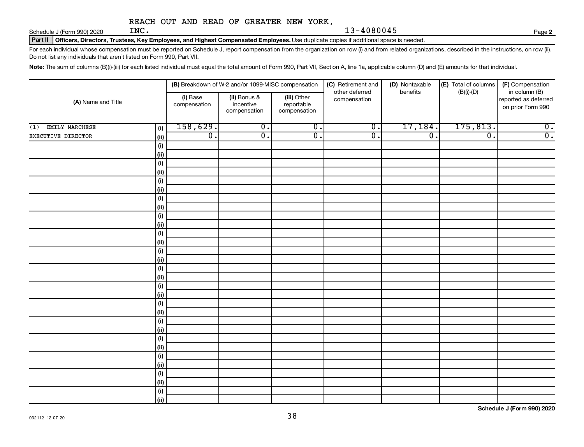Schedule J (Form 990) 2020  $\text{INC.}$ 

Part II | Officers, Directors, Trustees, Key Employees, and Highest Compensated Employees. Use duplicate copies if additional space is needed.

For each individual whose compensation must be reported on Schedule J, report compensation from the organization on row (i) and from related organizations, described in the instructions, on row (ii). Do not list any individuals that aren't listed on Form 990, Part VII.

Note: The sum of columns (B)(i)-(iii) for each listed individual must equal the total amount of Form 990, Part VII, Section A, line 1a, applicable column (D) and (E) amounts for that individual.

|                       |             |                          | (B) Breakdown of W-2 and/or 1099-MISC compensation |                                           | (C) Retirement and<br>other deferred | (D) Nontaxable<br>benefits | (E) Total of columns<br>$(B)(i)-(D)$ | (F) Compensation<br>in column (B)         |
|-----------------------|-------------|--------------------------|----------------------------------------------------|-------------------------------------------|--------------------------------------|----------------------------|--------------------------------------|-------------------------------------------|
| (A) Name and Title    |             | (i) Base<br>compensation | (ii) Bonus &<br>incentive<br>compensation          | (iii) Other<br>reportable<br>compensation | compensation                         |                            |                                      | reported as deferred<br>on prior Form 990 |
| EMILY MARCHESE<br>(1) | (i)         | 158,629.                 | $\overline{0}$ .                                   | $\overline{0}$ .                          | $\overline{\mathfrak{o}}$ .          | 17,184.                    | 175,813.                             | $\overline{0}$ .                          |
| EXECUTIVE DIRECTOR    | (ii)        | $\overline{0}$ .         | $\overline{\mathfrak{o}}$ .                        | $\overline{0}$ .                          | $\overline{0}$ .                     | $\overline{0}$ .           | $\overline{\mathfrak{o}}$ .          | $\overline{0}$ .                          |
|                       | (i)         |                          |                                                    |                                           |                                      |                            |                                      |                                           |
|                       | (ii)        |                          |                                                    |                                           |                                      |                            |                                      |                                           |
|                       | (i)         |                          |                                                    |                                           |                                      |                            |                                      |                                           |
|                       | (ii)        |                          |                                                    |                                           |                                      |                            |                                      |                                           |
|                       | (i)         |                          |                                                    |                                           |                                      |                            |                                      |                                           |
|                       | (ii)        |                          |                                                    |                                           |                                      |                            |                                      |                                           |
|                       | (i)         |                          |                                                    |                                           |                                      |                            |                                      |                                           |
|                       | (ii)        |                          |                                                    |                                           |                                      |                            |                                      |                                           |
|                       | (i)         |                          |                                                    |                                           |                                      |                            |                                      |                                           |
|                       | (ii)        |                          |                                                    |                                           |                                      |                            |                                      |                                           |
|                       | (i)         |                          |                                                    |                                           |                                      |                            |                                      |                                           |
|                       | (ii)        |                          |                                                    |                                           |                                      |                            |                                      |                                           |
|                       | (i)<br>(ii) |                          |                                                    |                                           |                                      |                            |                                      |                                           |
|                       | (i)         |                          |                                                    |                                           |                                      |                            |                                      |                                           |
|                       | (ii)        |                          |                                                    |                                           |                                      |                            |                                      |                                           |
|                       | (i)         |                          |                                                    |                                           |                                      |                            |                                      |                                           |
|                       | (ii)        |                          |                                                    |                                           |                                      |                            |                                      |                                           |
|                       | (i)         |                          |                                                    |                                           |                                      |                            |                                      |                                           |
|                       | (ii)        |                          |                                                    |                                           |                                      |                            |                                      |                                           |
|                       | (i)         |                          |                                                    |                                           |                                      |                            |                                      |                                           |
|                       | (ii)        |                          |                                                    |                                           |                                      |                            |                                      |                                           |
|                       | (i)         |                          |                                                    |                                           |                                      |                            |                                      |                                           |
|                       | (ii)        |                          |                                                    |                                           |                                      |                            |                                      |                                           |
|                       | (i)         |                          |                                                    |                                           |                                      |                            |                                      |                                           |
|                       | (ii)        |                          |                                                    |                                           |                                      |                            |                                      |                                           |
|                       | (i)         |                          |                                                    |                                           |                                      |                            |                                      |                                           |
|                       | (ii)        |                          |                                                    |                                           |                                      |                            |                                      |                                           |
|                       | (i)         |                          |                                                    |                                           |                                      |                            |                                      |                                           |
|                       | (ii)        |                          |                                                    |                                           |                                      |                            |                                      |                                           |

**Schedule J (Form 990) 2020**

**2**

INC. 13-4080045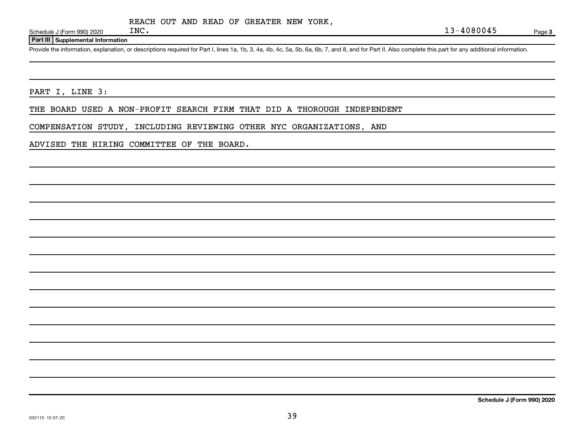Schedule J (Form 990) 2020  $\text{INC.}$ 

### **Part III Supplemental Information**

Provide the information, explanation, or descriptions required for Part I, lines 1a, 1b, 3, 4a, 4b, 4c, 5a, 5b, 6a, 6b, 7, and 8, and for Part II. Also complete this part for any additional information.

PART I, LINE 3:

THE BOARD USED A NON-PROFIT SEARCH FIRM THAT DID A THOROUGH INDEPENDENT

COMPENSATION STUDY, INCLUDING REVIEWING OTHER NYC ORGANIZATIONS, AND

ADVISED THE HIRING COMMITTEE OF THE BOARD.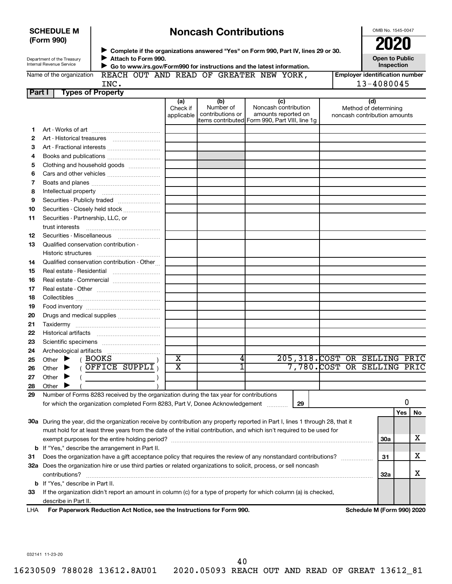| <b>SCHEDULE M</b> |  |
|-------------------|--|
| (Farm QQN)        |  |

**10 11**

**12 13**

# **Noncash Contributions**

|                                                                     | <b>SCHEDULE M</b><br>(Form 990)                               |                            |                               | <b>Noncash Contributions</b>         |                                                                                                                                                                |  | OMB No. 1545-0047<br>2020                                    |
|---------------------------------------------------------------------|---------------------------------------------------------------|----------------------------|-------------------------------|--------------------------------------|----------------------------------------------------------------------------------------------------------------------------------------------------------------|--|--------------------------------------------------------------|
|                                                                     | Department of the Treasury<br><b>Internal Revenue Service</b> | Attach to Form 990.        |                               |                                      | Complete if the organizations answered "Yes" on Form 990, Part IV, lines 29 or 30.<br>▶ Go to www.irs.gov/Form990 for instructions and the latest information. |  | <b>Open to Public</b><br><b>Inspection</b>                   |
| REACH OUT AND READ OF GREATER NEW YORK,<br>Name of the organization |                                                               |                            |                               |                                      |                                                                                                                                                                |  | <b>Employer identification number</b>                        |
|                                                                     |                                                               | INC.                       |                               |                                      |                                                                                                                                                                |  | 13-4080045                                                   |
| <b>Part I</b>                                                       |                                                               | <b>Types of Property</b>   |                               |                                      |                                                                                                                                                                |  |                                                              |
|                                                                     |                                                               |                            | (a)<br>Check if<br>applicable | (b)<br>Number of<br>contributions or | (c)<br>Noncash contribution<br>amounts reported on<br>litems contributed Form 990, Part VIII, line 1q                                                          |  | (d)<br>Method of determining<br>noncash contribution amounts |
|                                                                     |                                                               |                            |                               |                                      |                                                                                                                                                                |  |                                                              |
|                                                                     |                                                               |                            |                               |                                      |                                                                                                                                                                |  |                                                              |
| 3                                                                   |                                                               | Art - Fractional interests |                               |                                      |                                                                                                                                                                |  |                                                              |
| 4                                                                   |                                                               | Books and publications     |                               |                                      |                                                                                                                                                                |  |                                                              |
| 5                                                                   | Clothing and household goods                                  |                            |                               |                                      |                                                                                                                                                                |  |                                                              |
| 6                                                                   |                                                               |                            |                               |                                      |                                                                                                                                                                |  |                                                              |
|                                                                     |                                                               |                            |                               |                                      |                                                                                                                                                                |  |                                                              |
| 8                                                                   | Intellectual property                                         |                            |                               |                                      |                                                                                                                                                                |  |                                                              |
| 9                                                                   |                                                               |                            |                               |                                      |                                                                                                                                                                |  |                                                              |

|      | <b>b</b> If "Yes." describe in Part II.                                                                           |
|------|-------------------------------------------------------------------------------------------------------------------|
| 33 - | If the organization didn't report an amount in column (c) for a type of property for which column (a) is checked, |
|      | describe in Part II.                                                                                              |

**32 a** Does the organization hire or use third parties or related organizations to solicit, process, or sell noncash

Number of Forms 8283 received by the organization during the tax year for contributions for which the organization completed Form 8283, Part V, Donee Acknowledgement ............

**30 a** During the year, did the organization receive by contribution any property reported in Part I, lines 1 through 28, that it

must hold for at least three years from the date of the initial contribution, and which isn't required to be used for

exempt purposes for the entire holding period? ~~~~~~~~~~~~~~~~~~~~~~~~~~~~~~~~~~~~~~

Does the organization have a gift acceptance policy that requires the review of any nonstandard contributions?  $\ldots$ 

contributions? ~~~~~~~~~~~~~~~~~~~~~~~~~~~~~~~~~~~~~~~~~~~~~~~~~~~~~~

|  | <b>LHA</b> | For Paperwork Reduction Act Notice, see the Instructions for Form 990. |
|--|------------|------------------------------------------------------------------------|
|--|------------|------------------------------------------------------------------------|

………………………………

**b** If "Yes," describe the arrangement in Part II.

 $($  BOOKS

Other ( )

Securities - Closely held stock ....................

trust interests ~~~~~~~~~~~~~~ Securities - Miscellaneous [ ....................... Qualified conservation contribution - Historic structures ~~~~~~~~~~~~ Qualified conservation contribution - Other... Real estate - Residential ~~~~~~~~~ Real estate - Commercial ........................... Real estate - Other ~~~~~~~~~~~~ Collectibles ~~~~~~~~~~~~~~~~ Food inventory ~~~~~~~~~~~~~~ Drugs and medical supplies ....................... Taxidermy ~~~~~~~~~~~~~~~~ Historical artifacts ~~~~~~~~~~~~ Scientific specimens .................................

Securities - Partnership, LLC, or

Archeological artifacts

**Other** 

Other  $\blacktriangleright$ Other  $\blacktriangleright$  $\blacktriangleright$  $\blacktriangleright$ 

**Schedule M (Form 990) 2020** 

**30a**

**31**

**32a**

**Yes No**

X

X

X

0

032141 11-23-20

**31**

40

Other  $\blacktriangleright$  (OFFICE SUPPLI)  $\mid$  X  $\mid$  1  $\mid$  7,780.COST OR SELLING PRIC

**29**

X | 4 205,318.COST OR SELLING PRIC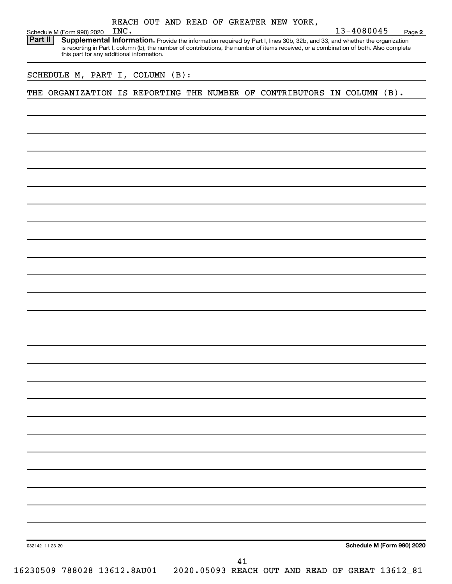| Schedule M (Form 990) 2020                                            | INC. |         |  | REACH OUT AND READ OF GREATER NEW YORK,                                                                                                                                                                                                                              | 13-4080045 | Page 2                     |
|-----------------------------------------------------------------------|------|---------|--|----------------------------------------------------------------------------------------------------------------------------------------------------------------------------------------------------------------------------------------------------------------------|------------|----------------------------|
| Part II                                                               |      |         |  | Supplemental Information. Provide the information required by Part I, lines 30b, 32b, and 33, and whether the organization<br>is reporting in Part I, column (b), the number of contributions, the number of items received, or a combination of both. Also complete |            |                            |
| this part for any additional information.                             |      |         |  |                                                                                                                                                                                                                                                                      |            |                            |
| SCHEDULE M, PART I, COLUMN                                            |      | $(B)$ : |  |                                                                                                                                                                                                                                                                      |            |                            |
| ORGANIZATION IS REPORTING THE NUMBER OF CONTRIBUTORS IN COLUMN<br>THE |      |         |  |                                                                                                                                                                                                                                                                      |            | $(B)$ .                    |
|                                                                       |      |         |  |                                                                                                                                                                                                                                                                      |            |                            |
|                                                                       |      |         |  |                                                                                                                                                                                                                                                                      |            |                            |
|                                                                       |      |         |  |                                                                                                                                                                                                                                                                      |            |                            |
|                                                                       |      |         |  |                                                                                                                                                                                                                                                                      |            |                            |
|                                                                       |      |         |  |                                                                                                                                                                                                                                                                      |            |                            |
|                                                                       |      |         |  |                                                                                                                                                                                                                                                                      |            |                            |
|                                                                       |      |         |  |                                                                                                                                                                                                                                                                      |            |                            |
|                                                                       |      |         |  |                                                                                                                                                                                                                                                                      |            |                            |
|                                                                       |      |         |  |                                                                                                                                                                                                                                                                      |            |                            |
|                                                                       |      |         |  |                                                                                                                                                                                                                                                                      |            |                            |
|                                                                       |      |         |  |                                                                                                                                                                                                                                                                      |            |                            |
|                                                                       |      |         |  |                                                                                                                                                                                                                                                                      |            |                            |
|                                                                       |      |         |  |                                                                                                                                                                                                                                                                      |            |                            |
|                                                                       |      |         |  |                                                                                                                                                                                                                                                                      |            |                            |
|                                                                       |      |         |  |                                                                                                                                                                                                                                                                      |            |                            |
|                                                                       |      |         |  |                                                                                                                                                                                                                                                                      |            |                            |
|                                                                       |      |         |  |                                                                                                                                                                                                                                                                      |            |                            |
|                                                                       |      |         |  |                                                                                                                                                                                                                                                                      |            |                            |
|                                                                       |      |         |  |                                                                                                                                                                                                                                                                      |            |                            |
|                                                                       |      |         |  |                                                                                                                                                                                                                                                                      |            |                            |
|                                                                       |      |         |  |                                                                                                                                                                                                                                                                      |            |                            |
|                                                                       |      |         |  |                                                                                                                                                                                                                                                                      |            |                            |
|                                                                       |      |         |  |                                                                                                                                                                                                                                                                      |            |                            |
|                                                                       |      |         |  |                                                                                                                                                                                                                                                                      |            |                            |
|                                                                       |      |         |  |                                                                                                                                                                                                                                                                      |            |                            |
|                                                                       |      |         |  |                                                                                                                                                                                                                                                                      |            |                            |
|                                                                       |      |         |  |                                                                                                                                                                                                                                                                      |            |                            |
|                                                                       |      |         |  |                                                                                                                                                                                                                                                                      |            |                            |
|                                                                       |      |         |  |                                                                                                                                                                                                                                                                      |            | Schedule M (Form 990) 2020 |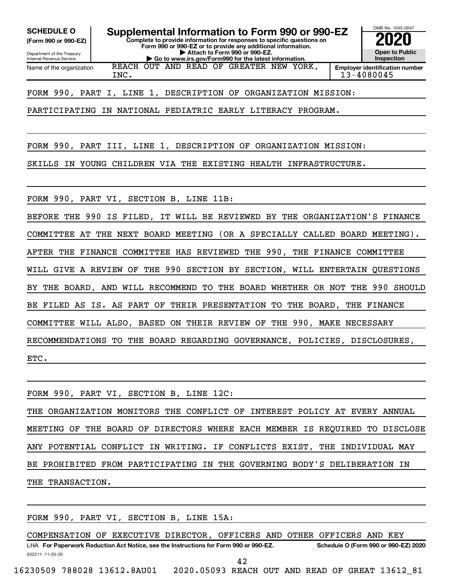**(Form 990 or 990-EZ)**

Department of the Treasury Internal Revenue Service

**Complete to provide information for responses to specific questions on Form 990 or 990-EZ or to provide any additional information. | Attach to Form 990 or 990-EZ. SCHEDULE O Supplemental Information to Form 990 or 990-EZ 2020**<br>(Form 990 or 990-EZ) Complete to provide information for responses to specific questions on

**| Go to www.irs.gov/Form990 for the latest information.**



Name of the organization REACH OUT AND READ OF GREATER NEW YORK,

INC. 13-4080045

FORM 990, PART I, LINE 1, DESCRIPTION OF ORGANIZATION MISSION:

PARTICIPATING IN NATIONAL PEDIATRIC EARLY LITERACY PROGRAM.

FORM 990, PART III, LINE 1, DESCRIPTION OF ORGANIZATION MISSION:

SKILLS IN YOUNG CHILDREN VIA THE EXISTING HEALTH INFRASTRUCTURE.

FORM 990, PART VI, SECTION B, LINE 11B:

BEFORE THE 990 IS FILED, IT WILL BE REVIEWED BY THE ORGANIZATION'S FINANCE COMMITTEE AT THE NEXT BOARD MEETING (OR A SPECIALLY CALLED BOARD MEETING). AFTER THE FINANCE COMMITTEE HAS REVIEWED THE 990, THE FINANCE COMMITTEE WILL GIVE A REVIEW OF THE 990 SECTION BY SECTION, WILL ENTERTAIN QUESTIONS BY THE BOARD, AND WILL RECOMMEND TO THE BOARD WHETHER OR NOT THE 990 SHOULD BE FILED AS IS. AS PART OF THEIR PRESENTATION TO THE BOARD, THE FINANCE COMMITTEE WILL ALSO, BASED ON THEIR REVIEW OF THE 990, MAKE NECESSARY RECOMMENDATIONS TO THE BOARD REGARDING GOVERNANCE, POLICIES, DISCLOSURES, ETC.

FORM 990, PART VI, SECTION B, LINE 12C: THE ORGANIZATION MONITORS THE CONFLICT OF INTEREST POLICY AT EVERY ANNUAL MEETING OF THE BOARD OF DIRECTORS WHERE EACH MEMBER IS REQUIRED TO DISCLOSE ANY POTENTIAL CONFLICT IN WRITING. IF CONFLICTS EXIST, THE INDIVIDUAL MAY BE PROHIBITED FROM PARTICIPATING IN THE GOVERNING BODY'S DELIBERATION IN THE TRANSACTION.

FORM 990, PART VI, SECTION B, LINE 15A:

032211 11-20-20 **For Paperwork Reduction Act Notice, see the Instructions for Form 990 or 990-EZ. Schedule O (Form 990 or 990-EZ) 2020** LHA COMPENSATION OF EXECUTIVE DIRECTOR, OFFICERS AND OTHER OFFICERS AND KEY 42